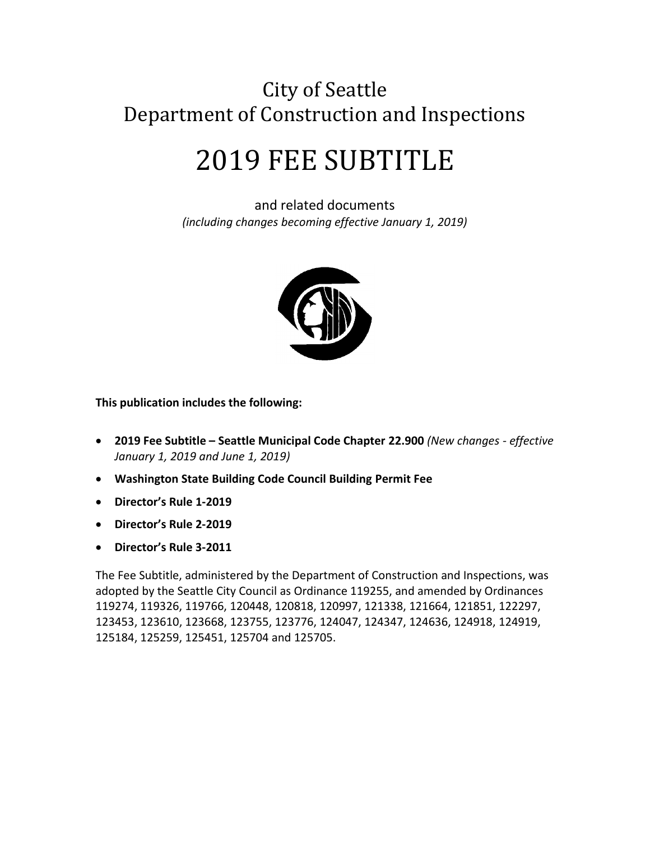# City of Seattle Department of Construction and Inspections

# 2019 FEE SUBTITLE

and related documents *(including changes becoming effective January 1, 2019)*



**This publication includes the following:**

- **2019 Fee Subtitle – Seattle Municipal Code Chapter 22.900** *(New changes - effective January 1, 2019 and June 1, 2019)*
- **Washington State Building Code Council Building Permit Fee**
- **Director's Rule 1-2019**
- **Director's Rule 2-2019**
- **Director's Rule 3-2011**

The Fee Subtitle, administered by the Department of Construction and Inspections, was adopted by the Seattle City Council as Ordinance 119255, and amended by Ordinances 119274, 119326, 119766, 120448, 120818, 120997, 121338, 121664, 121851, 122297, 123453, 123610, 123668, 123755, 123776, 124047, 124347, 124636, 124918, 124919, 125184, 125259, 125451, 125704 and 125705.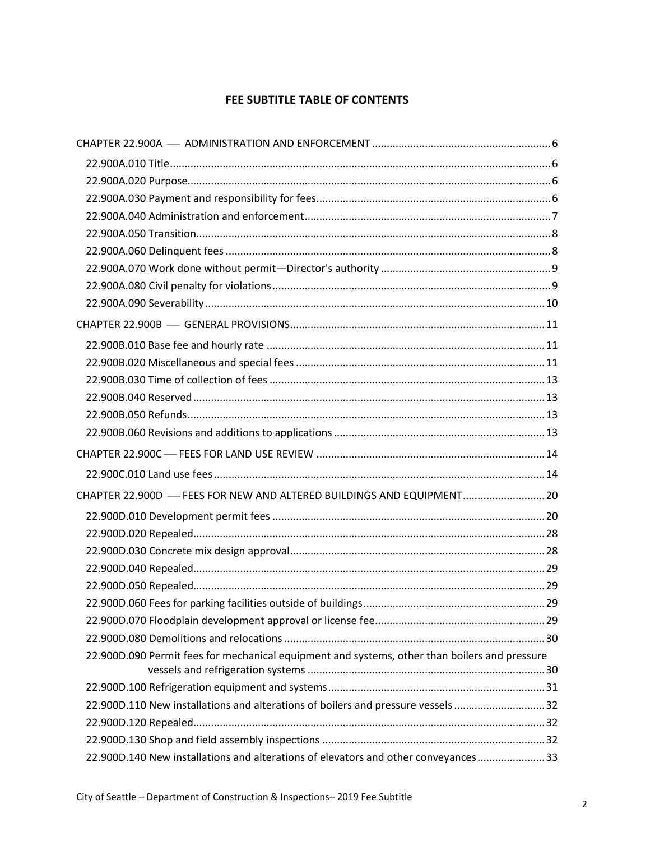#### **FEE SUBTITLE TABLE OF CONTENTS**

| CHAPTER 22.900D - FEES FOR NEW AND ALTERED BUILDINGS AND EQUIPMENT 20                         |  |
|-----------------------------------------------------------------------------------------------|--|
|                                                                                               |  |
|                                                                                               |  |
|                                                                                               |  |
|                                                                                               |  |
|                                                                                               |  |
|                                                                                               |  |
|                                                                                               |  |
|                                                                                               |  |
| 22.900D.090 Permit fees for mechanical equipment and systems, other than boilers and pressure |  |
|                                                                                               |  |
| 22.900D.110 New installations and alterations of boilers and pressure vessels 32              |  |
|                                                                                               |  |
|                                                                                               |  |
| 22.900D.140 New installations and alterations of elevators and other conveyances33            |  |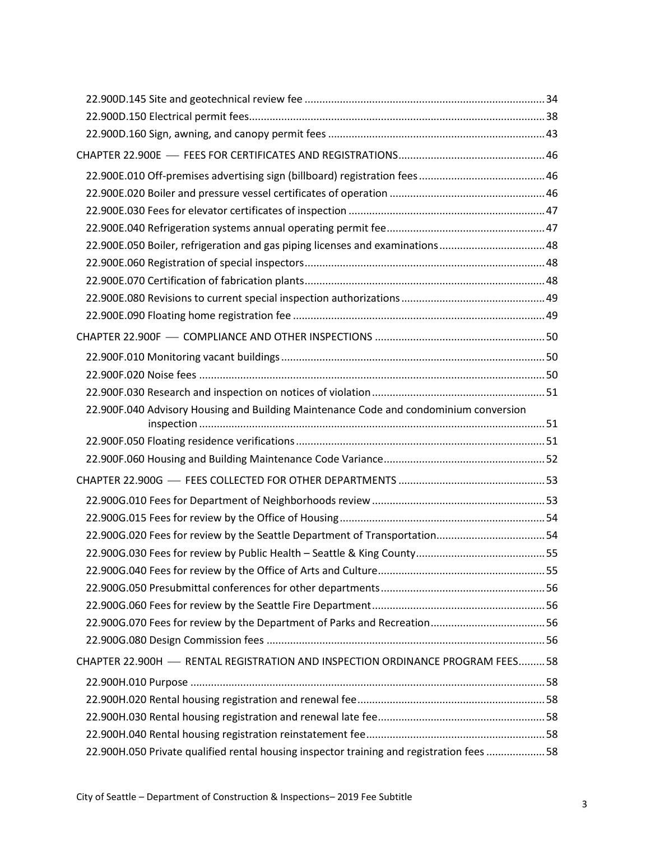| 22.900E.050 Boiler, refrigeration and gas piping licenses and examinations48             |  |
|------------------------------------------------------------------------------------------|--|
|                                                                                          |  |
|                                                                                          |  |
|                                                                                          |  |
|                                                                                          |  |
|                                                                                          |  |
|                                                                                          |  |
|                                                                                          |  |
|                                                                                          |  |
| 22.900F.040 Advisory Housing and Building Maintenance Code and condominium conversion    |  |
|                                                                                          |  |
|                                                                                          |  |
|                                                                                          |  |
|                                                                                          |  |
|                                                                                          |  |
| 22.900G.020 Fees for review by the Seattle Department of Transportation54                |  |
|                                                                                          |  |
|                                                                                          |  |
|                                                                                          |  |
|                                                                                          |  |
|                                                                                          |  |
|                                                                                          |  |
| CHAPTER 22.900H - RENTAL REGISTRATION AND INSPECTION ORDINANCE PROGRAM FEES58            |  |
|                                                                                          |  |
|                                                                                          |  |
|                                                                                          |  |
|                                                                                          |  |
| 22.900H.050 Private qualified rental housing inspector training and registration fees 58 |  |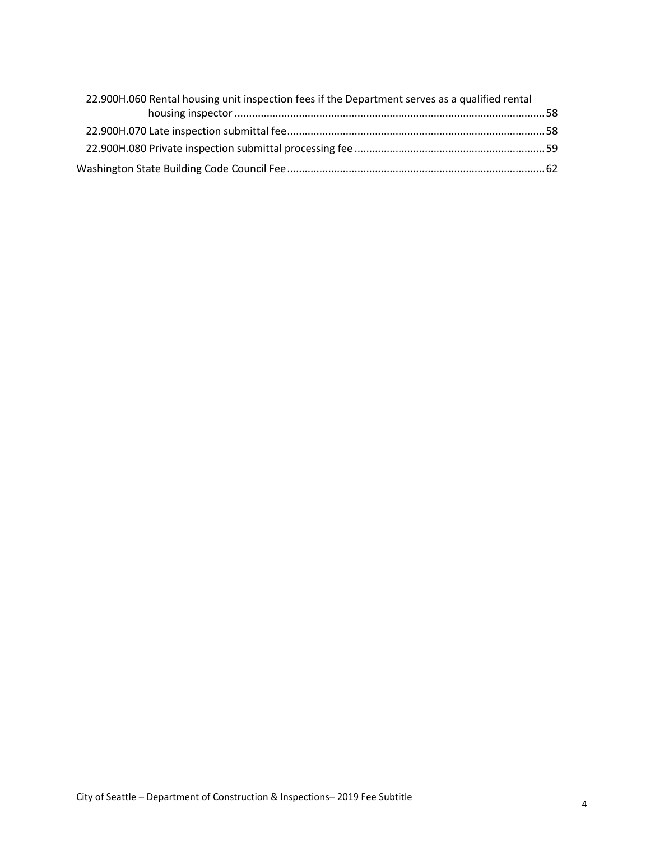| 22.900H.060 Rental housing unit inspection fees if the Department serves as a qualified rental |  |
|------------------------------------------------------------------------------------------------|--|
|                                                                                                |  |
|                                                                                                |  |
|                                                                                                |  |
|                                                                                                |  |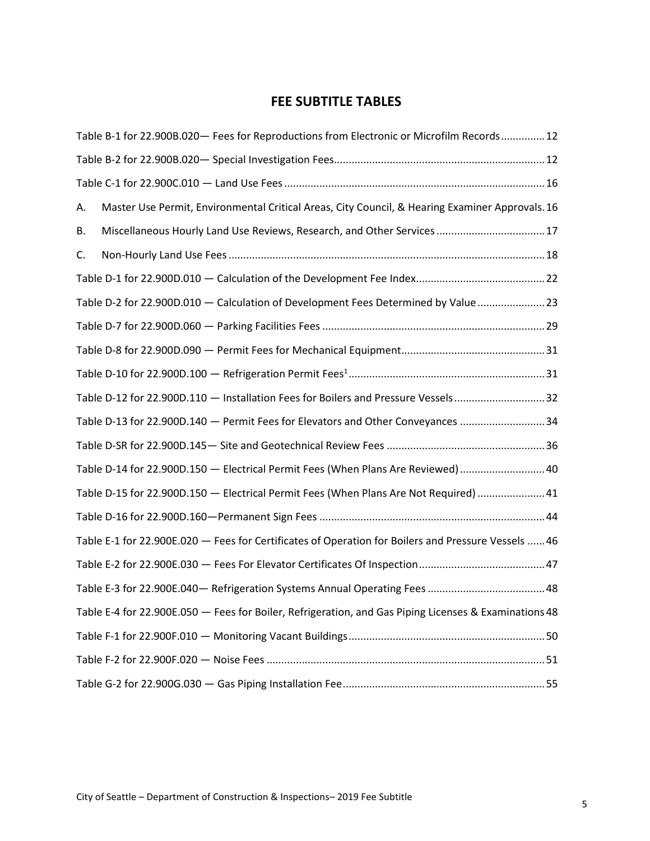## **FEE SUBTITLE TABLES**

| Table B-1 for 22.900B.020 - Fees for Reproductions from Electronic or Microfilm Records 12            |
|-------------------------------------------------------------------------------------------------------|
|                                                                                                       |
|                                                                                                       |
| Master Use Permit, Environmental Critical Areas, City Council, & Hearing Examiner Approvals. 16<br>Α. |
| Miscellaneous Hourly Land Use Reviews, Research, and Other Services  17<br>В.                         |
| C.                                                                                                    |
|                                                                                                       |
| Table D-2 for 22.900D.010 - Calculation of Development Fees Determined by Value  23                   |
|                                                                                                       |
|                                                                                                       |
|                                                                                                       |
| Table D-12 for 22.900D.110 - Installation Fees for Boilers and Pressure Vessels32                     |
| Table D-13 for 22.900D.140 - Permit Fees for Elevators and Other Conveyances 34                       |
|                                                                                                       |
| Table D-14 for 22.900D.150 - Electrical Permit Fees (When Plans Are Reviewed)  40                     |
| Table D-15 for 22.900D.150 - Electrical Permit Fees (When Plans Are Not Required) 41                  |
|                                                                                                       |
| Table E-1 for 22.900E.020 - Fees for Certificates of Operation for Boilers and Pressure Vessels  46   |
|                                                                                                       |
|                                                                                                       |
| Table E-4 for 22.900E.050 - Fees for Boiler, Refrigeration, and Gas Piping Licenses & Examinations 48 |
|                                                                                                       |
|                                                                                                       |
|                                                                                                       |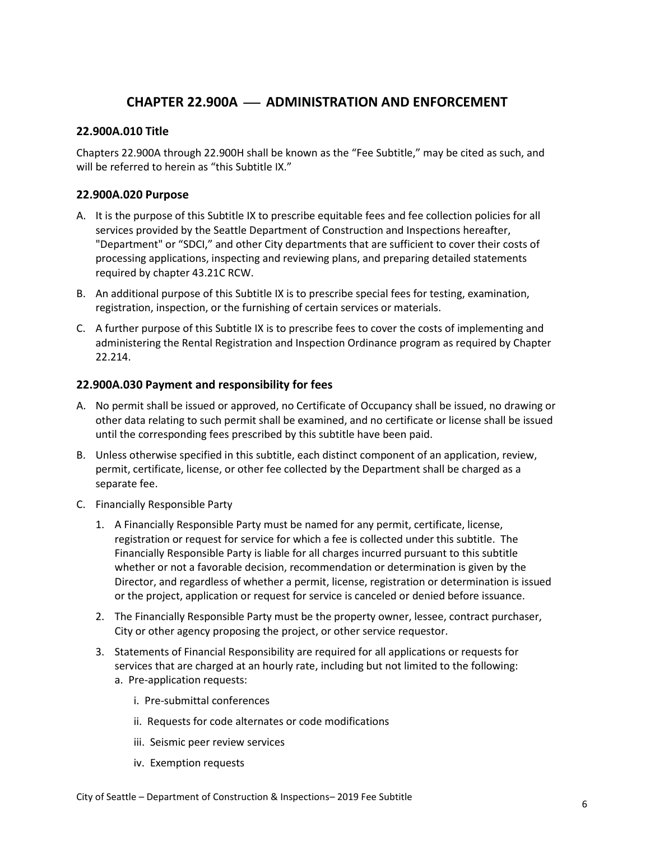## **CHAPTER 22.900A** ⎯ **ADMINISTRATION AND ENFORCEMENT**

#### <span id="page-5-1"></span><span id="page-5-0"></span>**22.900A.010 Title**

Chapters 22.900A through 22.900H shall be known as the "Fee Subtitle," may be cited as such, and will be referred to herein as "this Subtitle IX."

#### <span id="page-5-2"></span>**22.900A.020 Purpose**

- A. It is the purpose of this Subtitle IX to prescribe equitable fees and fee collection policies for all services provided by the Seattle Department of Construction and Inspections hereafter, "Department" or "SDCI," and other City departments that are sufficient to cover their costs of processing applications, inspecting and reviewing plans, and preparing detailed statements required by chapter 43.21C RCW.
- B. An additional purpose of this Subtitle IX is to prescribe special fees for testing, examination, registration, inspection, or the furnishing of certain services or materials.
- C. A further purpose of this Subtitle IX is to prescribe fees to cover the costs of implementing and administering the Rental Registration and Inspection Ordinance program as required by Chapter 22.214.

#### <span id="page-5-3"></span>**22.900A.030 Payment and responsibility for fees**

- A. No permit shall be issued or approved, no Certificate of Occupancy shall be issued, no drawing or other data relating to such permit shall be examined, and no certificate or license shall be issued until the corresponding fees prescribed by this subtitle have been paid.
- B. Unless otherwise specified in this subtitle, each distinct component of an application, review, permit, certificate, license, or other fee collected by the Department shall be charged as a separate fee.
- C. Financially Responsible Party
	- 1. A Financially Responsible Party must be named for any permit, certificate, license, registration or request for service for which a fee is collected under this subtitle. The Financially Responsible Party is liable for all charges incurred pursuant to this subtitle whether or not a favorable decision, recommendation or determination is given by the Director, and regardless of whether a permit, license, registration or determination is issued or the project, application or request for service is canceled or denied before issuance.
	- 2. The Financially Responsible Party must be the property owner, lessee, contract purchaser, City or other agency proposing the project, or other service requestor.
	- 3. Statements of Financial Responsibility are required for all applications or requests for services that are charged at an hourly rate, including but not limited to the following: a. Pre-application requests:
		- i. Pre-submittal conferences
		- ii. Requests for code alternates or code modifications
		- iii. Seismic peer review services
		- iv. Exemption requests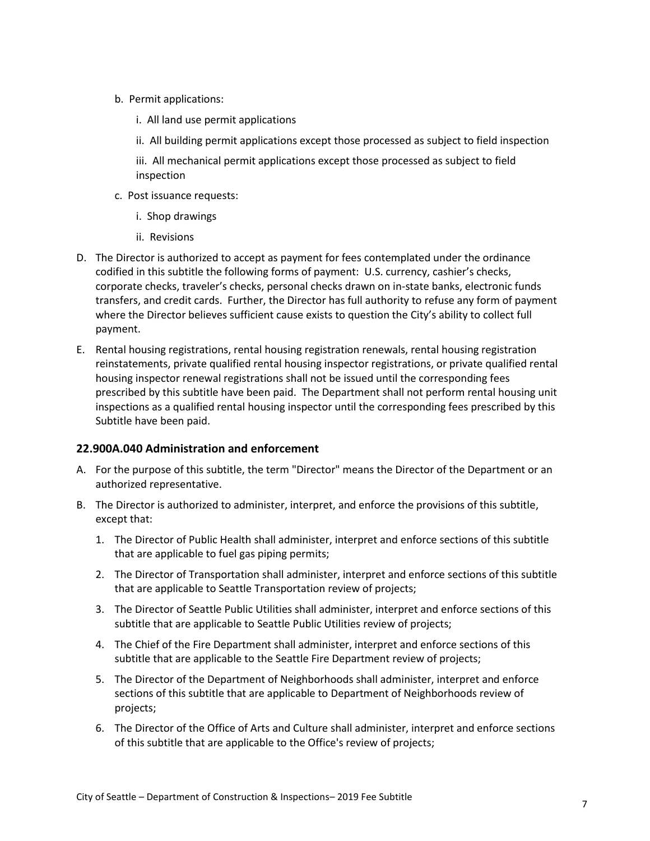- b. Permit applications:
	- i. All land use permit applications
	- ii. All building permit applications except those processed as subject to field inspection

iii. All mechanical permit applications except those processed as subject to field inspection

- c. Post issuance requests:
	- i. Shop drawings
	- ii. Revisions
- D. The Director is authorized to accept as payment for fees contemplated under the ordinance codified in this subtitle the following forms of payment: U.S. currency, cashier's checks, corporate checks, traveler's checks, personal checks drawn on in-state banks, electronic funds transfers, and credit cards. Further, the Director has full authority to refuse any form of payment where the Director believes sufficient cause exists to question the City's ability to collect full payment.
- E. Rental housing registrations, rental housing registration renewals, rental housing registration reinstatements, private qualified rental housing inspector registrations, or private qualified rental housing inspector renewal registrations shall not be issued until the corresponding fees prescribed by this subtitle have been paid. The Department shall not perform rental housing unit inspections as a qualified rental housing inspector until the corresponding fees prescribed by this Subtitle have been paid.

#### <span id="page-6-0"></span>**22.900A.040 Administration and enforcement**

- A. For the purpose of this subtitle, the term "Director" means the Director of the Department or an authorized representative.
- B. The Director is authorized to administer, interpret, and enforce the provisions of this subtitle, except that:
	- 1. The Director of Public Health shall administer, interpret and enforce sections of this subtitle that are applicable to fuel gas piping permits;
	- 2. The Director of Transportation shall administer, interpret and enforce sections of this subtitle that are applicable to Seattle Transportation review of projects;
	- 3. The Director of Seattle Public Utilities shall administer, interpret and enforce sections of this subtitle that are applicable to Seattle Public Utilities review of projects;
	- 4. The Chief of the Fire Department shall administer, interpret and enforce sections of this subtitle that are applicable to the Seattle Fire Department review of projects;
	- 5. The Director of the Department of Neighborhoods shall administer, interpret and enforce sections of this subtitle that are applicable to Department of Neighborhoods review of projects;
	- 6. The Director of the Office of Arts and Culture shall administer, interpret and enforce sections of this subtitle that are applicable to the Office's review of projects;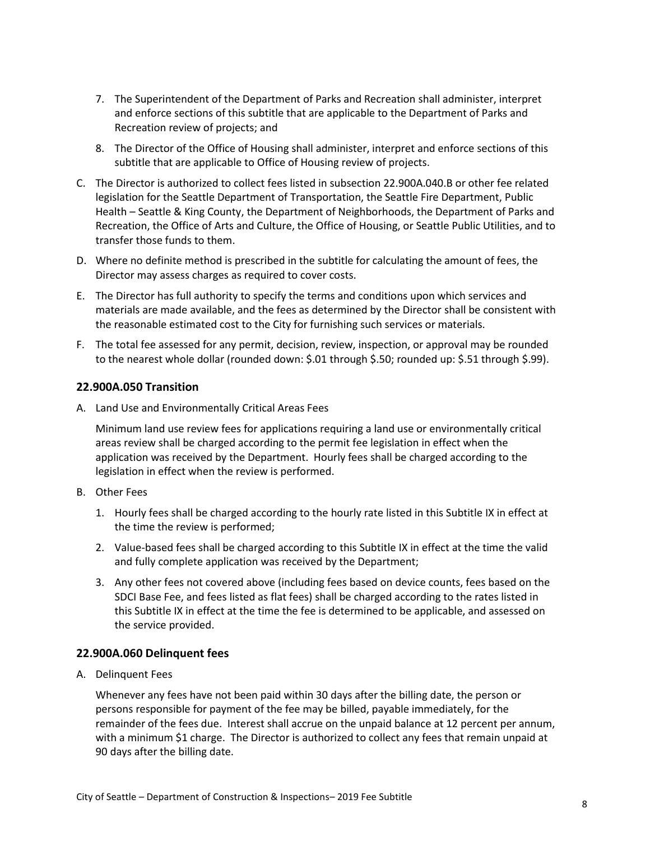- 7. The Superintendent of the Department of Parks and Recreation shall administer, interpret and enforce sections of this subtitle that are applicable to the Department of Parks and Recreation review of projects; and
- 8. The Director of the Office of Housing shall administer, interpret and enforce sections of this subtitle that are applicable to Office of Housing review of projects.
- C. The Director is authorized to collect fees listed in subsection 22.900A.040.B or other fee related legislation for the Seattle Department of Transportation, the Seattle Fire Department, Public Health – Seattle & King County, the Department of Neighborhoods, the Department of Parks and Recreation, the Office of Arts and Culture, the Office of Housing, or Seattle Public Utilities, and to transfer those funds to them.
- D. Where no definite method is prescribed in the subtitle for calculating the amount of fees, the Director may assess charges as required to cover costs.
- E. The Director has full authority to specify the terms and conditions upon which services and materials are made available, and the fees as determined by the Director shall be consistent with the reasonable estimated cost to the City for furnishing such services or materials.
- F. The total fee assessed for any permit, decision, review, inspection, or approval may be rounded to the nearest whole dollar (rounded down: \$.01 through \$.50; rounded up: \$.51 through \$.99).

#### <span id="page-7-0"></span>**22.900A.050 Transition**

A. Land Use and Environmentally Critical Areas Fees

Minimum land use review fees for applications requiring a land use or environmentally critical areas review shall be charged according to the permit fee legislation in effect when the application was received by the Department. Hourly fees shall be charged according to the legislation in effect when the review is performed.

- B. Other Fees
	- 1. Hourly fees shall be charged according to the hourly rate listed in this Subtitle IX in effect at the time the review is performed;
	- 2. Value-based fees shall be charged according to this Subtitle IX in effect at the time the valid and fully complete application was received by the Department;
	- 3. Any other fees not covered above (including fees based on device counts, fees based on the SDCI Base Fee, and fees listed as flat fees) shall be charged according to the rates listed in this Subtitle IX in effect at the time the fee is determined to be applicable, and assessed on the service provided.

#### <span id="page-7-1"></span>**22.900A.060 Delinquent fees**

A. Delinquent Fees

Whenever any fees have not been paid within 30 days after the billing date, the person or persons responsible for payment of the fee may be billed, payable immediately, for the remainder of the fees due. Interest shall accrue on the unpaid balance at 12 percent per annum, with a minimum \$1 charge. The Director is authorized to collect any fees that remain unpaid at 90 days after the billing date.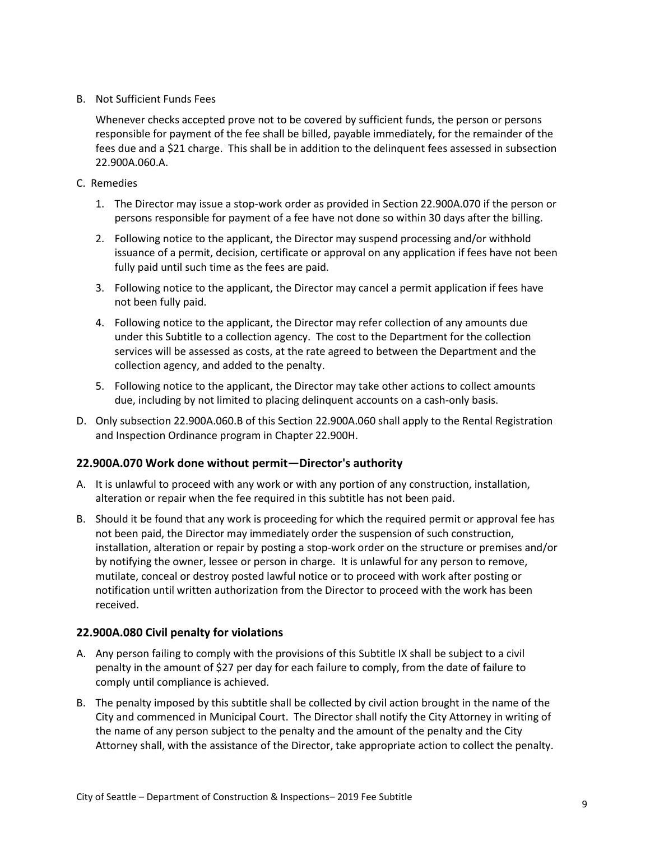B. Not Sufficient Funds Fees

Whenever checks accepted prove not to be covered by sufficient funds, the person or persons responsible for payment of the fee shall be billed, payable immediately, for the remainder of the fees due and a \$21 charge. This shall be in addition to the delinquent fees assessed in subsection 22.900A.060.A.

- C. Remedies
	- 1. The Director may issue a stop-work order as provided in Section 22.900A.070 if the person or persons responsible for payment of a fee have not done so within 30 days after the billing.
	- 2. Following notice to the applicant, the Director may suspend processing and/or withhold issuance of a permit, decision, certificate or approval on any application if fees have not been fully paid until such time as the fees are paid.
	- 3. Following notice to the applicant, the Director may cancel a permit application if fees have not been fully paid.
	- 4. Following notice to the applicant, the Director may refer collection of any amounts due under this Subtitle to a collection agency. The cost to the Department for the collection services will be assessed as costs, at the rate agreed to between the Department and the collection agency, and added to the penalty.
	- 5. Following notice to the applicant, the Director may take other actions to collect amounts due, including by not limited to placing delinquent accounts on a cash-only basis.
- D. Only subsection 22.900A.060.B of this Section 22.900A.060 shall apply to the Rental Registration and Inspection Ordinance program in Chapter 22.900H.

#### <span id="page-8-0"></span>**22.900A.070 Work done without permit—Director's authority**

- A. It is unlawful to proceed with any work or with any portion of any construction, installation, alteration or repair when the fee required in this subtitle has not been paid.
- B. Should it be found that any work is proceeding for which the required permit or approval fee has not been paid, the Director may immediately order the suspension of such construction, installation, alteration or repair by posting a stop-work order on the structure or premises and/or by notifying the owner, lessee or person in charge. It is unlawful for any person to remove, mutilate, conceal or destroy posted lawful notice or to proceed with work after posting or notification until written authorization from the Director to proceed with the work has been received.

#### <span id="page-8-1"></span>**22.900A.080 Civil penalty for violations**

- A. Any person failing to comply with the provisions of this Subtitle IX shall be subject to a civil penalty in the amount of \$27 per day for each failure to comply, from the date of failure to comply until compliance is achieved.
- B. The penalty imposed by this subtitle shall be collected by civil action brought in the name of the City and commenced in Municipal Court. The Director shall notify the City Attorney in writing of the name of any person subject to the penalty and the amount of the penalty and the City Attorney shall, with the assistance of the Director, take appropriate action to collect the penalty.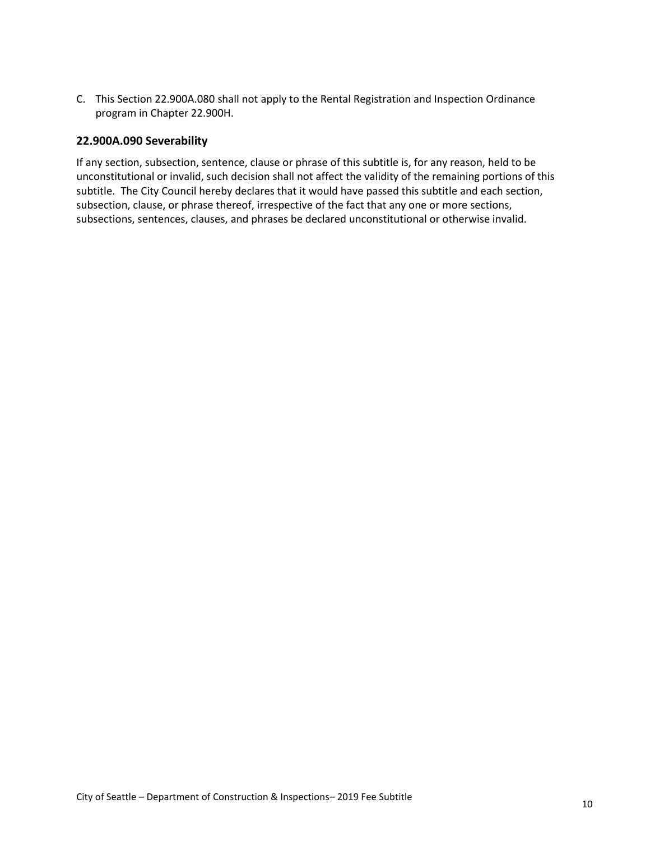C. This Section 22.900A.080 shall not apply to the Rental Registration and Inspection Ordinance program in Chapter 22.900H.

#### <span id="page-9-0"></span>**22.900A.090 Severability**

If any section, subsection, sentence, clause or phrase of this subtitle is, for any reason, held to be unconstitutional or invalid, such decision shall not affect the validity of the remaining portions of this subtitle. The City Council hereby declares that it would have passed this subtitle and each section, subsection, clause, or phrase thereof, irrespective of the fact that any one or more sections, subsections, sentences, clauses, and phrases be declared unconstitutional or otherwise invalid.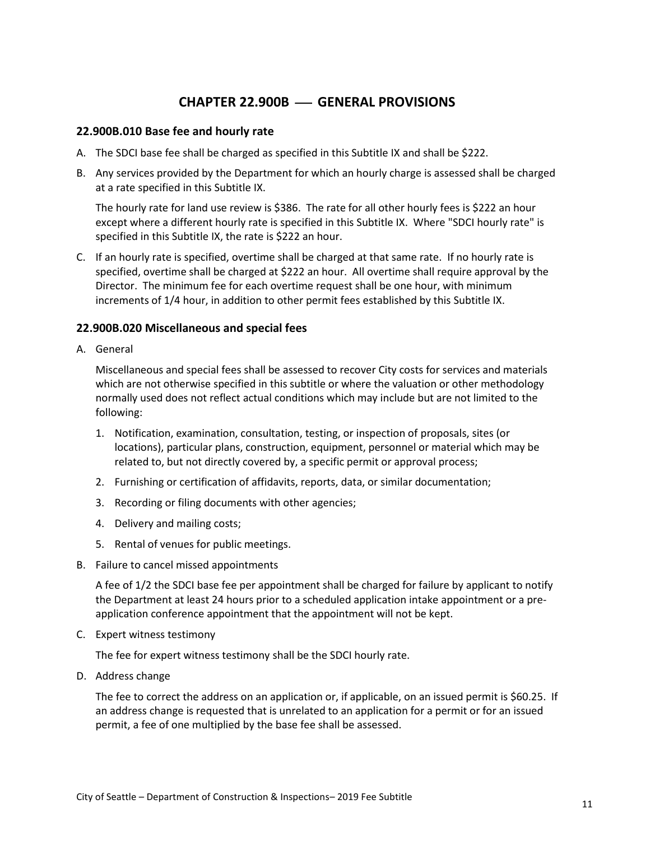### **CHAPTER 22.900B** ⎯ **GENERAL PROVISIONS**

#### <span id="page-10-1"></span><span id="page-10-0"></span>**22.900B.010 Base fee and hourly rate**

- A. The SDCI base fee shall be charged as specified in this Subtitle IX and shall be \$222.
- B. Any services provided by the Department for which an hourly charge is assessed shall be charged at a rate specified in this Subtitle IX.

The hourly rate for land use review is \$386. The rate for all other hourly fees is \$222 an hour except where a different hourly rate is specified in this Subtitle IX. Where "SDCI hourly rate" is specified in this Subtitle IX, the rate is \$222 an hour.

C. If an hourly rate is specified, overtime shall be charged at that same rate. If no hourly rate is specified, overtime shall be charged at \$222 an hour. All overtime shall require approval by the Director. The minimum fee for each overtime request shall be one hour, with minimum increments of 1/4 hour, in addition to other permit fees established by this Subtitle IX.

#### <span id="page-10-2"></span>**22.900B.020 Miscellaneous and special fees**

A. General

Miscellaneous and special fees shall be assessed to recover City costs for services and materials which are not otherwise specified in this subtitle or where the valuation or other methodology normally used does not reflect actual conditions which may include but are not limited to the following:

- 1. Notification, examination, consultation, testing, or inspection of proposals, sites (or locations), particular plans, construction, equipment, personnel or material which may be related to, but not directly covered by, a specific permit or approval process;
- 2. Furnishing or certification of affidavits, reports, data, or similar documentation;
- 3. Recording or filing documents with other agencies;
- 4. Delivery and mailing costs;
- 5. Rental of venues for public meetings.
- B. Failure to cancel missed appointments

A fee of 1/2 the SDCI base fee per appointment shall be charged for failure by applicant to notify the Department at least 24 hours prior to a scheduled application intake appointment or a preapplication conference appointment that the appointment will not be kept.

C. Expert witness testimony

The fee for expert witness testimony shall be the SDCI hourly rate.

D. Address change

The fee to correct the address on an application or, if applicable, on an issued permit is \$60.25. If an address change is requested that is unrelated to an application for a permit or for an issued permit, a fee of one multiplied by the base fee shall be assessed.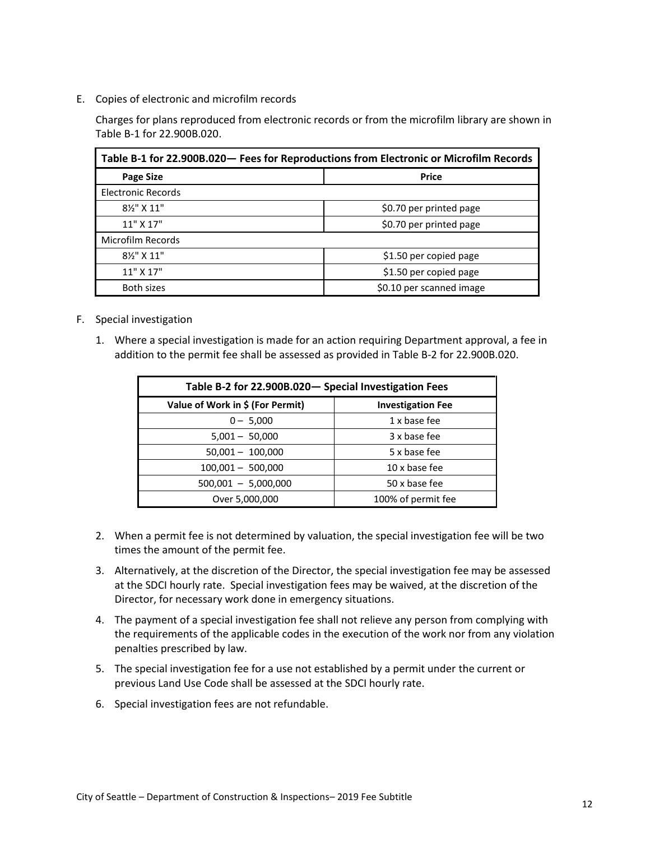E. Copies of electronic and microfilm records

Charges for plans reproduced from electronic records or from the microfilm library are shown in Table B-1 for 22.900B.020.

<span id="page-11-0"></span>

| Table B-1 for 22.900B.020 - Fees for Reproductions from Electronic or Microfilm Records |                         |  |  |
|-----------------------------------------------------------------------------------------|-------------------------|--|--|
| <b>Page Size</b><br><b>Price</b>                                                        |                         |  |  |
| Electronic Records                                                                      |                         |  |  |
| 81/2" X 11"                                                                             | \$0.70 per printed page |  |  |
| 11" X 17"                                                                               | \$0.70 per printed page |  |  |
| Microfilm Records                                                                       |                         |  |  |
| 81/2" X 11"                                                                             | \$1.50 per copied page  |  |  |
| 11" X 17"                                                                               | \$1.50 per copied page  |  |  |
| \$0.10 per scanned image<br><b>Both sizes</b>                                           |                         |  |  |

- F. Special investigation
	- 1. Where a special investigation is made for an action requiring Department approval, a fee in addition to the permit fee shall be assessed as provided in Table B-2 for 22.900B.020.

<span id="page-11-1"></span>

| Table B-2 for 22.900B.020- Special Investigation Fees |                          |  |  |
|-------------------------------------------------------|--------------------------|--|--|
| Value of Work in \$ (For Permit)                      | <b>Investigation Fee</b> |  |  |
| $0 - 5,000$                                           | 1 x base fee             |  |  |
| $5,001 - 50,000$                                      | 3 x base fee             |  |  |
| $50,001 - 100,000$                                    | 5 x base fee             |  |  |
| $100,001 - 500,000$                                   | 10 x base fee            |  |  |
| $500,001 - 5,000,000$                                 | 50 x base fee            |  |  |
| 100% of permit fee<br>Over 5,000,000                  |                          |  |  |

- 2. When a permit fee is not determined by valuation, the special investigation fee will be two times the amount of the permit fee.
- 3. Alternatively, at the discretion of the Director, the special investigation fee may be assessed at the SDCI hourly rate. Special investigation fees may be waived, at the discretion of the Director, for necessary work done in emergency situations.
- 4. The payment of a special investigation fee shall not relieve any person from complying with the requirements of the applicable codes in the execution of the work nor from any violation penalties prescribed by law.
- 5. The special investigation fee for a use not established by a permit under the current or previous Land Use Code shall be assessed at the SDCI hourly rate.
- 6. Special investigation fees are not refundable.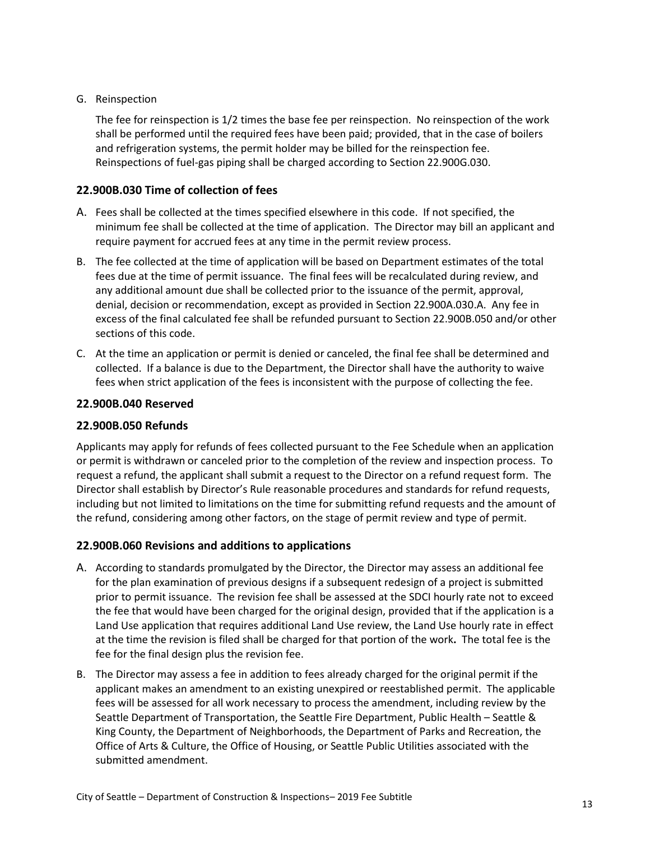#### G. Reinspection

The fee for reinspection is 1/2 times the base fee per reinspection. No reinspection of the work shall be performed until the required fees have been paid; provided, that in the case of boilers and refrigeration systems, the permit holder may be billed for the reinspection fee. Reinspections of fuel-gas piping shall be charged according to Section 22.900G.030.

#### <span id="page-12-0"></span>**22.900B.030 Time of collection of fees**

- A. Fees shall be collected at the times specified elsewhere in this code. If not specified, the minimum fee shall be collected at the time of application. The Director may bill an applicant and require payment for accrued fees at any time in the permit review process.
- B. The fee collected at the time of application will be based on Department estimates of the total fees due at the time of permit issuance. The final fees will be recalculated during review, and any additional amount due shall be collected prior to the issuance of the permit, approval, denial, decision or recommendation, except as provided in Section 22.900A.030.A. Any fee in excess of the final calculated fee shall be refunded pursuant to Section 22.900B.050 and/or other sections of this code.
- C. At the time an application or permit is denied or canceled, the final fee shall be determined and collected. If a balance is due to the Department, the Director shall have the authority to waive fees when strict application of the fees is inconsistent with the purpose of collecting the fee.

#### <span id="page-12-1"></span>**22.900B.040 Reserved**

#### <span id="page-12-2"></span>**22.900B.050 Refunds**

Applicants may apply for refunds of fees collected pursuant to the Fee Schedule when an application or permit is withdrawn or canceled prior to the completion of the review and inspection process. To request a refund, the applicant shall submit a request to the Director on a refund request form. The Director shall establish by Director's Rule reasonable procedures and standards for refund requests, including but not limited to limitations on the time for submitting refund requests and the amount of the refund, considering among other factors, on the stage of permit review and type of permit.

#### <span id="page-12-3"></span>**22.900B.060 Revisions and additions to applications**

- A. According to standards promulgated by the Director, the Director may assess an additional fee for the plan examination of previous designs if a subsequent redesign of a project is submitted prior to permit issuance. The revision fee shall be assessed at the SDCI hourly rate not to exceed the fee that would have been charged for the original design, provided that if the application is a Land Use application that requires additional Land Use review, the Land Use hourly rate in effect at the time the revision is filed shall be charged for that portion of the work**.** The total fee is the fee for the final design plus the revision fee.
- B. The Director may assess a fee in addition to fees already charged for the original permit if the applicant makes an amendment to an existing unexpired or reestablished permit. The applicable fees will be assessed for all work necessary to process the amendment, including review by the Seattle Department of Transportation, the Seattle Fire Department, Public Health – Seattle & King County, the Department of Neighborhoods, the Department of Parks and Recreation, the Office of Arts & Culture, the Office of Housing, or Seattle Public Utilities associated with the submitted amendment.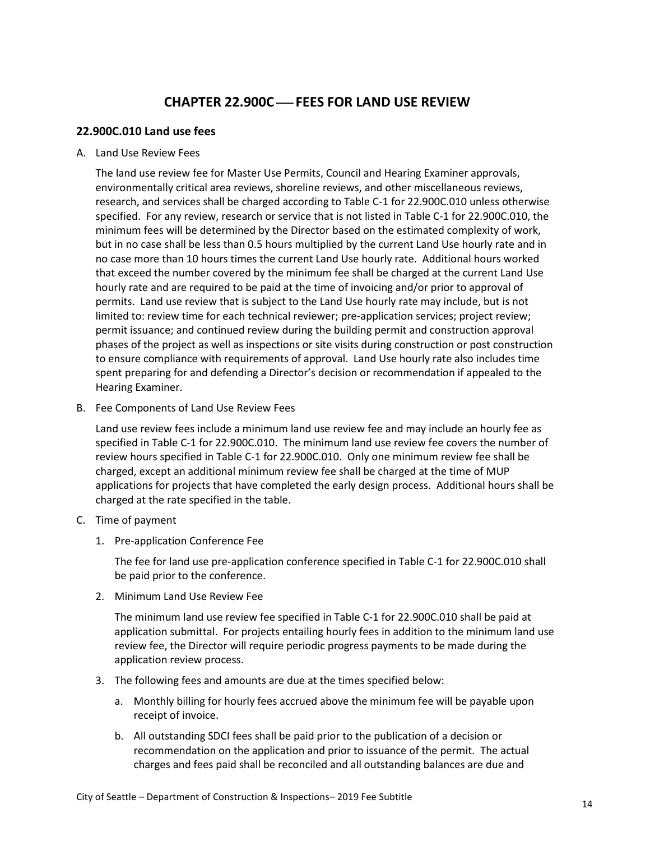## **CHAPTER 22.900C** ⎯ **FEES FOR LAND USE REVIEW**

#### <span id="page-13-1"></span><span id="page-13-0"></span>**22.900C.010 Land use fees**

A. Land Use Review Fees

The land use review fee for Master Use Permits, Council and Hearing Examiner approvals, environmentally critical area reviews, shoreline reviews, and other miscellaneous reviews, research, and services shall be charged according to Table C-1 for 22.900C.010 unless otherwise specified. For any review, research or service that is not listed in Table C-1 for 22.900C.010, the minimum fees will be determined by the Director based on the estimated complexity of work, but in no case shall be less than 0.5 hours multiplied by the current Land Use hourly rate and in no case more than 10 hours times the current Land Use hourly rate. Additional hours worked that exceed the number covered by the minimum fee shall be charged at the current Land Use hourly rate and are required to be paid at the time of invoicing and/or prior to approval of permits. Land use review that is subject to the Land Use hourly rate may include, but is not limited to: review time for each technical reviewer; pre-application services; project review; permit issuance; and continued review during the building permit and construction approval phases of the project as well as inspections or site visits during construction or post construction to ensure compliance with requirements of approval. Land Use hourly rate also includes time spent preparing for and defending a Director's decision or recommendation if appealed to the Hearing Examiner.

B. Fee Components of Land Use Review Fees

Land use review fees include a minimum land use review fee and may include an hourly fee as specified in Table C-1 for 22.900C.010. The minimum land use review fee covers the number of review hours specified in Table C-1 for 22.900C.010. Only one minimum review fee shall be charged, except an additional minimum review fee shall be charged at the time of MUP applications for projects that have completed the early design process. Additional hours shall be charged at the rate specified in the table.

- C. Time of payment
	- 1. Pre-application Conference Fee

The fee for land use pre-application conference specified in Table C-1 for 22.900C.010 shall be paid prior to the conference.

2. Minimum Land Use Review Fee

The minimum land use review fee specified in Table C-1 for 22.900C.010 shall be paid at application submittal. For projects entailing hourly fees in addition to the minimum land use review fee, the Director will require periodic progress payments to be made during the application review process.

- 3. The following fees and amounts are due at the times specified below:
	- a. Monthly billing for hourly fees accrued above the minimum fee will be payable upon receipt of invoice.
	- b. All outstanding SDCI fees shall be paid prior to the publication of a decision or recommendation on the application and prior to issuance of the permit. The actual charges and fees paid shall be reconciled and all outstanding balances are due and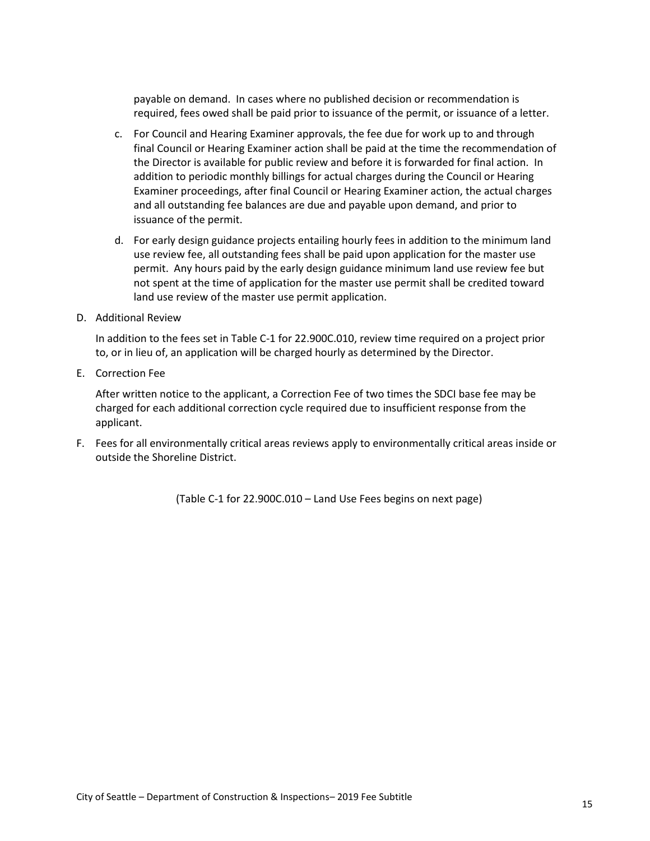payable on demand. In cases where no published decision or recommendation is required, fees owed shall be paid prior to issuance of the permit, or issuance of a letter.

- c. For Council and Hearing Examiner approvals, the fee due for work up to and through final Council or Hearing Examiner action shall be paid at the time the recommendation of the Director is available for public review and before it is forwarded for final action. In addition to periodic monthly billings for actual charges during the Council or Hearing Examiner proceedings, after final Council or Hearing Examiner action, the actual charges and all outstanding fee balances are due and payable upon demand, and prior to issuance of the permit.
- d. For early design guidance projects entailing hourly fees in addition to the minimum land use review fee, all outstanding fees shall be paid upon application for the master use permit. Any hours paid by the early design guidance minimum land use review fee but not spent at the time of application for the master use permit shall be credited toward land use review of the master use permit application.
- D. Additional Review

In addition to the fees set in Table C-1 for 22.900C.010, review time required on a project prior to, or in lieu of, an application will be charged hourly as determined by the Director.

E. Correction Fee

After written notice to the applicant, a Correction Fee of two times the SDCI base fee may be charged for each additional correction cycle required due to insufficient response from the applicant.

F. Fees for all environmentally critical areas reviews apply to environmentally critical areas inside or outside the Shoreline District.

(Table C-1 for 22.900C.010 – Land Use Fees begins on next page)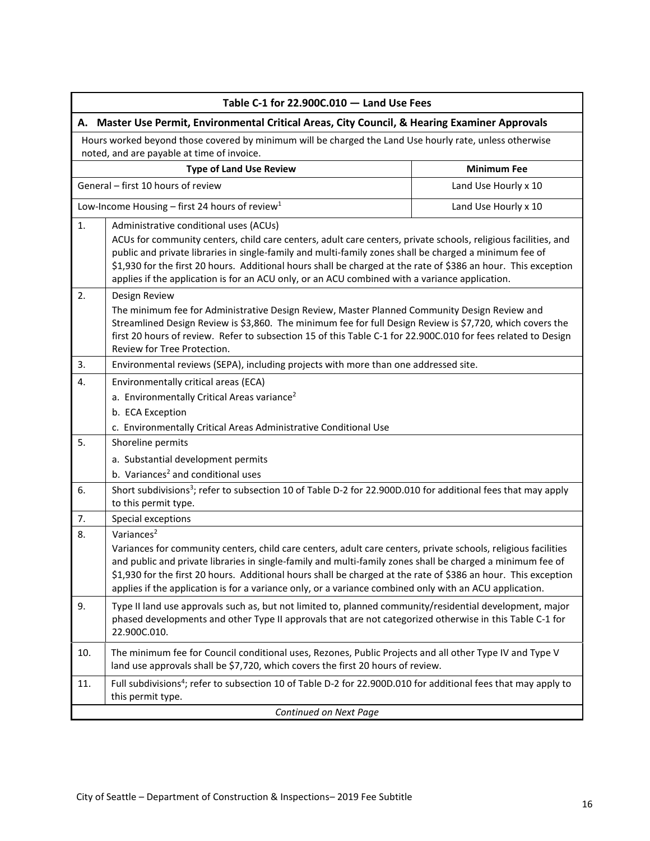<span id="page-15-1"></span><span id="page-15-0"></span>

| Table C-1 for 22.900C.010 - Land Use Fees                                                                                                             |                                                                                                                                                                                                                                                                                                                                                                                                                                                                                        |                      |  |
|-------------------------------------------------------------------------------------------------------------------------------------------------------|----------------------------------------------------------------------------------------------------------------------------------------------------------------------------------------------------------------------------------------------------------------------------------------------------------------------------------------------------------------------------------------------------------------------------------------------------------------------------------------|----------------------|--|
| A. Master Use Permit, Environmental Critical Areas, City Council, & Hearing Examiner Approvals                                                        |                                                                                                                                                                                                                                                                                                                                                                                                                                                                                        |                      |  |
| Hours worked beyond those covered by minimum will be charged the Land Use hourly rate, unless otherwise<br>noted, and are payable at time of invoice. |                                                                                                                                                                                                                                                                                                                                                                                                                                                                                        |                      |  |
|                                                                                                                                                       | <b>Type of Land Use Review</b>                                                                                                                                                                                                                                                                                                                                                                                                                                                         | <b>Minimum Fee</b>   |  |
|                                                                                                                                                       | General - first 10 hours of review                                                                                                                                                                                                                                                                                                                                                                                                                                                     | Land Use Hourly x 10 |  |
|                                                                                                                                                       | Low-Income Housing – first 24 hours of review <sup>1</sup>                                                                                                                                                                                                                                                                                                                                                                                                                             | Land Use Hourly x 10 |  |
| 1.                                                                                                                                                    | Administrative conditional uses (ACUs)<br>ACUs for community centers, child care centers, adult care centers, private schools, religious facilities, and<br>public and private libraries in single-family and multi-family zones shall be charged a minimum fee of<br>\$1,930 for the first 20 hours. Additional hours shall be charged at the rate of \$386 an hour. This exception<br>applies if the application is for an ACU only, or an ACU combined with a variance application. |                      |  |
| 2.                                                                                                                                                    | Design Review<br>The minimum fee for Administrative Design Review, Master Planned Community Design Review and<br>Streamlined Design Review is \$3,860. The minimum fee for full Design Review is \$7,720, which covers the<br>first 20 hours of review. Refer to subsection 15 of this Table C-1 for 22.900C.010 for fees related to Design<br>Review for Tree Protection.                                                                                                             |                      |  |
| 3.                                                                                                                                                    | Environmental reviews (SEPA), including projects with more than one addressed site.                                                                                                                                                                                                                                                                                                                                                                                                    |                      |  |
| 4.                                                                                                                                                    | Environmentally critical areas (ECA)<br>a. Environmentally Critical Areas variance <sup>2</sup><br>b. ECA Exception<br>c. Environmentally Critical Areas Administrative Conditional Use                                                                                                                                                                                                                                                                                                |                      |  |
| 5.                                                                                                                                                    | Shoreline permits<br>a. Substantial development permits<br>b. Variances <sup>2</sup> and conditional uses                                                                                                                                                                                                                                                                                                                                                                              |                      |  |
| 6.                                                                                                                                                    | Short subdivisions <sup>3</sup> ; refer to subsection 10 of Table D-2 for 22.900D.010 for additional fees that may apply<br>to this permit type.                                                                                                                                                                                                                                                                                                                                       |                      |  |
| 7.                                                                                                                                                    | Special exceptions                                                                                                                                                                                                                                                                                                                                                                                                                                                                     |                      |  |
| 8.                                                                                                                                                    | Variances <sup>2</sup><br>Variances for community centers, child care centers, adult care centers, private schools, religious facilities<br>and public and private libraries in single-family and multi-family zones shall be charged a minimum fee of<br>\$1,930 for the first 20 hours. Additional hours shall be charged at the rate of \$386 an hour. This exception<br>applies if the application is for a variance only, or a variance combined only with an ACU application.    |                      |  |
| 9.                                                                                                                                                    | Type II land use approvals such as, but not limited to, planned community/residential development, major<br>phased developments and other Type II approvals that are not categorized otherwise in this Table C-1 for<br>22.900C.010.                                                                                                                                                                                                                                                   |                      |  |
| 10.                                                                                                                                                   | The minimum fee for Council conditional uses, Rezones, Public Projects and all other Type IV and Type V<br>land use approvals shall be \$7,720, which covers the first 20 hours of review.                                                                                                                                                                                                                                                                                             |                      |  |
| 11.                                                                                                                                                   | Full subdivisions <sup>4</sup> ; refer to subsection 10 of Table D-2 for 22.900D.010 for additional fees that may apply to<br>this permit type.                                                                                                                                                                                                                                                                                                                                        |                      |  |
| Continued on Next Page                                                                                                                                |                                                                                                                                                                                                                                                                                                                                                                                                                                                                                        |                      |  |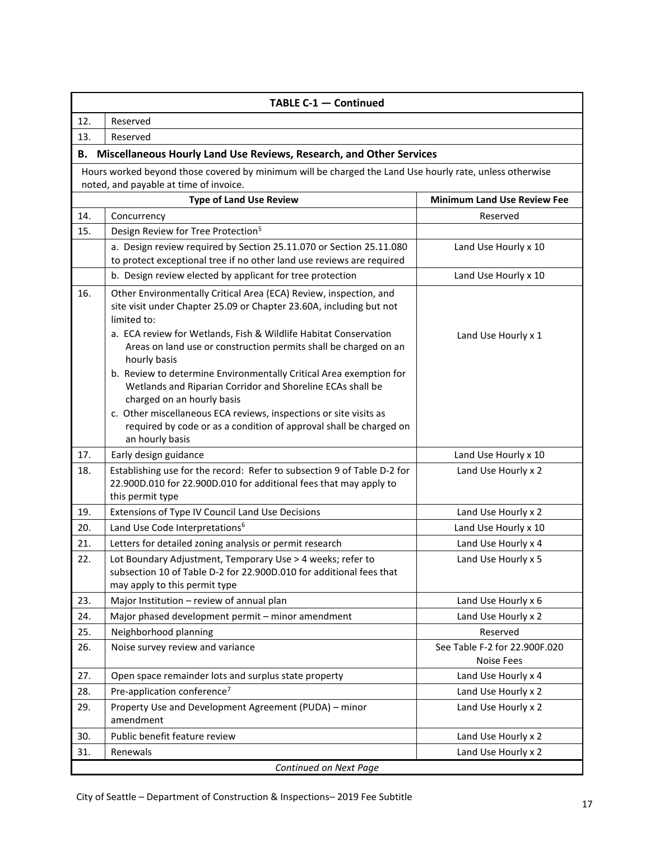<span id="page-16-0"></span>

| TABLE C-1 - Continued  |                                                                                                                                                                                                                                                                                                                              |                                                    |  |
|------------------------|------------------------------------------------------------------------------------------------------------------------------------------------------------------------------------------------------------------------------------------------------------------------------------------------------------------------------|----------------------------------------------------|--|
| 12.                    | Reserved                                                                                                                                                                                                                                                                                                                     |                                                    |  |
| 13.                    | Reserved                                                                                                                                                                                                                                                                                                                     |                                                    |  |
| В.                     | Miscellaneous Hourly Land Use Reviews, Research, and Other Services                                                                                                                                                                                                                                                          |                                                    |  |
|                        | Hours worked beyond those covered by minimum will be charged the Land Use hourly rate, unless otherwise                                                                                                                                                                                                                      |                                                    |  |
|                        | noted, and payable at time of invoice.                                                                                                                                                                                                                                                                                       |                                                    |  |
|                        | <b>Type of Land Use Review</b>                                                                                                                                                                                                                                                                                               | <b>Minimum Land Use Review Fee</b>                 |  |
| 14.                    | Concurrency                                                                                                                                                                                                                                                                                                                  | Reserved                                           |  |
| 15.                    | Design Review for Tree Protection <sup>5</sup>                                                                                                                                                                                                                                                                               |                                                    |  |
|                        | a. Design review required by Section 25.11.070 or Section 25.11.080<br>to protect exceptional tree if no other land use reviews are required                                                                                                                                                                                 | Land Use Hourly x 10                               |  |
|                        | b. Design review elected by applicant for tree protection                                                                                                                                                                                                                                                                    | Land Use Hourly x 10                               |  |
| 16.                    | Other Environmentally Critical Area (ECA) Review, inspection, and<br>site visit under Chapter 25.09 or Chapter 23.60A, including but not<br>limited to:<br>a. ECA review for Wetlands, Fish & Wildlife Habitat Conservation<br>Areas on land use or construction permits shall be charged on an<br>hourly basis              | Land Use Hourly x 1                                |  |
|                        | b. Review to determine Environmentally Critical Area exemption for<br>Wetlands and Riparian Corridor and Shoreline ECAs shall be<br>charged on an hourly basis<br>c. Other miscellaneous ECA reviews, inspections or site visits as<br>required by code or as a condition of approval shall be charged on<br>an hourly basis |                                                    |  |
| 17.                    | Early design guidance                                                                                                                                                                                                                                                                                                        | Land Use Hourly x 10                               |  |
| 18.                    | Establishing use for the record: Refer to subsection 9 of Table D-2 for<br>22.900D.010 for 22.900D.010 for additional fees that may apply to<br>this permit type                                                                                                                                                             | Land Use Hourly x 2                                |  |
| 19.                    | Extensions of Type IV Council Land Use Decisions                                                                                                                                                                                                                                                                             | Land Use Hourly x 2                                |  |
| 20.                    | Land Use Code Interpretations <sup>6</sup>                                                                                                                                                                                                                                                                                   | Land Use Hourly x 10                               |  |
| 21.                    | Letters for detailed zoning analysis or permit research                                                                                                                                                                                                                                                                      | Land Use Hourly x 4                                |  |
| 22.                    | Lot Boundary Adjustment, Temporary Use > 4 weeks; refer to<br>subsection 10 of Table D-2 for 22.900D.010 for additional fees that<br>may apply to this permit type                                                                                                                                                           | Land Use Hourly x 5                                |  |
| 23.                    | Major Institution - review of annual plan                                                                                                                                                                                                                                                                                    | Land Use Hourly x 6                                |  |
| 24.                    | Major phased development permit - minor amendment                                                                                                                                                                                                                                                                            | Land Use Hourly x 2                                |  |
| 25.                    | Neighborhood planning                                                                                                                                                                                                                                                                                                        | Reserved                                           |  |
| 26.                    | Noise survey review and variance                                                                                                                                                                                                                                                                                             | See Table F-2 for 22.900F.020<br><b>Noise Fees</b> |  |
| 27.                    | Open space remainder lots and surplus state property                                                                                                                                                                                                                                                                         | Land Use Hourly x 4                                |  |
| 28.                    | Pre-application conference <sup>7</sup>                                                                                                                                                                                                                                                                                      | Land Use Hourly x 2                                |  |
| 29.                    | Property Use and Development Agreement (PUDA) - minor<br>amendment                                                                                                                                                                                                                                                           | Land Use Hourly x 2                                |  |
| 30.                    | Public benefit feature review                                                                                                                                                                                                                                                                                                | Land Use Hourly x 2                                |  |
| 31.                    | Renewals                                                                                                                                                                                                                                                                                                                     | Land Use Hourly x 2                                |  |
| Continued on Next Page |                                                                                                                                                                                                                                                                                                                              |                                                    |  |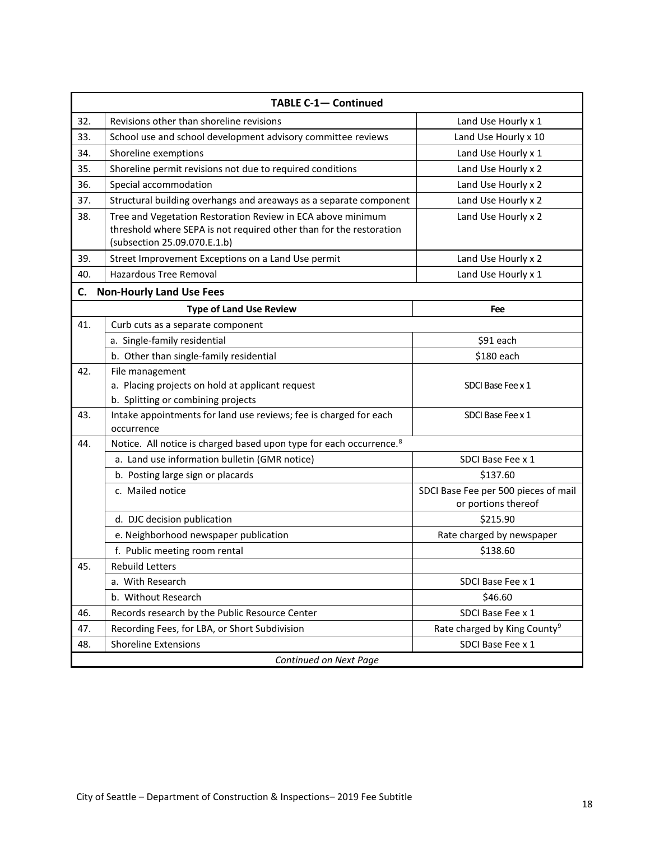<span id="page-17-0"></span>

| <b>TABLE C-1- Continued</b> |                                                                                                                                                                    |                                                             |  |
|-----------------------------|--------------------------------------------------------------------------------------------------------------------------------------------------------------------|-------------------------------------------------------------|--|
| 32.                         | Revisions other than shoreline revisions                                                                                                                           | Land Use Hourly x 1                                         |  |
| 33.                         | School use and school development advisory committee reviews                                                                                                       | Land Use Hourly x 10                                        |  |
| 34.                         | Shoreline exemptions                                                                                                                                               | Land Use Hourly x 1                                         |  |
| 35.                         | Shoreline permit revisions not due to required conditions                                                                                                          | Land Use Hourly x 2                                         |  |
| 36.                         | Special accommodation                                                                                                                                              | Land Use Hourly x 2                                         |  |
| 37.                         | Structural building overhangs and areaways as a separate component                                                                                                 | Land Use Hourly x 2                                         |  |
| 38.                         | Tree and Vegetation Restoration Review in ECA above minimum<br>threshold where SEPA is not required other than for the restoration<br>(subsection 25.09.070.E.1.b) | Land Use Hourly x 2                                         |  |
| 39.                         | Street Improvement Exceptions on a Land Use permit                                                                                                                 | Land Use Hourly x 2                                         |  |
| 40.                         | <b>Hazardous Tree Removal</b>                                                                                                                                      | Land Use Hourly x 1                                         |  |
| C.                          | <b>Non-Hourly Land Use Fees</b>                                                                                                                                    |                                                             |  |
|                             | <b>Type of Land Use Review</b>                                                                                                                                     | Fee                                                         |  |
| 41.                         | Curb cuts as a separate component                                                                                                                                  |                                                             |  |
|                             | a. Single-family residential                                                                                                                                       | \$91 each                                                   |  |
|                             | b. Other than single-family residential                                                                                                                            | \$180 each                                                  |  |
| 42.                         | File management<br>a. Placing projects on hold at applicant request<br>b. Splitting or combining projects                                                          | SDCI Base Fee x 1                                           |  |
| 43.                         | Intake appointments for land use reviews; fee is charged for each<br>occurrence                                                                                    | SDCI Base Fee x 1                                           |  |
| 44.                         | Notice. All notice is charged based upon type for each occurrence. <sup>8</sup>                                                                                    |                                                             |  |
|                             | a. Land use information bulletin (GMR notice)                                                                                                                      | SDCI Base Fee x 1                                           |  |
|                             | b. Posting large sign or placards                                                                                                                                  | \$137.60                                                    |  |
|                             | c. Mailed notice                                                                                                                                                   | SDCI Base Fee per 500 pieces of mail<br>or portions thereof |  |
|                             | d. DJC decision publication                                                                                                                                        | \$215.90                                                    |  |
|                             | e. Neighborhood newspaper publication                                                                                                                              | Rate charged by newspaper                                   |  |
|                             | f. Public meeting room rental                                                                                                                                      | \$138.60                                                    |  |
| 45.                         | Rebuild Letters                                                                                                                                                    |                                                             |  |
|                             | a. With Research                                                                                                                                                   | SDCI Base Fee x 1                                           |  |
|                             | b. Without Research                                                                                                                                                | \$46.60                                                     |  |
| 46.                         | Records research by the Public Resource Center                                                                                                                     | SDCI Base Fee x 1                                           |  |
| 47.                         | Recording Fees, for LBA, or Short Subdivision                                                                                                                      | Rate charged by King County <sup>9</sup>                    |  |
| 48.                         | <b>Shoreline Extensions</b>                                                                                                                                        | SDCI Base Fee x 1                                           |  |
| Continued on Next Page      |                                                                                                                                                                    |                                                             |  |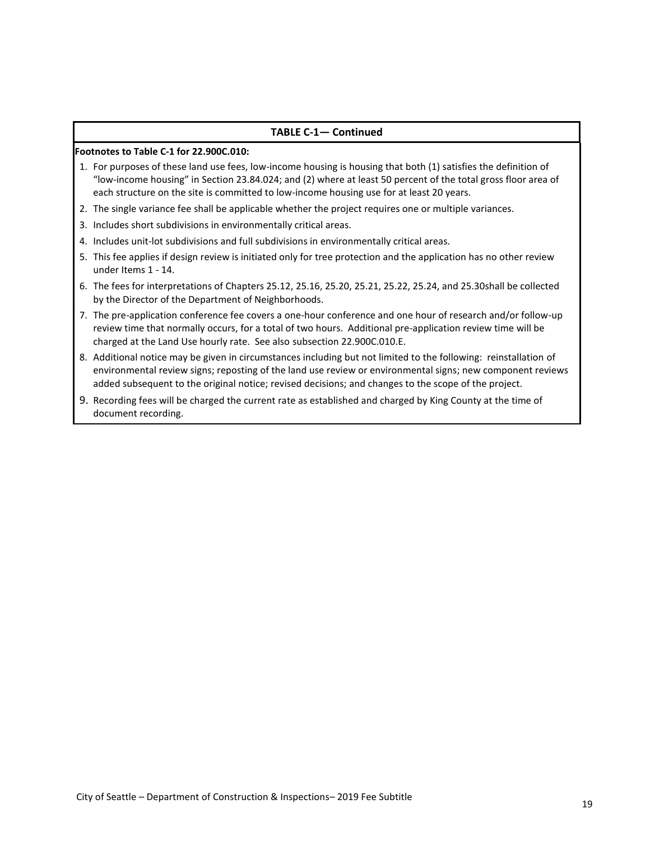#### **TABLE C-1— Continued**

#### **Footnotes to Table C-1 for 22.900C.010:**

- 1. For purposes of these land use fees, low-income housing is housing that both (1) satisfies the definition of "low-income housing" in Section 23.84.024; and (2) where at least 50 percent of the total gross floor area of each structure on the site is committed to low-income housing use for at least 20 years.
- 2. The single variance fee shall be applicable whether the project requires one or multiple variances.
- 3. Includes short subdivisions in environmentally critical areas.
- 4. Includes unit-lot subdivisions and full subdivisions in environmentally critical areas.
- 5. This fee applies if design review is initiated only for tree protection and the application has no other review under Items 1 - 14.
- 6. The fees for interpretations of Chapters 25.12, 25.16, 25.20, 25.21, 25.22, 25.24, and 25.30shall be collected by the Director of the Department of Neighborhoods.
- 7. The pre-application conference fee covers a one-hour conference and one hour of research and/or follow-up review time that normally occurs, for a total of two hours. Additional pre-application review time will be charged at the Land Use hourly rate. See also subsection 22.900C.010.E.
- 8. Additional notice may be given in circumstances including but not limited to the following: reinstallation of environmental review signs; reposting of the land use review or environmental signs; new component reviews added subsequent to the original notice; revised decisions; and changes to the scope of the project.
- 9. Recording fees will be charged the current rate as established and charged by King County at the time of document recording.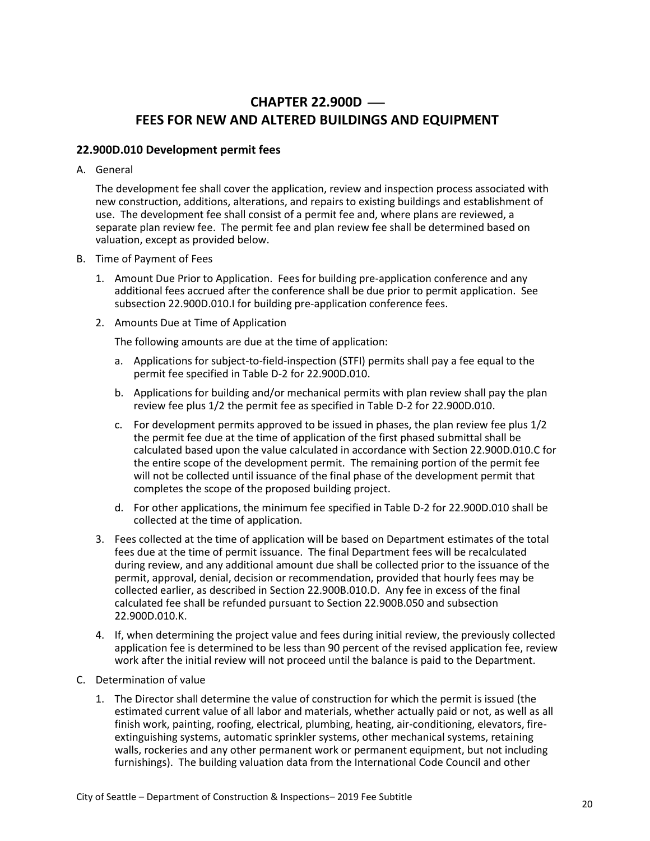# **CHAPTER 22.900D – FEES FOR NEW AND ALTERED BUILDINGS AND EQUIPMENT**

#### <span id="page-19-1"></span><span id="page-19-0"></span>**22.900D.010 Development permit fees**

A. General

The development fee shall cover the application, review and inspection process associated with new construction, additions, alterations, and repairs to existing buildings and establishment of use. The development fee shall consist of a permit fee and, where plans are reviewed, a separate plan review fee. The permit fee and plan review fee shall be determined based on valuation, except as provided below.

- B. Time of Payment of Fees
	- 1. Amount Due Prior to Application. Fees for building pre-application conference and any additional fees accrued after the conference shall be due prior to permit application. See subsection 22.900D.010.I for building pre-application conference fees.
	- 2. Amounts Due at Time of Application

The following amounts are due at the time of application:

- a. Applications for subject-to-field-inspection (STFI) permits shall pay a fee equal to the permit fee specified in Table D-2 for 22.900D.010.
- b. Applications for building and/or mechanical permits with plan review shall pay the plan review fee plus 1/2 the permit fee as specified in Table D-2 for 22.900D.010.
- c. For development permits approved to be issued in phases, the plan review fee plus 1/2 the permit fee due at the time of application of the first phased submittal shall be calculated based upon the value calculated in accordance with Section 22.900D.010.C for the entire scope of the development permit. The remaining portion of the permit fee will not be collected until issuance of the final phase of the development permit that completes the scope of the proposed building project.
- d. For other applications, the minimum fee specified in Table D-2 for 22.900D.010 shall be collected at the time of application.
- 3. Fees collected at the time of application will be based on Department estimates of the total fees due at the time of permit issuance. The final Department fees will be recalculated during review, and any additional amount due shall be collected prior to the issuance of the permit, approval, denial, decision or recommendation, provided that hourly fees may be collected earlier, as described in Section 22.900B.010.D. Any fee in excess of the final calculated fee shall be refunded pursuant to Section 22.900B.050 and subsection 22.900D.010.K.
- 4. If, when determining the project value and fees during initial review, the previously collected application fee is determined to be less than 90 percent of the revised application fee, review work after the initial review will not proceed until the balance is paid to the Department.
- C. Determination of value
	- 1. The Director shall determine the value of construction for which the permit is issued (the estimated current value of all labor and materials, whether actually paid or not, as well as all finish work, painting, roofing, electrical, plumbing, heating, air-conditioning, elevators, fireextinguishing systems, automatic sprinkler systems, other mechanical systems, retaining walls, rockeries and any other permanent work or permanent equipment, but not including furnishings). The building valuation data from the International Code Council and other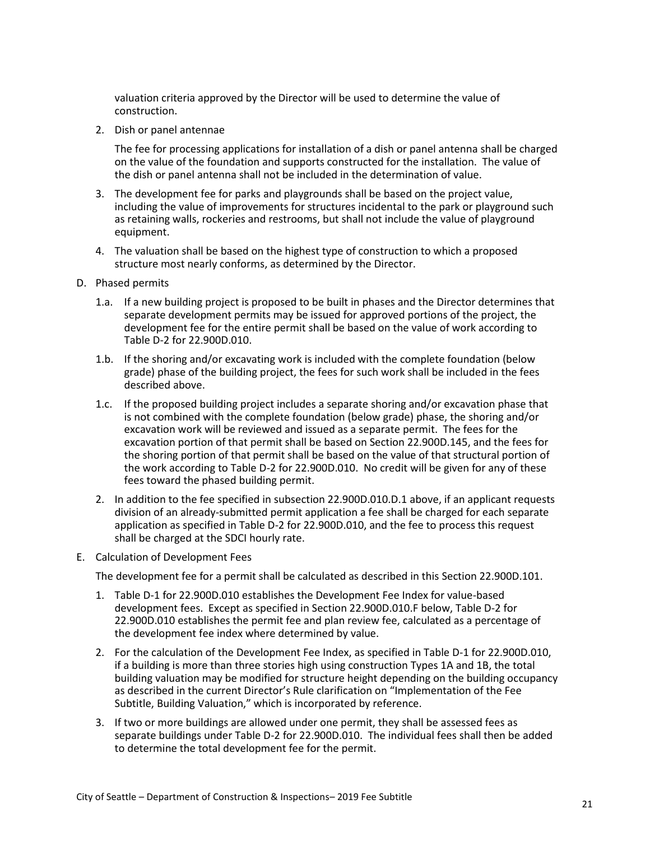valuation criteria approved by the Director will be used to determine the value of construction.

2. Dish or panel antennae

The fee for processing applications for installation of a dish or panel antenna shall be charged on the value of the foundation and supports constructed for the installation. The value of the dish or panel antenna shall not be included in the determination of value.

- 3. The development fee for parks and playgrounds shall be based on the project value, including the value of improvements for structures incidental to the park or playground such as retaining walls, rockeries and restrooms, but shall not include the value of playground equipment.
- 4. The valuation shall be based on the highest type of construction to which a proposed structure most nearly conforms, as determined by the Director.
- D. Phased permits
	- 1.a. If a new building project is proposed to be built in phases and the Director determines that separate development permits may be issued for approved portions of the project, the development fee for the entire permit shall be based on the value of work according to Table D-2 for 22.900D.010.
	- 1.b. If the shoring and/or excavating work is included with the complete foundation (below grade) phase of the building project, the fees for such work shall be included in the fees described above.
	- 1.c. If the proposed building project includes a separate shoring and/or excavation phase that is not combined with the complete foundation (below grade) phase, the shoring and/or excavation work will be reviewed and issued as a separate permit. The fees for the excavation portion of that permit shall be based on Section 22.900D.145, and the fees for the shoring portion of that permit shall be based on the value of that structural portion of the work according to Table D-2 for 22.900D.010. No credit will be given for any of these fees toward the phased building permit.
	- 2. In addition to the fee specified in subsection 22.900D.010.D.1 above, if an applicant requests division of an already-submitted permit application a fee shall be charged for each separate application as specified in Table D-2 for 22.900D.010, and the fee to process this request shall be charged at the SDCI hourly rate.
- E. Calculation of Development Fees

The development fee for a permit shall be calculated as described in this Section 22.900D.101.

- 1. Table D-1 for 22.900D.010 establishes the Development Fee Index for value-based development fees. Except as specified in Section 22.900D.010.F below, Table D-2 for 22.900D.010 establishes the permit fee and plan review fee, calculated as a percentage of the development fee index where determined by value.
- 2. For the calculation of the Development Fee Index, as specified in Table D-1 for 22.900D.010, if a building is more than three stories high using construction Types 1A and 1B, the total building valuation may be modified for structure height depending on the building occupancy as described in the current Director's Rule clarification on "Implementation of the Fee Subtitle, Building Valuation," which is incorporated by reference.
- 3. If two or more buildings are allowed under one permit, they shall be assessed fees as separate buildings under Table D-2 for 22.900D.010. The individual fees shall then be added to determine the total development fee for the permit.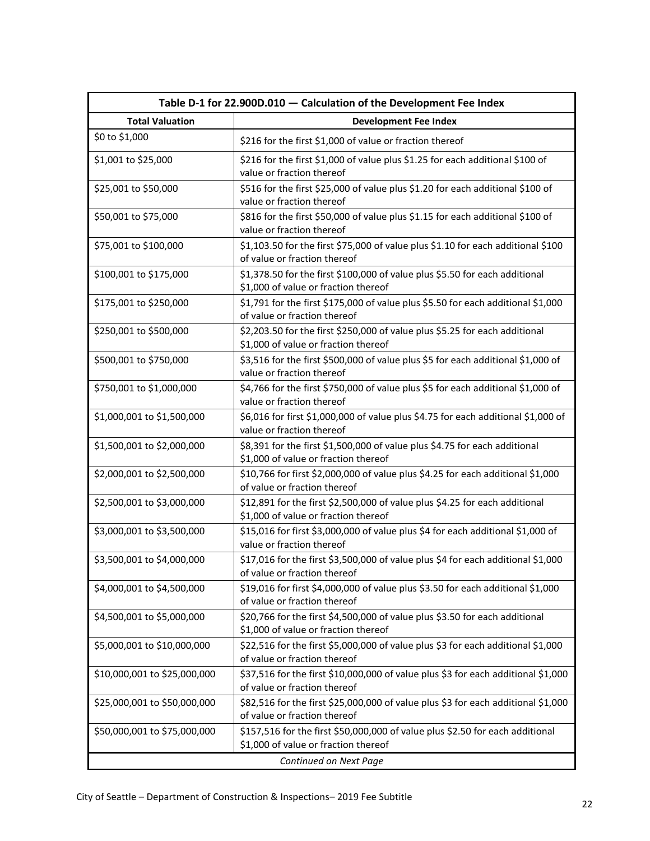<span id="page-21-0"></span>

| Table D-1 for 22.900D.010 - Calculation of the Development Fee Index |                                                                                                                       |  |  |
|----------------------------------------------------------------------|-----------------------------------------------------------------------------------------------------------------------|--|--|
| <b>Total Valuation</b>                                               | <b>Development Fee Index</b>                                                                                          |  |  |
| \$0 to \$1,000                                                       | \$216 for the first \$1,000 of value or fraction thereof                                                              |  |  |
| \$1,001 to \$25,000                                                  | \$216 for the first \$1,000 of value plus \$1.25 for each additional \$100 of<br>value or fraction thereof            |  |  |
| \$25,001 to \$50,000                                                 | \$516 for the first \$25,000 of value plus \$1.20 for each additional \$100 of<br>value or fraction thereof           |  |  |
| \$50,001 to \$75,000                                                 | \$816 for the first \$50,000 of value plus \$1.15 for each additional \$100 of<br>value or fraction thereof           |  |  |
| \$75,001 to \$100,000                                                | \$1,103.50 for the first \$75,000 of value plus \$1.10 for each additional \$100<br>of value or fraction thereof      |  |  |
| \$100,001 to \$175,000                                               | \$1,378.50 for the first \$100,000 of value plus \$5.50 for each additional<br>\$1,000 of value or fraction thereof   |  |  |
| \$175,001 to \$250,000                                               | \$1,791 for the first \$175,000 of value plus \$5.50 for each additional \$1,000<br>of value or fraction thereof      |  |  |
| \$250,001 to \$500,000                                               | \$2,203.50 for the first \$250,000 of value plus \$5.25 for each additional<br>\$1,000 of value or fraction thereof   |  |  |
| \$500,001 to \$750,000                                               | \$3,516 for the first \$500,000 of value plus \$5 for each additional \$1,000 of<br>value or fraction thereof         |  |  |
| \$750,001 to \$1,000,000                                             | \$4,766 for the first \$750,000 of value plus \$5 for each additional \$1,000 of<br>value or fraction thereof         |  |  |
| \$1,000,001 to \$1,500,000                                           | \$6,016 for first \$1,000,000 of value plus \$4.75 for each additional \$1,000 of<br>value or fraction thereof        |  |  |
| \$1,500,001 to \$2,000,000                                           | \$8,391 for the first \$1,500,000 of value plus \$4.75 for each additional<br>\$1,000 of value or fraction thereof    |  |  |
| \$2,000,001 to \$2,500,000                                           | \$10,766 for first \$2,000,000 of value plus \$4.25 for each additional \$1,000<br>of value or fraction thereof       |  |  |
| \$2,500,001 to \$3,000,000                                           | \$12,891 for the first \$2,500,000 of value plus \$4.25 for each additional<br>\$1,000 of value or fraction thereof   |  |  |
| \$3,000,001 to \$3,500,000                                           | \$15,016 for first \$3,000,000 of value plus \$4 for each additional \$1,000 of<br>value or fraction thereof          |  |  |
| \$3,500,001 to \$4,000,000                                           | \$17,016 for the first \$3,500,000 of value plus \$4 for each additional \$1,000<br>of value or fraction thereof      |  |  |
| \$4,000,001 to \$4,500,000                                           | \$19,016 for first \$4,000,000 of value plus \$3.50 for each additional \$1,000<br>of value or fraction thereof       |  |  |
| \$4,500,001 to \$5,000,000                                           | \$20,766 for the first \$4,500,000 of value plus \$3.50 for each additional<br>\$1,000 of value or fraction thereof   |  |  |
| \$5,000,001 to \$10,000,000                                          | \$22,516 for the first \$5,000,000 of value plus \$3 for each additional \$1,000<br>of value or fraction thereof      |  |  |
| \$10,000,001 to \$25,000,000                                         | \$37,516 for the first \$10,000,000 of value plus \$3 for each additional \$1,000<br>of value or fraction thereof     |  |  |
| \$25,000,001 to \$50,000,000                                         | \$82,516 for the first \$25,000,000 of value plus \$3 for each additional \$1,000<br>of value or fraction thereof     |  |  |
| \$50,000,001 to \$75,000,000                                         | \$157,516 for the first \$50,000,000 of value plus \$2.50 for each additional<br>\$1,000 of value or fraction thereof |  |  |
| Continued on Next Page                                               |                                                                                                                       |  |  |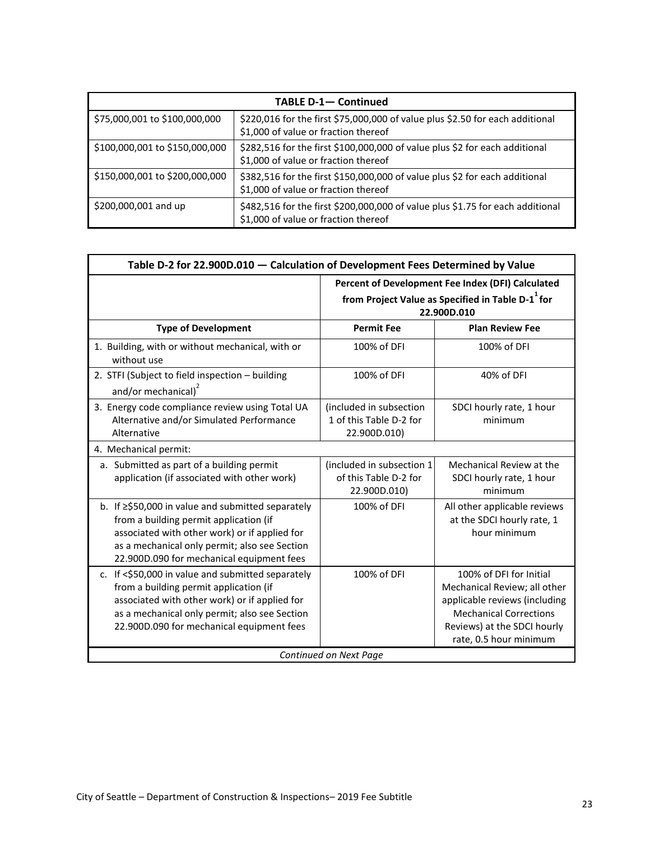| <b>TABLE D-1- Continued</b>    |                                                                                                                        |  |
|--------------------------------|------------------------------------------------------------------------------------------------------------------------|--|
| \$75,000,001 to \$100,000,000  | \$220,016 for the first \$75,000,000 of value plus \$2.50 for each additional<br>\$1,000 of value or fraction thereof  |  |
| \$100,000,001 to \$150,000,000 | \$282,516 for the first \$100,000,000 of value plus \$2 for each additional<br>\$1,000 of value or fraction thereof    |  |
| \$150,000,001 to \$200,000,000 | \$382,516 for the first \$150,000,000 of value plus \$2 for each additional<br>\$1,000 of value or fraction thereof    |  |
| \$200,000,001 and up           | \$482,516 for the first \$200,000,000 of value plus \$1.75 for each additional<br>\$1,000 of value or fraction thereof |  |

<span id="page-22-0"></span>

| Table D-2 for 22.900D.010 - Calculation of Development Fees Determined by Value                                                                                                                                                            |                                                                                                                                   |                                                                                                                                                                                    |  |
|--------------------------------------------------------------------------------------------------------------------------------------------------------------------------------------------------------------------------------------------|-----------------------------------------------------------------------------------------------------------------------------------|------------------------------------------------------------------------------------------------------------------------------------------------------------------------------------|--|
|                                                                                                                                                                                                                                            | Percent of Development Fee Index (DFI) Calculated<br>from Project Value as Specified in Table D-1 <sup>+</sup> for<br>22.900D.010 |                                                                                                                                                                                    |  |
| <b>Type of Development</b>                                                                                                                                                                                                                 | <b>Permit Fee</b>                                                                                                                 | <b>Plan Review Fee</b>                                                                                                                                                             |  |
| 1. Building, with or without mechanical, with or<br>without use                                                                                                                                                                            | 100% of DFI                                                                                                                       | 100% of DFI                                                                                                                                                                        |  |
| 2. STFI (Subject to field inspection - building<br>and/or mechanical) <sup>2</sup>                                                                                                                                                         | 100% of DFI                                                                                                                       | 40% of DFI                                                                                                                                                                         |  |
| 3. Energy code compliance review using Total UA<br>Alternative and/or Simulated Performance<br>Alternative                                                                                                                                 | (included in subsection<br>1 of this Table D-2 for<br>22.900D.010)                                                                | SDCI hourly rate, 1 hour<br>minimum                                                                                                                                                |  |
| 4. Mechanical permit:                                                                                                                                                                                                                      |                                                                                                                                   |                                                                                                                                                                                    |  |
| a. Submitted as part of a building permit<br>application (if associated with other work)                                                                                                                                                   | (included in subsection 1<br>of this Table D-2 for<br>22.900D.010)                                                                | Mechanical Review at the<br>SDCI hourly rate, 1 hour<br>minimum                                                                                                                    |  |
| b. If ≥\$50,000 in value and submitted separately<br>from a building permit application (if<br>associated with other work) or if applied for<br>as a mechanical only permit; also see Section<br>22.900D.090 for mechanical equipment fees | 100% of DFI                                                                                                                       | All other applicable reviews<br>at the SDCI hourly rate, 1<br>hour minimum                                                                                                         |  |
| c. If <\$50,000 in value and submitted separately<br>from a building permit application (if<br>associated with other work) or if applied for<br>as a mechanical only permit; also see Section<br>22.900D.090 for mechanical equipment fees | 100% of DFI                                                                                                                       | 100% of DFI for Initial<br>Mechanical Review; all other<br>applicable reviews (including<br><b>Mechanical Corrections</b><br>Reviews) at the SDCI hourly<br>rate, 0.5 hour minimum |  |
| Continued on Next Page                                                                                                                                                                                                                     |                                                                                                                                   |                                                                                                                                                                                    |  |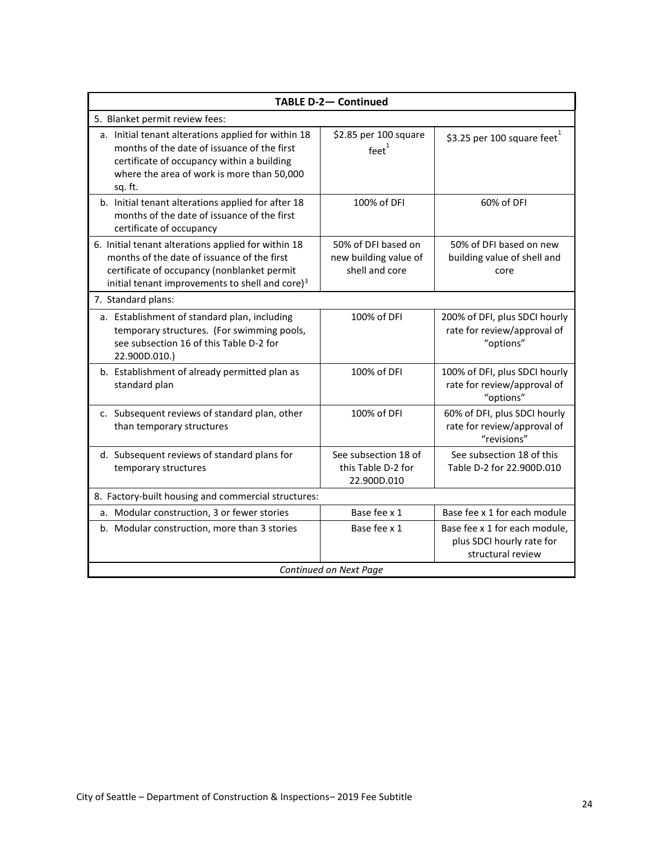| <b>TABLE D-2- Continued</b>                                                                                                                                                                                                                                                                                                                          |                                                           |                                                                                 |  |  |  |
|------------------------------------------------------------------------------------------------------------------------------------------------------------------------------------------------------------------------------------------------------------------------------------------------------------------------------------------------------|-----------------------------------------------------------|---------------------------------------------------------------------------------|--|--|--|
| 5. Blanket permit review fees:                                                                                                                                                                                                                                                                                                                       |                                                           |                                                                                 |  |  |  |
| a. Initial tenant alterations applied for within 18<br>months of the date of issuance of the first<br>certificate of occupancy within a building<br>where the area of work is more than 50,000<br>sq. ft.                                                                                                                                            | \$2.85 per 100 square<br>$feet^1$                         | \$3.25 per 100 square feet                                                      |  |  |  |
| b. Initial tenant alterations applied for after 18<br>months of the date of issuance of the first<br>certificate of occupancy                                                                                                                                                                                                                        | 100% of DFI                                               | 60% of DFI                                                                      |  |  |  |
| 6. Initial tenant alterations applied for within 18<br>50% of DFI based on<br>50% of DFI based on new<br>months of the date of issuance of the first<br>new building value of<br>building value of shell and<br>certificate of occupancy (nonblanket permit<br>shell and core<br>core<br>initial tenant improvements to shell and core) <sup>3</sup> |                                                           |                                                                                 |  |  |  |
| 7. Standard plans:                                                                                                                                                                                                                                                                                                                                   |                                                           |                                                                                 |  |  |  |
| a. Establishment of standard plan, including<br>temporary structures. (For swimming pools,<br>see subsection 16 of this Table D-2 for<br>22.900D.010.)                                                                                                                                                                                               | 100% of DFI                                               | 200% of DFI, plus SDCI hourly<br>rate for review/approval of<br>"options"       |  |  |  |
| b. Establishment of already permitted plan as<br>standard plan                                                                                                                                                                                                                                                                                       | 100% of DFI                                               | 100% of DFI, plus SDCI hourly<br>rate for review/approval of<br>"options"       |  |  |  |
| c. Subsequent reviews of standard plan, other<br>than temporary structures                                                                                                                                                                                                                                                                           | 100% of DFI                                               | 60% of DFI, plus SDCI hourly<br>rate for review/approval of<br>"revisions"      |  |  |  |
| d. Subsequent reviews of standard plans for<br>temporary structures                                                                                                                                                                                                                                                                                  | See subsection 18 of<br>this Table D-2 for<br>22.900D.010 | See subsection 18 of this<br>Table D-2 for 22.900D.010                          |  |  |  |
| 8. Factory-built housing and commercial structures:                                                                                                                                                                                                                                                                                                  |                                                           |                                                                                 |  |  |  |
| a. Modular construction, 3 or fewer stories                                                                                                                                                                                                                                                                                                          | Base fee x 1                                              | Base fee x 1 for each module                                                    |  |  |  |
| b. Modular construction, more than 3 stories                                                                                                                                                                                                                                                                                                         | Base fee x 1                                              | Base fee x 1 for each module,<br>plus SDCI hourly rate for<br>structural review |  |  |  |
| Continued on Next Page                                                                                                                                                                                                                                                                                                                               |                                                           |                                                                                 |  |  |  |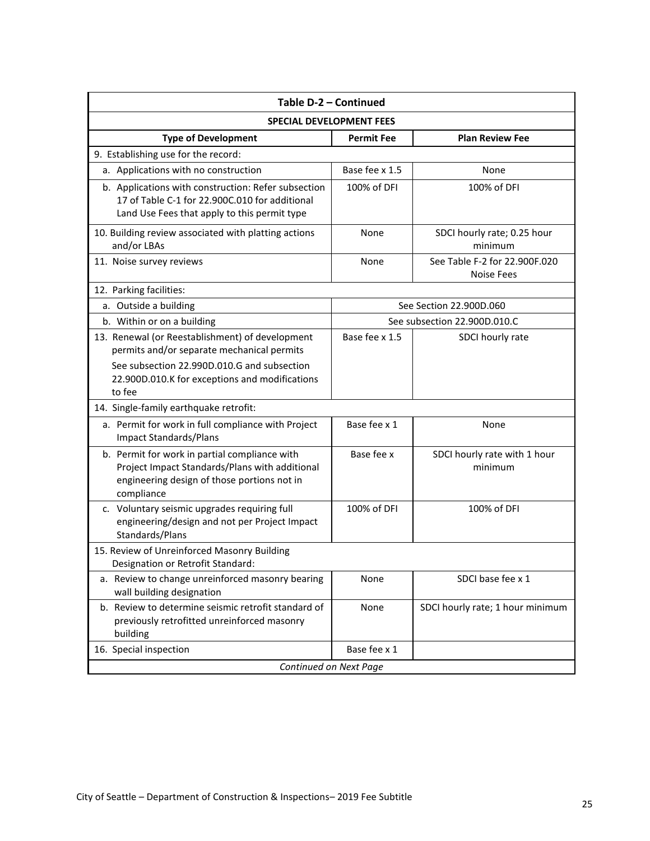| Table D-2 - Continued                                                                                                                                                                          |                   |                                                    |  |  |  |  |
|------------------------------------------------------------------------------------------------------------------------------------------------------------------------------------------------|-------------------|----------------------------------------------------|--|--|--|--|
| <b>SPECIAL DEVELOPMENT FEES</b>                                                                                                                                                                |                   |                                                    |  |  |  |  |
| <b>Type of Development</b>                                                                                                                                                                     | <b>Permit Fee</b> | <b>Plan Review Fee</b>                             |  |  |  |  |
| 9. Establishing use for the record:                                                                                                                                                            |                   |                                                    |  |  |  |  |
| a. Applications with no construction                                                                                                                                                           | Base fee x 1.5    | None                                               |  |  |  |  |
| b. Applications with construction: Refer subsection<br>17 of Table C-1 for 22.900C.010 for additional<br>Land Use Fees that apply to this permit type                                          | 100% of DFI       | 100% of DFI                                        |  |  |  |  |
| 10. Building review associated with platting actions<br>and/or LBAs                                                                                                                            | None              | SDCI hourly rate; 0.25 hour<br>minimum             |  |  |  |  |
| 11. Noise survey reviews                                                                                                                                                                       | None              | See Table F-2 for 22.900F.020<br><b>Noise Fees</b> |  |  |  |  |
| 12. Parking facilities:                                                                                                                                                                        |                   |                                                    |  |  |  |  |
| a. Outside a building                                                                                                                                                                          |                   | See Section 22.900D.060                            |  |  |  |  |
| b. Within or on a building                                                                                                                                                                     |                   | See subsection 22.900D.010.C                       |  |  |  |  |
| 13. Renewal (or Reestablishment) of development<br>permits and/or separate mechanical permits<br>See subsection 22.990D.010.G and subsection<br>22.900D.010.K for exceptions and modifications | Base fee x 1.5    | SDCI hourly rate                                   |  |  |  |  |
| to fee                                                                                                                                                                                         |                   |                                                    |  |  |  |  |
| 14. Single-family earthquake retrofit:                                                                                                                                                         |                   |                                                    |  |  |  |  |
| a. Permit for work in full compliance with Project<br><b>Impact Standards/Plans</b>                                                                                                            | Base fee x 1      | None                                               |  |  |  |  |
| b. Permit for work in partial compliance with<br>Project Impact Standards/Plans with additional<br>engineering design of those portions not in<br>compliance                                   | Base fee x        | SDCI hourly rate with 1 hour<br>minimum            |  |  |  |  |
| c. Voluntary seismic upgrades requiring full<br>engineering/design and not per Project Impact<br>Standards/Plans                                                                               | 100% of DFI       | 100% of DFI                                        |  |  |  |  |
| 15. Review of Unreinforced Masonry Building<br>Designation or Retrofit Standard:                                                                                                               |                   |                                                    |  |  |  |  |
| a. Review to change unreinforced masonry bearing<br>wall building designation                                                                                                                  | None              | SDCI base fee x 1                                  |  |  |  |  |
| b. Review to determine seismic retrofit standard of<br>previously retrofitted unreinforced masonry<br>building                                                                                 | None              | SDCI hourly rate; 1 hour minimum                   |  |  |  |  |
| 16. Special inspection                                                                                                                                                                         | Base fee x 1      |                                                    |  |  |  |  |
| Continued on Next Page                                                                                                                                                                         |                   |                                                    |  |  |  |  |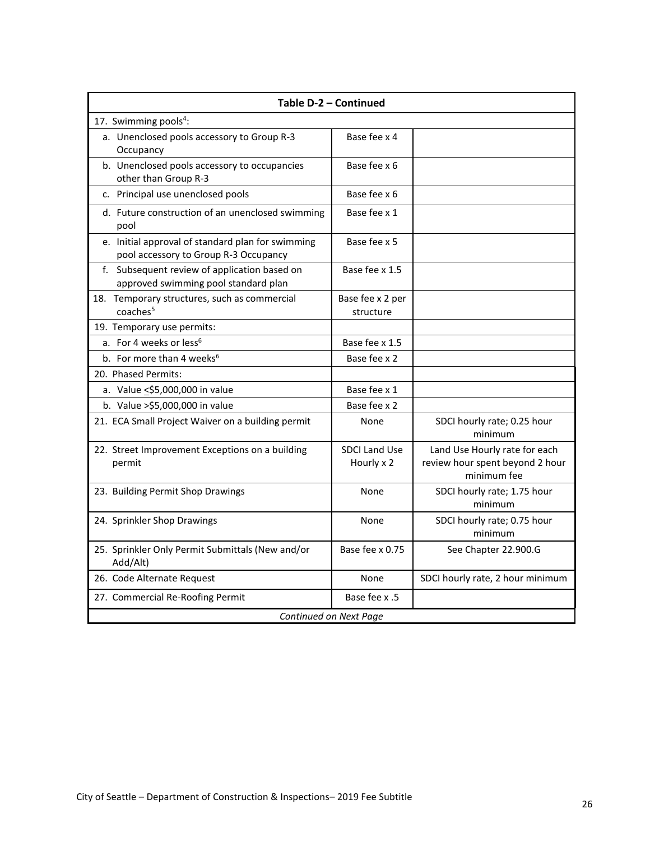| Table D-2 - Continued                                                                               |                                    |                                                                                 |  |  |  |
|-----------------------------------------------------------------------------------------------------|------------------------------------|---------------------------------------------------------------------------------|--|--|--|
| 17. Swimming pools <sup>4</sup> :                                                                   |                                    |                                                                                 |  |  |  |
| a. Unenclosed pools accessory to Group R-3<br>Occupancy                                             | Base fee x 4                       |                                                                                 |  |  |  |
| b. Unenclosed pools accessory to occupancies<br>other than Group R-3                                | Base fee x 6                       |                                                                                 |  |  |  |
| c. Principal use unenclosed pools                                                                   | Base fee x 6                       |                                                                                 |  |  |  |
| d. Future construction of an unenclosed swimming<br>pool                                            | Base fee x 1                       |                                                                                 |  |  |  |
| e. Initial approval of standard plan for swimming<br>pool accessory to Group R-3 Occupancy          | Base fee x 5                       |                                                                                 |  |  |  |
| f. Subsequent review of application based on<br>approved swimming pool standard plan                | Base fee x 1.5                     |                                                                                 |  |  |  |
| 18. Temporary structures, such as commercial<br>coaches <sup>5</sup>                                | Base fee x 2 per<br>structure      |                                                                                 |  |  |  |
| 19. Temporary use permits:                                                                          |                                    |                                                                                 |  |  |  |
| a. For 4 weeks or less <sup>6</sup>                                                                 | Base fee x 1.5                     |                                                                                 |  |  |  |
| b. For more than 4 weeks <sup>6</sup><br>Base fee x 2                                               |                                    |                                                                                 |  |  |  |
| 20. Phased Permits:                                                                                 |                                    |                                                                                 |  |  |  |
| Base fee x 1<br>a. Value <\$5,000,000 in value                                                      |                                    |                                                                                 |  |  |  |
| Base fee x 2<br>b. Value > \$5,000,000 in value                                                     |                                    |                                                                                 |  |  |  |
| 21. ECA Small Project Waiver on a building permit<br>SDCI hourly rate; 0.25 hour<br>None<br>minimum |                                    |                                                                                 |  |  |  |
| 22. Street Improvement Exceptions on a building<br>permit                                           | <b>SDCI Land Use</b><br>Hourly x 2 | Land Use Hourly rate for each<br>review hour spent beyond 2 hour<br>minimum fee |  |  |  |
| 23. Building Permit Shop Drawings                                                                   | None                               | SDCI hourly rate; 1.75 hour<br>minimum                                          |  |  |  |
| 24. Sprinkler Shop Drawings                                                                         | None                               | SDCI hourly rate; 0.75 hour<br>minimum                                          |  |  |  |
| 25. Sprinkler Only Permit Submittals (New and/or<br>Add/Alt)                                        | Base fee x 0.75                    | See Chapter 22.900.G                                                            |  |  |  |
| 26. Code Alternate Request                                                                          | None                               | SDCI hourly rate, 2 hour minimum                                                |  |  |  |
| 27. Commercial Re-Roofing Permit                                                                    | Base fee x .5                      |                                                                                 |  |  |  |
| Continued on Next Page                                                                              |                                    |                                                                                 |  |  |  |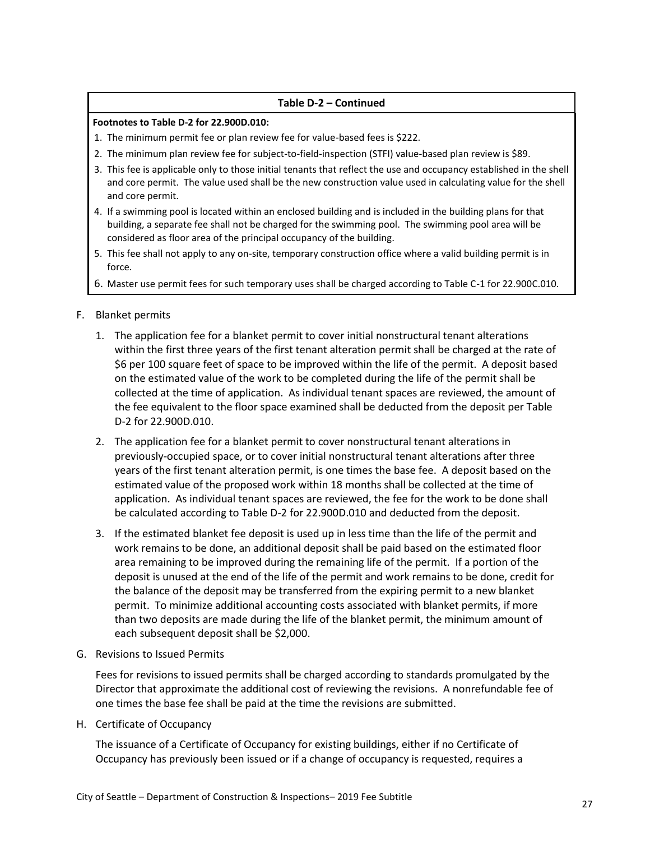#### **Table D-2 – Continued**

#### **Footnotes to Table D-2 for 22.900D.010:**

- 1. The minimum permit fee or plan review fee for value-based fees is \$222.
- 2. The minimum plan review fee for subject-to-field-inspection (STFI) value-based plan review is \$89.
- 3. This fee is applicable only to those initial tenants that reflect the use and occupancy established in the shell and core permit. The value used shall be the new construction value used in calculating value for the shell and core permit.
- 4. If a swimming pool is located within an enclosed building and is included in the building plans for that building, a separate fee shall not be charged for the swimming pool. The swimming pool area will be considered as floor area of the principal occupancy of the building.
- 5. This fee shall not apply to any on-site, temporary construction office where a valid building permit is in force.
- 6. Master use permit fees for such temporary uses shall be charged according to Table C-1 for 22.900C.010.
- F. Blanket permits
	- 1. The application fee for a blanket permit to cover initial nonstructural tenant alterations within the first three years of the first tenant alteration permit shall be charged at the rate of \$6 per 100 square feet of space to be improved within the life of the permit. A deposit based on the estimated value of the work to be completed during the life of the permit shall be collected at the time of application. As individual tenant spaces are reviewed, the amount of the fee equivalent to the floor space examined shall be deducted from the deposit per Table D-2 for 22.900D.010.
	- 2. The application fee for a blanket permit to cover nonstructural tenant alterations in previously-occupied space, or to cover initial nonstructural tenant alterations after three years of the first tenant alteration permit, is one times the base fee. A deposit based on the estimated value of the proposed work within 18 months shall be collected at the time of application. As individual tenant spaces are reviewed, the fee for the work to be done shall be calculated according to Table D-2 for 22.900D.010 and deducted from the deposit.
	- 3. If the estimated blanket fee deposit is used up in less time than the life of the permit and work remains to be done, an additional deposit shall be paid based on the estimated floor area remaining to be improved during the remaining life of the permit. If a portion of the deposit is unused at the end of the life of the permit and work remains to be done, credit for the balance of the deposit may be transferred from the expiring permit to a new blanket permit. To minimize additional accounting costs associated with blanket permits, if more than two deposits are made during the life of the blanket permit, the minimum amount of each subsequent deposit shall be \$2,000.
- G. Revisions to Issued Permits

Fees for revisions to issued permits shall be charged according to standards promulgated by the Director that approximate the additional cost of reviewing the revisions. A nonrefundable fee of one times the base fee shall be paid at the time the revisions are submitted.

H. Certificate of Occupancy

The issuance of a Certificate of Occupancy for existing buildings, either if no Certificate of Occupancy has previously been issued or if a change of occupancy is requested, requires a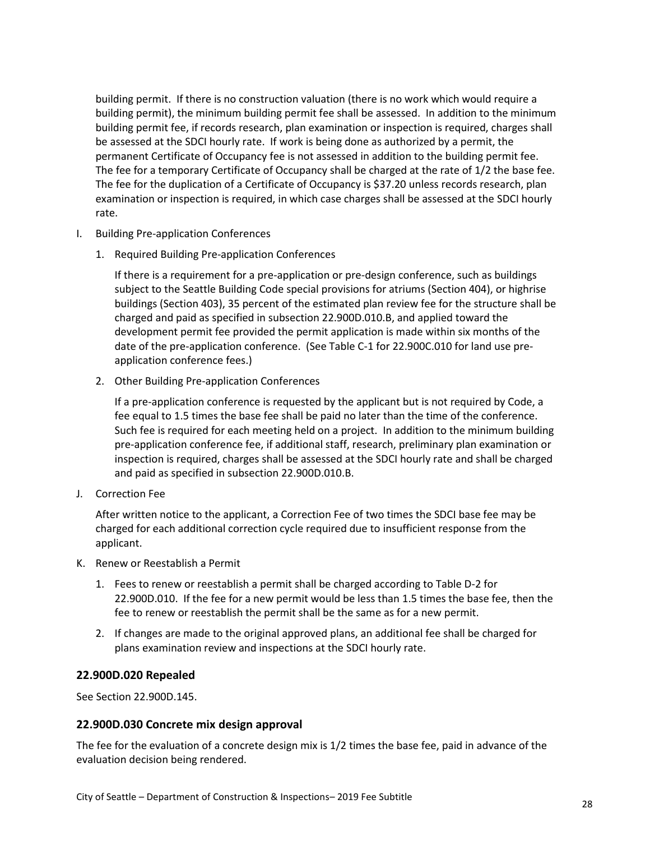building permit. If there is no construction valuation (there is no work which would require a building permit), the minimum building permit fee shall be assessed. In addition to the minimum building permit fee, if records research, plan examination or inspection is required, charges shall be assessed at the SDCI hourly rate. If work is being done as authorized by a permit, the permanent Certificate of Occupancy fee is not assessed in addition to the building permit fee. The fee for a temporary Certificate of Occupancy shall be charged at the rate of 1/2 the base fee. The fee for the duplication of a Certificate of Occupancy is \$37.20 unless records research, plan examination or inspection is required, in which case charges shall be assessed at the SDCI hourly rate.

- I. Building Pre-application Conferences
	- 1. Required Building Pre-application Conferences

If there is a requirement for a pre-application or pre-design conference, such as buildings subject to the Seattle Building Code special provisions for atriums (Section 404), or highrise buildings (Section 403), 35 percent of the estimated plan review fee for the structure shall be charged and paid as specified in subsection 22.900D.010.B, and applied toward the development permit fee provided the permit application is made within six months of the date of the pre-application conference. (See Table C-1 for 22.900C.010 for land use preapplication conference fees.)

2. Other Building Pre-application Conferences

If a pre-application conference is requested by the applicant but is not required by Code, a fee equal to 1.5 times the base fee shall be paid no later than the time of the conference. Such fee is required for each meeting held on a project. In addition to the minimum building pre-application conference fee, if additional staff, research, preliminary plan examination or inspection is required, charges shall be assessed at the SDCI hourly rate and shall be charged and paid as specified in subsection 22.900D.010.B.

J. Correction Fee

After written notice to the applicant, a Correction Fee of two times the SDCI base fee may be charged for each additional correction cycle required due to insufficient response from the applicant.

- K. Renew or Reestablish a Permit
	- 1. Fees to renew or reestablish a permit shall be charged according to Table D-2 for 22.900D.010. If the fee for a new permit would be less than 1.5 times the base fee, then the fee to renew or reestablish the permit shall be the same as for a new permit.
	- 2. If changes are made to the original approved plans, an additional fee shall be charged for plans examination review and inspections at the SDCI hourly rate.

#### <span id="page-27-0"></span>**22.900D.020 Repealed**

See Section 22.900D.145.

#### <span id="page-27-1"></span>**22.900D.030 Concrete mix design approval**

The fee for the evaluation of a concrete design mix is 1/2 times the base fee, paid in advance of the evaluation decision being rendered.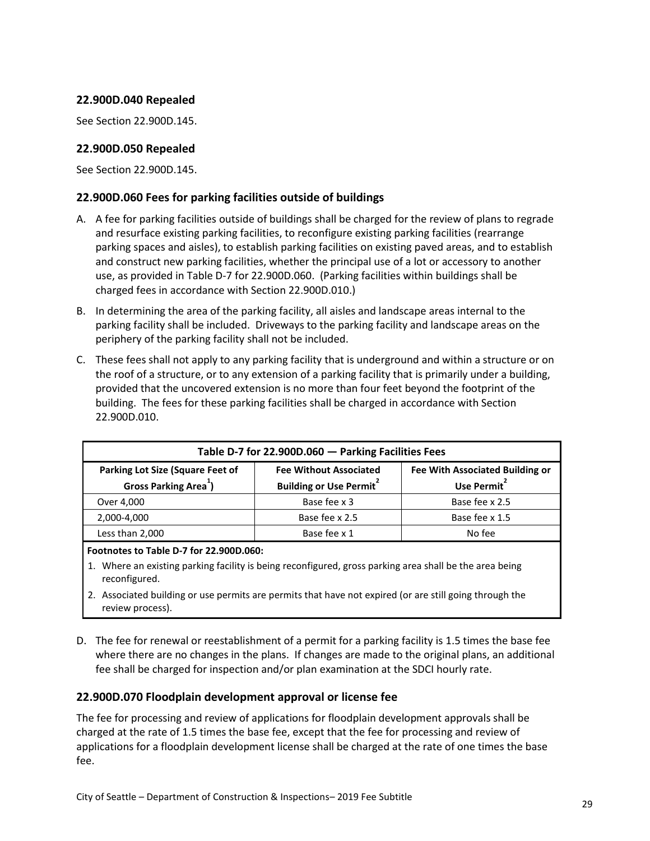#### <span id="page-28-0"></span>**22.900D.040 Repealed**

See Section 22.900D.145.

#### <span id="page-28-1"></span>**22.900D.050 Repealed**

See Section 22.900D.145.

#### <span id="page-28-2"></span>**22.900D.060 Fees for parking facilities outside of buildings**

- A. A fee for parking facilities outside of buildings shall be charged for the review of plans to regrade and resurface existing parking facilities, to reconfigure existing parking facilities (rearrange parking spaces and aisles), to establish parking facilities on existing paved areas, and to establish and construct new parking facilities, whether the principal use of a lot or accessory to another use, as provided in Table D-7 for 22.900D.060. (Parking facilities within buildings shall be charged fees in accordance with Section 22.900D.010.)
- B. In determining the area of the parking facility, all aisles and landscape areas internal to the parking facility shall be included. Driveways to the parking facility and landscape areas on the periphery of the parking facility shall not be included.
- C. These fees shall not apply to any parking facility that is underground and within a structure or on the roof of a structure, or to any extension of a parking facility that is primarily under a building, provided that the uncovered extension is no more than four feet beyond the footprint of the building. The fees for these parking facilities shall be charged in accordance with Section 22.900D.010.

<span id="page-28-4"></span>

| Table D-7 for 22.900D.060 - Parking Facilities Fees                                                                                                                                                                             |                |                |  |
|---------------------------------------------------------------------------------------------------------------------------------------------------------------------------------------------------------------------------------|----------------|----------------|--|
| <b>Parking Lot Size (Square Feet of</b><br><b>Fee With Associated Building or</b><br><b>Fee Without Associated</b><br>Gross Parking Area <sup>1</sup> )<br>Use Permit <sup>2</sup><br><b>Building or Use Permit<sup>2</sup></b> |                |                |  |
| Over 4,000                                                                                                                                                                                                                      | Base fee x 3   | Base fee x 2.5 |  |
| 2,000-4,000                                                                                                                                                                                                                     | Base fee x 2.5 | Base fee x 1.5 |  |
| Less than 2,000                                                                                                                                                                                                                 | Base fee x 1   | No fee         |  |

**Footnotes to Table D-7 for 22.900D.060:**

- 1. Where an existing parking facility is being reconfigured, gross parking area shall be the area being reconfigured.
- 2. Associated building or use permits are permits that have not expired (or are still going through the review process).
- D. The fee for renewal or reestablishment of a permit for a parking facility is 1.5 times the base fee where there are no changes in the plans. If changes are made to the original plans, an additional fee shall be charged for inspection and/or plan examination at the SDCI hourly rate.

#### <span id="page-28-3"></span>**22.900D.070 Floodplain development approval or license fee**

The fee for processing and review of applications for floodplain development approvals shall be charged at the rate of 1.5 times the base fee, except that the fee for processing and review of applications for a floodplain development license shall be charged at the rate of one times the base fee.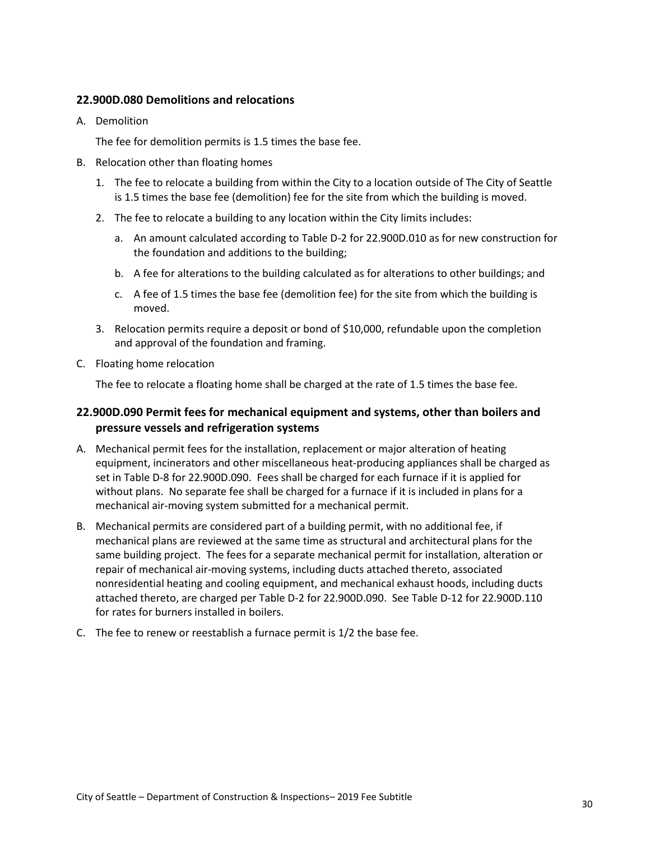#### <span id="page-29-0"></span>**22.900D.080 Demolitions and relocations**

A. Demolition

The fee for demolition permits is 1.5 times the base fee.

- B. Relocation other than floating homes
	- 1. The fee to relocate a building from within the City to a location outside of The City of Seattle is 1.5 times the base fee (demolition) fee for the site from which the building is moved.
	- 2. The fee to relocate a building to any location within the City limits includes:
		- a. An amount calculated according to Table D-2 for 22.900D.010 as for new construction for the foundation and additions to the building;
		- b. A fee for alterations to the building calculated as for alterations to other buildings; and
		- c. A fee of 1.5 times the base fee (demolition fee) for the site from which the building is moved.
	- 3. Relocation permits require a deposit or bond of \$10,000, refundable upon the completion and approval of the foundation and framing.
- C. Floating home relocation

The fee to relocate a floating home shall be charged at the rate of 1.5 times the base fee.

#### <span id="page-29-1"></span>**22.900D.090 Permit fees for mechanical equipment and systems, other than boilers and pressure vessels and refrigeration systems**

- A. Mechanical permit fees for the installation, replacement or major alteration of heating equipment, incinerators and other miscellaneous heat-producing appliances shall be charged as set in Table D-8 for 22.900D.090. Fees shall be charged for each furnace if it is applied for without plans. No separate fee shall be charged for a furnace if it is included in plans for a mechanical air-moving system submitted for a mechanical permit.
- B. Mechanical permits are considered part of a building permit, with no additional fee, if mechanical plans are reviewed at the same time as structural and architectural plans for the same building project. The fees for a separate mechanical permit for installation, alteration or repair of mechanical air-moving systems, including ducts attached thereto, associated nonresidential heating and cooling equipment, and mechanical exhaust hoods, including ducts attached thereto, are charged per Table D-2 for 22.900D.090. See Table D-12 for 22.900D.110 for rates for burners installed in boilers.
- C. The fee to renew or reestablish a furnace permit is 1/2 the base fee.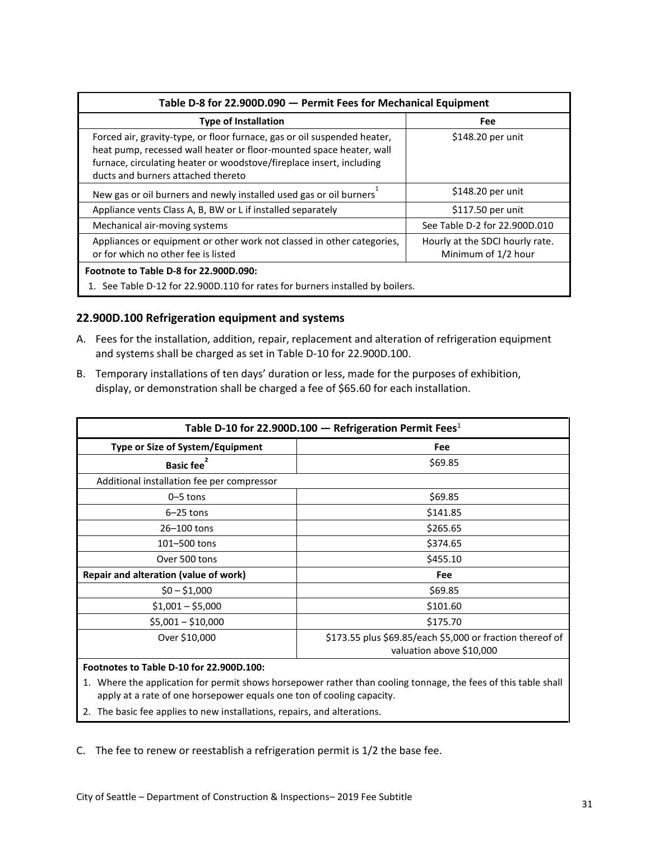<span id="page-30-1"></span>

| Table D-8 for 22.900D.090 - Permit Fees for Mechanical Equipment                                                                                                                                                                                              |                               |  |  |  |
|---------------------------------------------------------------------------------------------------------------------------------------------------------------------------------------------------------------------------------------------------------------|-------------------------------|--|--|--|
| <b>Type of Installation</b>                                                                                                                                                                                                                                   | Fee                           |  |  |  |
| Forced air, gravity-type, or floor furnace, gas or oil suspended heater,<br>heat pump, recessed wall heater or floor-mounted space heater, wall<br>furnace, circulating heater or woodstove/fireplace insert, including<br>ducts and burners attached thereto | \$148.20 per unit             |  |  |  |
| New gas or oil burners and newly installed used gas or oil burners                                                                                                                                                                                            | \$148.20 per unit             |  |  |  |
| Appliance vents Class A, B, BW or L if installed separately                                                                                                                                                                                                   | \$117.50 per unit             |  |  |  |
| Mechanical air-moving systems                                                                                                                                                                                                                                 | See Table D-2 for 22.900D.010 |  |  |  |
| Appliances or equipment or other work not classed in other categories,<br>Hourly at the SDCI hourly rate.<br>or for which no other fee is listed<br>Minimum of 1/2 hour                                                                                       |                               |  |  |  |
| Footnote to Table D-8 for 22,900D.090:<br>1. See Table D-12 for 22.900D.110 for rates for burners installed by boilers.                                                                                                                                       |                               |  |  |  |

#### <span id="page-30-0"></span>**22.900D.100 Refrigeration equipment and systems**

- A. Fees for the installation, addition, repair, replacement and alteration of refrigeration equipment and systems shall be charged as set in Table D-10 for 22.900D.100.
- B. Temporary installations of ten days' duration or less, made for the purposes of exhibition, display, or demonstration shall be charged a fee of \$65.60 for each installation.

<span id="page-30-2"></span>

| Table D-10 for 22.900D.100 - Refrigeration Permit Fees <sup>1</sup> |                                                                                       |  |
|---------------------------------------------------------------------|---------------------------------------------------------------------------------------|--|
| Type or Size of System/Equipment                                    | Fee                                                                                   |  |
| Basic fee <sup>2</sup>                                              | \$69.85                                                                               |  |
| Additional installation fee per compressor                          |                                                                                       |  |
| $0 - 5$ tons                                                        | \$69.85                                                                               |  |
| $6-25$ tons                                                         | \$141.85                                                                              |  |
| 26-100 tons                                                         | \$265.65                                                                              |  |
| 101-500 tons                                                        | \$374.65                                                                              |  |
| Over 500 tons                                                       | \$455.10                                                                              |  |
| Repair and alteration (value of work)                               | Fee                                                                                   |  |
| $$0 - $1,000$                                                       | \$69.85                                                                               |  |
| $$1,001 - $5,000$                                                   | \$101.60                                                                              |  |
| $$5,001 - $10,000$                                                  | \$175.70                                                                              |  |
| Over \$10,000                                                       | \$173.55 plus \$69.85/each \$5,000 or fraction thereof of<br>valuation above \$10,000 |  |

#### **Footnotes to Table D-10 for 22.900D.100:**

- 1. Where the application for permit shows horsepower rather than cooling tonnage, the fees of this table shall apply at a rate of one horsepower equals one ton of cooling capacity.
- 2. The basic fee applies to new installations, repairs, and alterations.

C. The fee to renew or reestablish a refrigeration permit is 1/2 the base fee.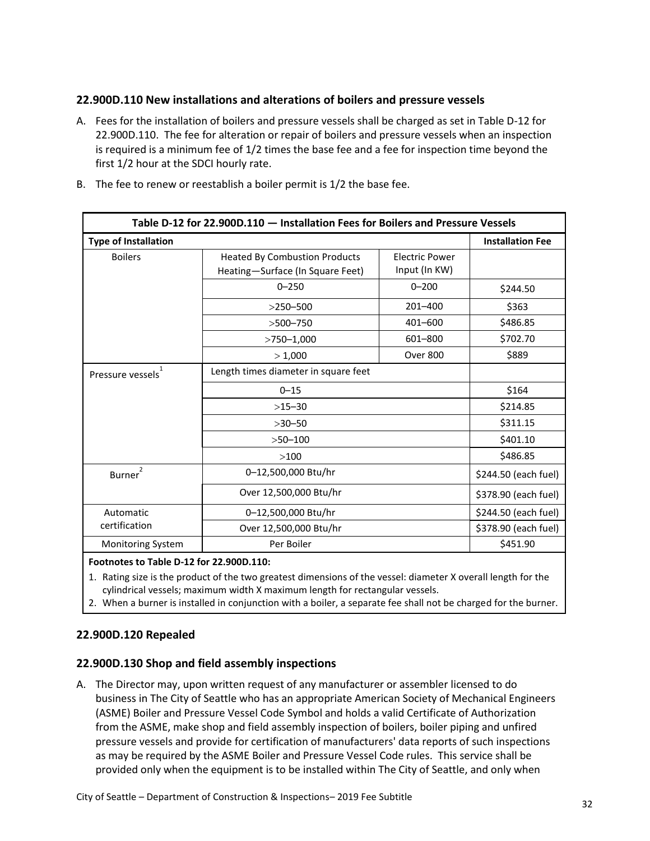#### <span id="page-31-0"></span>**22.900D.110 New installations and alterations of boilers and pressure vessels**

A. Fees for the installation of boilers and pressure vessels shall be charged as set in Table D-12 for 22.900D.110. The fee for alteration or repair of boilers and pressure vessels when an inspection is required is a minimum fee of 1/2 times the base fee and a fee for inspection time beyond the first 1/2 hour at the SDCI hourly rate.

<span id="page-31-3"></span>

| Table D-12 for 22.900D.110 - Installation Fees for Boilers and Pressure Vessels |                                                                                                                    |                         |                      |
|---------------------------------------------------------------------------------|--------------------------------------------------------------------------------------------------------------------|-------------------------|----------------------|
| <b>Type of Installation</b>                                                     |                                                                                                                    | <b>Installation Fee</b> |                      |
| <b>Boilers</b>                                                                  | <b>Heated By Combustion Products</b><br><b>Electric Power</b><br>Input (In KW)<br>Heating-Surface (In Square Feet) |                         |                      |
|                                                                                 | $0 - 250$                                                                                                          | $0 - 200$               | \$244.50             |
|                                                                                 | $>$ 250-500                                                                                                        | $201 - 400$             | \$363                |
|                                                                                 | $>500 - 750$                                                                                                       | 401-600                 | \$486.85             |
|                                                                                 | $>750 - 1,000$                                                                                                     | 601-800                 | \$702.70             |
|                                                                                 | > 1,000                                                                                                            | <b>Over 800</b>         | \$889                |
| Pressure vessels                                                                | Length times diameter in square feet                                                                               |                         |                      |
|                                                                                 | $0 - 15$                                                                                                           | \$164                   |                      |
|                                                                                 | $>15-30$<br>$>30 - 50$<br>$>50 - 100$                                                                              |                         | \$214.85             |
|                                                                                 |                                                                                                                    |                         | \$311.15             |
|                                                                                 |                                                                                                                    |                         | \$401.10             |
| >100                                                                            |                                                                                                                    |                         | \$486.85             |
| 2<br>Burner <sup>1</sup>                                                        | 0-12,500,000 Btu/hr                                                                                                |                         | \$244.50 (each fuel) |
|                                                                                 | Over 12,500,000 Btu/hr                                                                                             | \$378.90 (each fuel)    |                      |
| Automatic                                                                       | 0-12,500,000 Btu/hr                                                                                                |                         | \$244.50 (each fuel) |
| certification                                                                   | Over 12,500,000 Btu/hr                                                                                             | \$378.90 (each fuel)    |                      |
| <b>Monitoring System</b>                                                        | Per Boiler<br>\$451.90                                                                                             |                         |                      |

B. The fee to renew or reestablish a boiler permit is 1/2 the base fee.

#### **Footnotes to Table D-12 for 22.900D.110:**

1. Rating size is the product of the two greatest dimensions of the vessel: diameter X overall length for the cylindrical vessels; maximum width X maximum length for rectangular vessels.

2. When a burner is installed in conjunction with a boiler, a separate fee shall not be charged for the burner.

#### <span id="page-31-1"></span>**22.900D.120 Repealed**

#### <span id="page-31-2"></span>**22.900D.130 Shop and field assembly inspections**

A. The Director may, upon written request of any manufacturer or assembler licensed to do business in The City of Seattle who has an appropriate American Society of Mechanical Engineers (ASME) Boiler and Pressure Vessel Code Symbol and holds a valid Certificate of Authorization from the ASME, make shop and field assembly inspection of boilers, boiler piping and unfired pressure vessels and provide for certification of manufacturers' data reports of such inspections as may be required by the ASME Boiler and Pressure Vessel Code rules. This service shall be provided only when the equipment is to be installed within The City of Seattle, and only when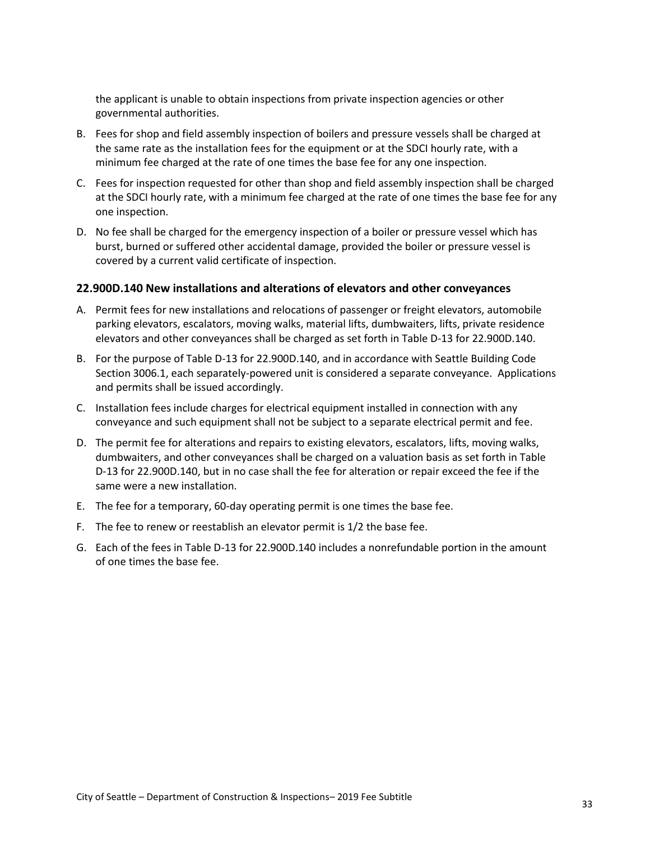the applicant is unable to obtain inspections from private inspection agencies or other governmental authorities.

- B. Fees for shop and field assembly inspection of boilers and pressure vessels shall be charged at the same rate as the installation fees for the equipment or at the SDCI hourly rate, with a minimum fee charged at the rate of one times the base fee for any one inspection.
- C. Fees for inspection requested for other than shop and field assembly inspection shall be charged at the SDCI hourly rate, with a minimum fee charged at the rate of one times the base fee for any one inspection.
- D. No fee shall be charged for the emergency inspection of a boiler or pressure vessel which has burst, burned or suffered other accidental damage, provided the boiler or pressure vessel is covered by a current valid certificate of inspection.

#### <span id="page-32-0"></span>**22.900D.140 New installations and alterations of elevators and other conveyances**

- A. Permit fees for new installations and relocations of passenger or freight elevators, automobile parking elevators, escalators, moving walks, material lifts, dumbwaiters, lifts, private residence elevators and other conveyances shall be charged as set forth in Table D-13 for 22.900D.140.
- B. For the purpose of Table D-13 for 22.900D.140, and in accordance with Seattle Building Code Section 3006.1, each separately-powered unit is considered a separate conveyance. Applications and permits shall be issued accordingly.
- C. Installation fees include charges for electrical equipment installed in connection with any conveyance and such equipment shall not be subject to a separate electrical permit and fee.
- D. The permit fee for alterations and repairs to existing elevators, escalators, lifts, moving walks, dumbwaiters, and other conveyances shall be charged on a valuation basis as set forth in Table D-13 for 22.900D.140, but in no case shall the fee for alteration or repair exceed the fee if the same were a new installation.
- E. The fee for a temporary, 60-day operating permit is one times the base fee.
- F. The fee to renew or reestablish an elevator permit is 1/2 the base fee.
- G. Each of the fees in Table D-13 for 22.900D.140 includes a nonrefundable portion in the amount of one times the base fee.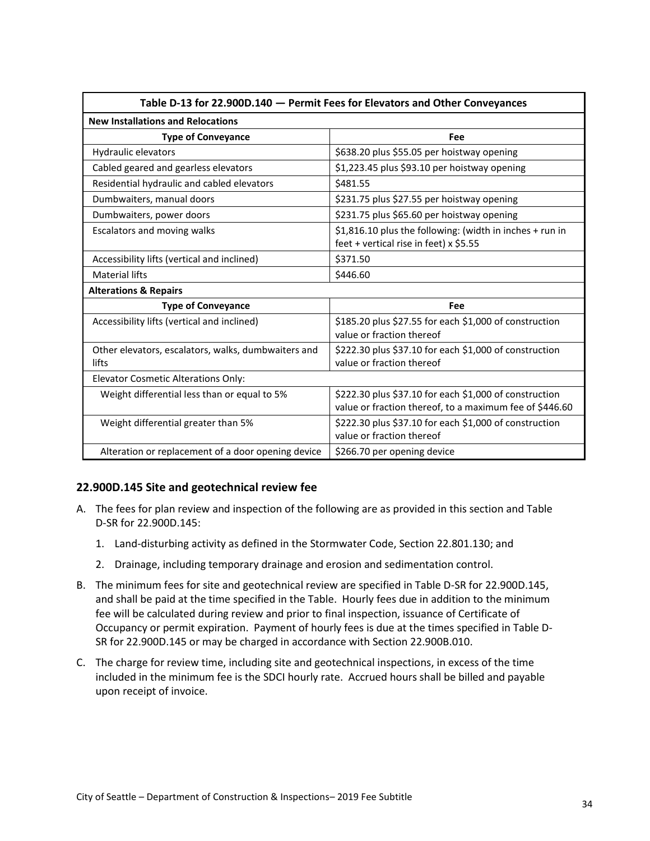<span id="page-33-1"></span>

| Table D-13 for 22.900D.140 - Permit Fees for Elevators and Other Conveyances |                                                                                                                   |  |  |  |
|------------------------------------------------------------------------------|-------------------------------------------------------------------------------------------------------------------|--|--|--|
| <b>New Installations and Relocations</b>                                     |                                                                                                                   |  |  |  |
| <b>Type of Conveyance</b>                                                    | Fee                                                                                                               |  |  |  |
| Hydraulic elevators                                                          | \$638.20 plus \$55.05 per hoistway opening                                                                        |  |  |  |
| Cabled geared and gearless elevators                                         | \$1,223.45 plus \$93.10 per hoistway opening                                                                      |  |  |  |
| Residential hydraulic and cabled elevators                                   | \$481.55                                                                                                          |  |  |  |
| Dumbwaiters, manual doors                                                    | \$231.75 plus \$27.55 per hoistway opening                                                                        |  |  |  |
| Dumbwaiters, power doors                                                     | \$231.75 plus \$65.60 per hoistway opening                                                                        |  |  |  |
| Escalators and moving walks                                                  | \$1,816.10 plus the following: (width in inches + run in<br>feet + vertical rise in feet) x \$5.55                |  |  |  |
| Accessibility lifts (vertical and inclined)                                  | \$371.50                                                                                                          |  |  |  |
| <b>Material lifts</b>                                                        | \$446.60                                                                                                          |  |  |  |
| <b>Alterations &amp; Repairs</b>                                             |                                                                                                                   |  |  |  |
| <b>Type of Conveyance</b>                                                    | Fee                                                                                                               |  |  |  |
| Accessibility lifts (vertical and inclined)                                  | \$185.20 plus \$27.55 for each \$1,000 of construction<br>value or fraction thereof                               |  |  |  |
| Other elevators, escalators, walks, dumbwaiters and<br>lifts                 | \$222.30 plus \$37.10 for each \$1,000 of construction<br>value or fraction thereof                               |  |  |  |
| <b>Elevator Cosmetic Alterations Only:</b>                                   |                                                                                                                   |  |  |  |
| Weight differential less than or equal to 5%                                 | \$222.30 plus \$37.10 for each \$1,000 of construction<br>value or fraction thereof, to a maximum fee of \$446.60 |  |  |  |
| Weight differential greater than 5%                                          | \$222.30 plus \$37.10 for each \$1,000 of construction<br>value or fraction thereof                               |  |  |  |
| Alteration or replacement of a door opening device                           | \$266.70 per opening device                                                                                       |  |  |  |

#### <span id="page-33-0"></span>**22.900D.145 Site and geotechnical review fee**

- A. The fees for plan review and inspection of the following are as provided in this section and Table D-SR for 22.900D.145:
	- 1. Land-disturbing activity as defined in the Stormwater Code, Section 22.801.130; and
	- 2. Drainage, including temporary drainage and erosion and sedimentation control.
- B. The minimum fees for site and geotechnical review are specified in Table D-SR for 22.900D.145, and shall be paid at the time specified in the Table. Hourly fees due in addition to the minimum fee will be calculated during review and prior to final inspection, issuance of Certificate of Occupancy or permit expiration. Payment of hourly fees is due at the times specified in Table D-SR for 22.900D.145 or may be charged in accordance with Section 22.900B.010.
- C. The charge for review time, including site and geotechnical inspections, in excess of the time included in the minimum fee is the SDCI hourly rate. Accrued hours shall be billed and payable upon receipt of invoice.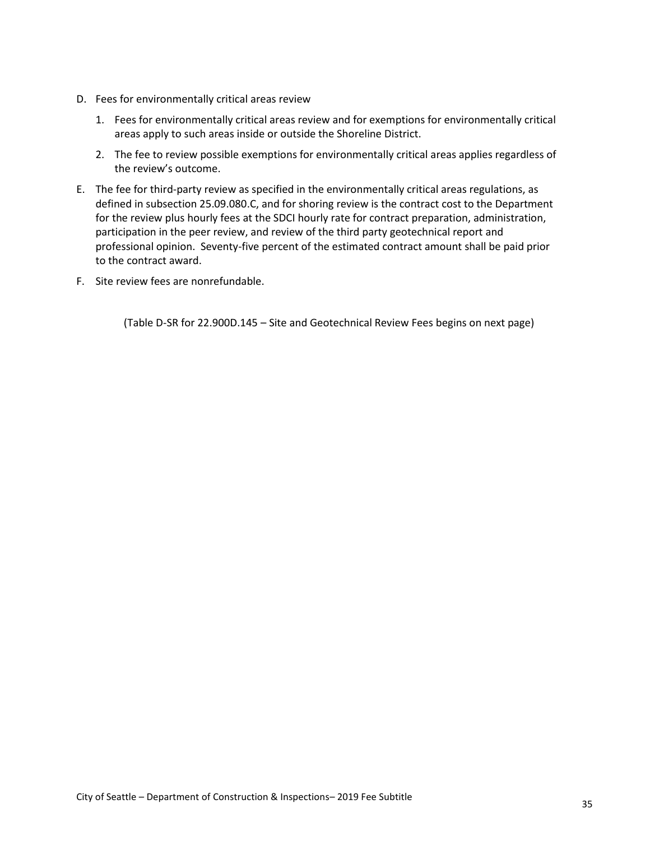- D. Fees for environmentally critical areas review
	- 1. Fees for environmentally critical areas review and for exemptions for environmentally critical areas apply to such areas inside or outside the Shoreline District.
	- 2. The fee to review possible exemptions for environmentally critical areas applies regardless of the review's outcome.
- E. The fee for third-party review as specified in the environmentally critical areas regulations, as defined in subsection 25.09.080.C, and for shoring review is the contract cost to the Department for the review plus hourly fees at the SDCI hourly rate for contract preparation, administration, participation in the peer review, and review of the third party geotechnical report and professional opinion. Seventy-five percent of the estimated contract amount shall be paid prior to the contract award.
- F. Site review fees are nonrefundable.

(Table D-SR for 22.900D.145 – Site and Geotechnical Review Fees begins on next page)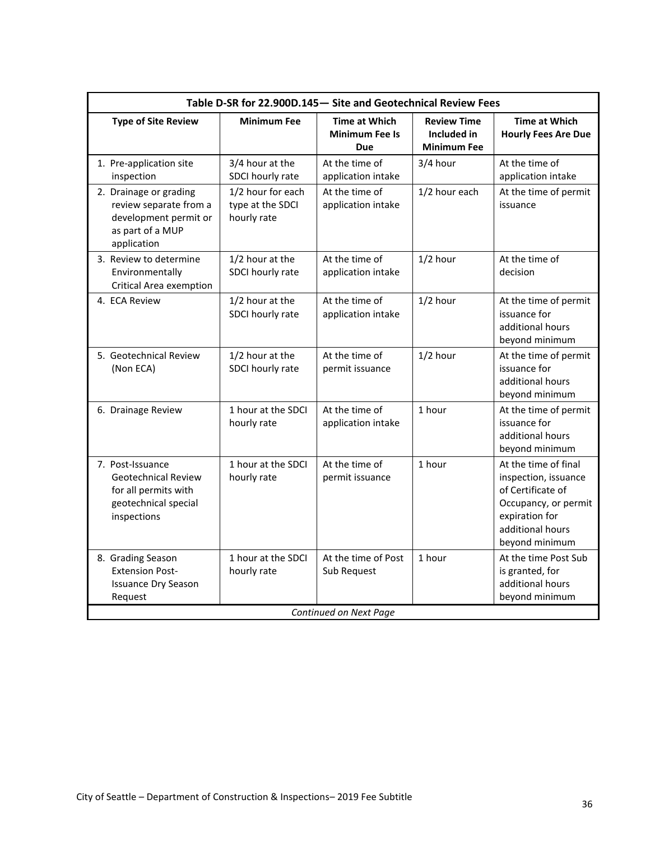<span id="page-35-0"></span>

| Table D-SR for 22.900D.145 - Site and Geotechnical Review Fees                                                |                                                      |                                                             |                                                         |                                                                                                                                                   |  |
|---------------------------------------------------------------------------------------------------------------|------------------------------------------------------|-------------------------------------------------------------|---------------------------------------------------------|---------------------------------------------------------------------------------------------------------------------------------------------------|--|
| <b>Type of Site Review</b>                                                                                    | <b>Minimum Fee</b>                                   | <b>Time at Which</b><br><b>Minimum Fee Is</b><br><b>Due</b> | <b>Review Time</b><br>Included in<br><b>Minimum Fee</b> | <b>Time at Which</b><br><b>Hourly Fees Are Due</b>                                                                                                |  |
| 1. Pre-application site<br>inspection                                                                         | 3/4 hour at the<br>SDCI hourly rate                  | At the time of<br>application intake                        | 3/4 hour                                                | At the time of<br>application intake                                                                                                              |  |
| 2. Drainage or grading<br>review separate from a<br>development permit or<br>as part of a MUP<br>application  | 1/2 hour for each<br>type at the SDCI<br>hourly rate | At the time of<br>application intake                        | 1/2 hour each                                           | At the time of permit<br>issuance                                                                                                                 |  |
| 3. Review to determine<br>Environmentally<br><b>Critical Area exemption</b>                                   | 1/2 hour at the<br>SDCI hourly rate                  | At the time of<br>application intake                        | $1/2$ hour                                              | At the time of<br>decision                                                                                                                        |  |
| 4. ECA Review                                                                                                 | 1/2 hour at the<br>SDCI hourly rate                  | At the time of<br>application intake                        | $1/2$ hour                                              | At the time of permit<br>issuance for<br>additional hours<br>beyond minimum                                                                       |  |
| 5. Geotechnical Review<br>(Non ECA)                                                                           | 1/2 hour at the<br>SDCI hourly rate                  | At the time of<br>permit issuance                           | $1/2$ hour                                              | At the time of permit<br>issuance for<br>additional hours<br>beyond minimum                                                                       |  |
| 6. Drainage Review                                                                                            | 1 hour at the SDCI<br>hourly rate                    | At the time of<br>application intake                        | 1 hour                                                  | At the time of permit<br>issuance for<br>additional hours<br>beyond minimum                                                                       |  |
| 7. Post-Issuance<br><b>Geotechnical Review</b><br>for all permits with<br>geotechnical special<br>inspections | 1 hour at the SDCI<br>hourly rate                    | At the time of<br>permit issuance                           | 1 hour                                                  | At the time of final<br>inspection, issuance<br>of Certificate of<br>Occupancy, or permit<br>expiration for<br>additional hours<br>beyond minimum |  |
| 8. Grading Season<br><b>Extension Post-</b><br><b>Issuance Dry Season</b><br>Request                          | 1 hour at the SDCI<br>hourly rate                    | At the time of Post<br>Sub Request                          | 1 hour                                                  | At the time Post Sub<br>is granted, for<br>additional hours<br>beyond minimum                                                                     |  |
| Continued on Next Page                                                                                        |                                                      |                                                             |                                                         |                                                                                                                                                   |  |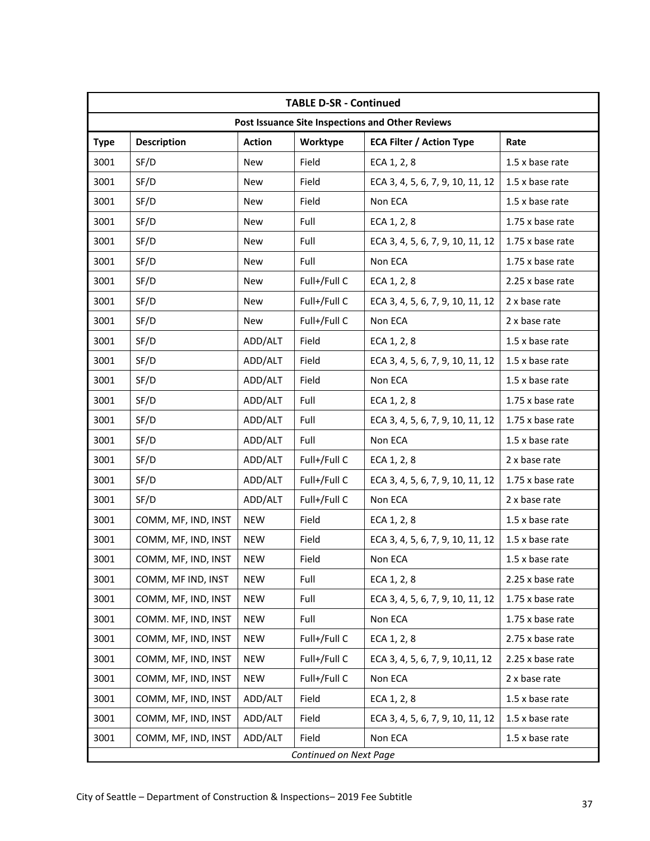|                        | <b>TABLE D-SR - Continued</b>                    |               |              |                                  |                  |
|------------------------|--------------------------------------------------|---------------|--------------|----------------------------------|------------------|
|                        | Post Issuance Site Inspections and Other Reviews |               |              |                                  |                  |
| <b>Type</b>            | <b>Description</b>                               | <b>Action</b> | Worktype     | <b>ECA Filter / Action Type</b>  | Rate             |
| 3001                   | SF/D                                             | <b>New</b>    | Field        | ECA 1, 2, 8                      | 1.5 x base rate  |
| 3001                   | SF/D                                             | <b>New</b>    | Field        | ECA 3, 4, 5, 6, 7, 9, 10, 11, 12 | 1.5 x base rate  |
| 3001                   | SF/D                                             | <b>New</b>    | Field        | Non ECA                          | 1.5 x base rate  |
| 3001                   | SF/D                                             | <b>New</b>    | Full         | ECA 1, 2, 8                      | 1.75 x base rate |
| 3001                   | SF/D                                             | <b>New</b>    | Full         | ECA 3, 4, 5, 6, 7, 9, 10, 11, 12 | 1.75 x base rate |
| 3001                   | SF/D                                             | <b>New</b>    | Full         | Non ECA                          | 1.75 x base rate |
| 3001                   | SF/D                                             | New           | Full+/Full C | ECA 1, 2, 8                      | 2.25 x base rate |
| 3001                   | SF/D                                             | <b>New</b>    | Full+/Full C | ECA 3, 4, 5, 6, 7, 9, 10, 11, 12 | 2 x base rate    |
| 3001                   | SF/D                                             | <b>New</b>    | Full+/Full C | Non ECA                          | 2 x base rate    |
| 3001                   | SF/D                                             | ADD/ALT       | Field        | ECA 1, 2, 8                      | 1.5 x base rate  |
| 3001                   | SF/D                                             | ADD/ALT       | Field        | ECA 3, 4, 5, 6, 7, 9, 10, 11, 12 | 1.5 x base rate  |
| 3001                   | SF/D                                             | ADD/ALT       | Field        | Non ECA                          | 1.5 x base rate  |
| 3001                   | SF/D                                             | ADD/ALT       | Full         | ECA 1, 2, 8                      | 1.75 x base rate |
| 3001                   | SF/D                                             | ADD/ALT       | Full         | ECA 3, 4, 5, 6, 7, 9, 10, 11, 12 | 1.75 x base rate |
| 3001                   | SF/D                                             | ADD/ALT       | Full         | Non ECA                          | 1.5 x base rate  |
| 3001                   | SF/D                                             | ADD/ALT       | Full+/Full C | ECA 1, 2, 8                      | 2 x base rate    |
| 3001                   | SF/D                                             | ADD/ALT       | Full+/Full C | ECA 3, 4, 5, 6, 7, 9, 10, 11, 12 | 1.75 x base rate |
| 3001                   | SF/D                                             | ADD/ALT       | Full+/Full C | Non ECA                          | 2 x base rate    |
| 3001                   | COMM, MF, IND, INST                              | <b>NEW</b>    | Field        | ECA 1, 2, 8                      | 1.5 x base rate  |
| 3001                   | COMM, MF, IND, INST                              | <b>NEW</b>    | Field        | ECA 3, 4, 5, 6, 7, 9, 10, 11, 12 | 1.5 x base rate  |
| 3001                   | COMM, MF, IND, INST                              | <b>NEW</b>    | Field        | Non ECA                          | 1.5 x base rate  |
| 3001                   | COMM, MF IND, INST                               | <b>NEW</b>    | Full         | ECA 1, 2, 8                      | 2.25 x base rate |
| 3001                   | COMM, MF, IND, INST                              | <b>NEW</b>    | Full         | ECA 3, 4, 5, 6, 7, 9, 10, 11, 12 | 1.75 x base rate |
| 3001                   | COMM. MF, IND, INST                              | <b>NEW</b>    | Full         | Non ECA                          | 1.75 x base rate |
| 3001                   | COMM, MF, IND, INST                              | <b>NEW</b>    | Full+/Full C | ECA 1, 2, 8                      | 2.75 x base rate |
| 3001                   | COMM, MF, IND, INST                              | <b>NEW</b>    | Full+/Full C | ECA 3, 4, 5, 6, 7, 9, 10, 11, 12 | 2.25 x base rate |
| 3001                   | COMM, MF, IND, INST                              | <b>NEW</b>    | Full+/Full C | Non ECA                          | 2 x base rate    |
| 3001                   | COMM, MF, IND, INST                              | ADD/ALT       | Field        | ECA 1, 2, 8                      | 1.5 x base rate  |
| 3001                   | COMM, MF, IND, INST                              | ADD/ALT       | Field        | ECA 3, 4, 5, 6, 7, 9, 10, 11, 12 | 1.5 x base rate  |
| 3001                   | COMM, MF, IND, INST                              | ADD/ALT       | Field        | Non ECA                          | 1.5 x base rate  |
| Continued on Next Page |                                                  |               |              |                                  |                  |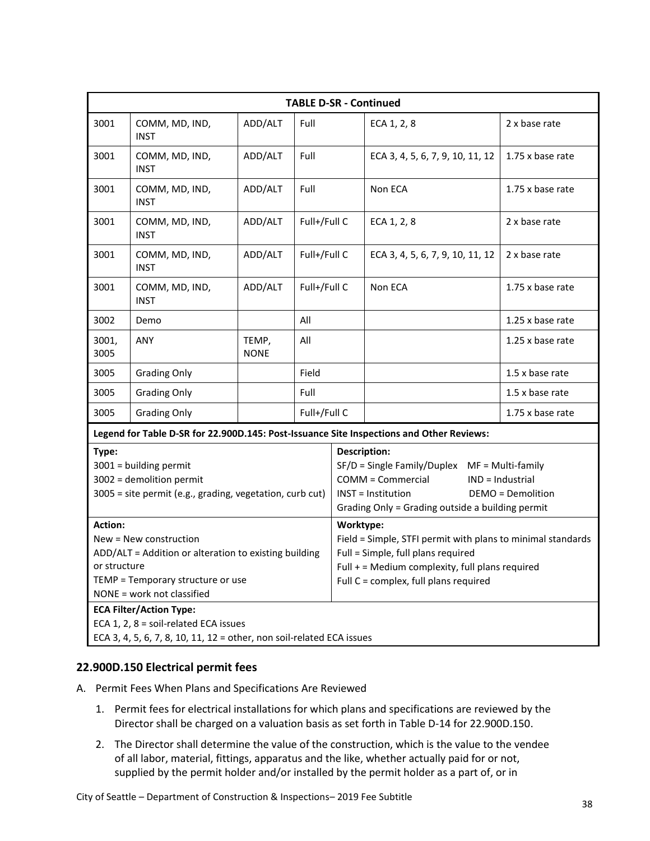|                                                                                                                                                                                      | <b>TABLE D-SR - Continued</b> |                      |              |                                                                                                                                                                                               |                                                                                          |                  |
|--------------------------------------------------------------------------------------------------------------------------------------------------------------------------------------|-------------------------------|----------------------|--------------|-----------------------------------------------------------------------------------------------------------------------------------------------------------------------------------------------|------------------------------------------------------------------------------------------|------------------|
| 3001                                                                                                                                                                                 | COMM, MD, IND,<br><b>INST</b> | ADD/ALT              | Full         |                                                                                                                                                                                               | ECA 1, 2, 8                                                                              | 2 x base rate    |
| 3001                                                                                                                                                                                 | COMM, MD, IND,<br><b>INST</b> | ADD/ALT              | Full         |                                                                                                                                                                                               | ECA 3, 4, 5, 6, 7, 9, 10, 11, 12                                                         | 1.75 x base rate |
| 3001                                                                                                                                                                                 | COMM, MD, IND,<br><b>INST</b> | ADD/ALT              | Full         |                                                                                                                                                                                               | Non ECA                                                                                  | 1.75 x base rate |
| 3001                                                                                                                                                                                 | COMM, MD, IND,<br><b>INST</b> | ADD/ALT              | Full+/Full C |                                                                                                                                                                                               | ECA 1, 2, 8                                                                              | 2 x base rate    |
| 3001                                                                                                                                                                                 | COMM, MD, IND,<br><b>INST</b> | ADD/ALT              | Full+/Full C |                                                                                                                                                                                               | ECA 3, 4, 5, 6, 7, 9, 10, 11, 12                                                         | 2 x base rate    |
| 3001                                                                                                                                                                                 | COMM, MD, IND,<br><b>INST</b> | ADD/ALT              | Full+/Full C |                                                                                                                                                                                               | Non ECA                                                                                  | 1.75 x base rate |
| 3002                                                                                                                                                                                 | Demo                          |                      | All          |                                                                                                                                                                                               |                                                                                          | 1.25 x base rate |
| 3001,<br>3005                                                                                                                                                                        | ANY                           | TEMP,<br><b>NONE</b> | All          |                                                                                                                                                                                               |                                                                                          | 1.25 x base rate |
| 3005                                                                                                                                                                                 | <b>Grading Only</b>           |                      | Field        |                                                                                                                                                                                               |                                                                                          | 1.5 x base rate  |
| 3005                                                                                                                                                                                 | <b>Grading Only</b>           |                      | Full         |                                                                                                                                                                                               |                                                                                          | 1.5 x base rate  |
| 3005                                                                                                                                                                                 | <b>Grading Only</b>           |                      | Full+/Full C |                                                                                                                                                                                               |                                                                                          | 1.75 x base rate |
|                                                                                                                                                                                      |                               |                      |              |                                                                                                                                                                                               | Legend for Table D-SR for 22.900D.145: Post-Issuance Site Inspections and Other Reviews: |                  |
| Type:<br>$3001$ = building permit<br>3002 = demolition permit<br>3005 = site permit (e.g., grading, vegetation, curb cut)                                                            |                               |                      |              | <b>Description:</b><br>SF/D = Single Family/Duplex MF = Multi-family<br>COMM = Commercial<br><b>INST = Institution</b><br>Grading Only = Grading outside a building permit                    | IND = Industrial<br><b>DEMO</b> = Demolition                                             |                  |
| <b>Action:</b><br>New = New construction<br>ADD/ALT = Addition or alteration to existing building<br>or structure<br>TEMP = Temporary structure or use<br>NONE = work not classified |                               |                      | Worktype:    | Field = Simple, STFI permit with plans to minimal standards<br>Full = Simple, full plans required<br>Full + = Medium complexity, full plans required<br>Full C = complex, full plans required |                                                                                          |                  |
| <b>ECA Filter/Action Type:</b><br>ECA 1, 2, 8 = soil-related ECA issues<br>ECA 3, 4, 5, 6, 7, 8, 10, 11, 12 = other, non soil-related ECA issues                                     |                               |                      |              |                                                                                                                                                                                               |                                                                                          |                  |

#### <span id="page-37-0"></span>**22.900D.150 Electrical permit fees**

- A. Permit Fees When Plans and Specifications Are Reviewed
	- 1. Permit fees for electrical installations for which plans and specifications are reviewed by the Director shall be charged on a valuation basis as set forth in Table D-14 for 22.900D.150.
	- 2. The Director shall determine the value of the construction, which is the value to the vendee of all labor, material, fittings, apparatus and the like, whether actually paid for or not, supplied by the permit holder and/or installed by the permit holder as a part of, or in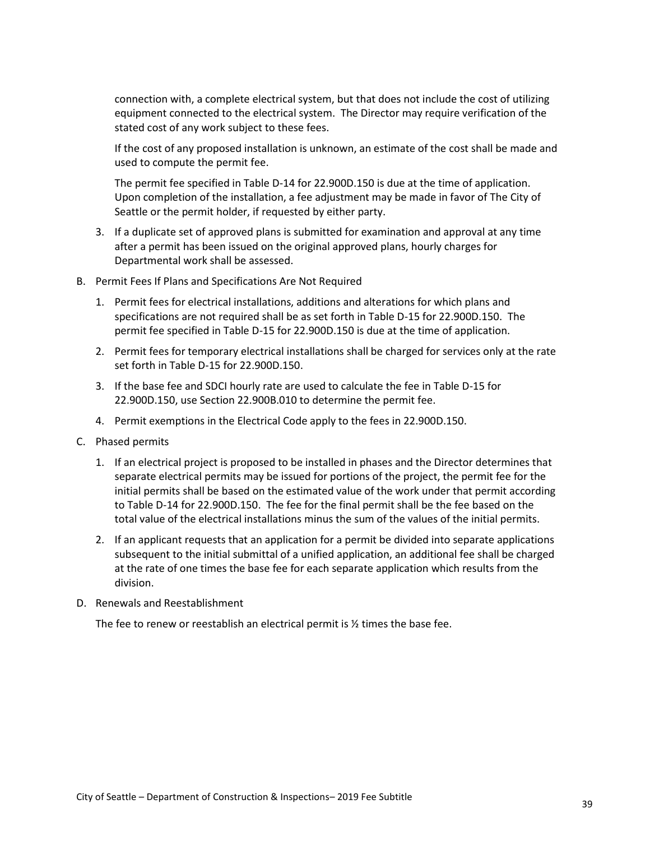connection with, a complete electrical system, but that does not include the cost of utilizing equipment connected to the electrical system. The Director may require verification of the stated cost of any work subject to these fees.

If the cost of any proposed installation is unknown, an estimate of the cost shall be made and used to compute the permit fee.

The permit fee specified in Table D-14 for 22.900D.150 is due at the time of application. Upon completion of the installation, a fee adjustment may be made in favor of The City of Seattle or the permit holder, if requested by either party.

- 3. If a duplicate set of approved plans is submitted for examination and approval at any time after a permit has been issued on the original approved plans, hourly charges for Departmental work shall be assessed.
- B. Permit Fees If Plans and Specifications Are Not Required
	- 1. Permit fees for electrical installations, additions and alterations for which plans and specifications are not required shall be as set forth in Table D-15 for 22.900D.150. The permit fee specified in Table D-15 for 22.900D.150 is due at the time of application.
	- 2. Permit fees for temporary electrical installations shall be charged for services only at the rate set forth in Table D-15 for 22.900D.150.
	- 3. If the base fee and SDCI hourly rate are used to calculate the fee in Table D-15 for 22.900D.150, use Section 22.900B.010 to determine the permit fee.
	- 4. Permit exemptions in the Electrical Code apply to the fees in 22.900D.150.
- C. Phased permits
	- 1. If an electrical project is proposed to be installed in phases and the Director determines that separate electrical permits may be issued for portions of the project, the permit fee for the initial permits shall be based on the estimated value of the work under that permit according to Table D-14 for 22.900D.150. The fee for the final permit shall be the fee based on the total value of the electrical installations minus the sum of the values of the initial permits.
	- 2. If an applicant requests that an application for a permit be divided into separate applications subsequent to the initial submittal of a unified application, an additional fee shall be charged at the rate of one times the base fee for each separate application which results from the division.
- D. Renewals and Reestablishment

The fee to renew or reestablish an electrical permit is  $\frac{1}{2}$  times the base fee.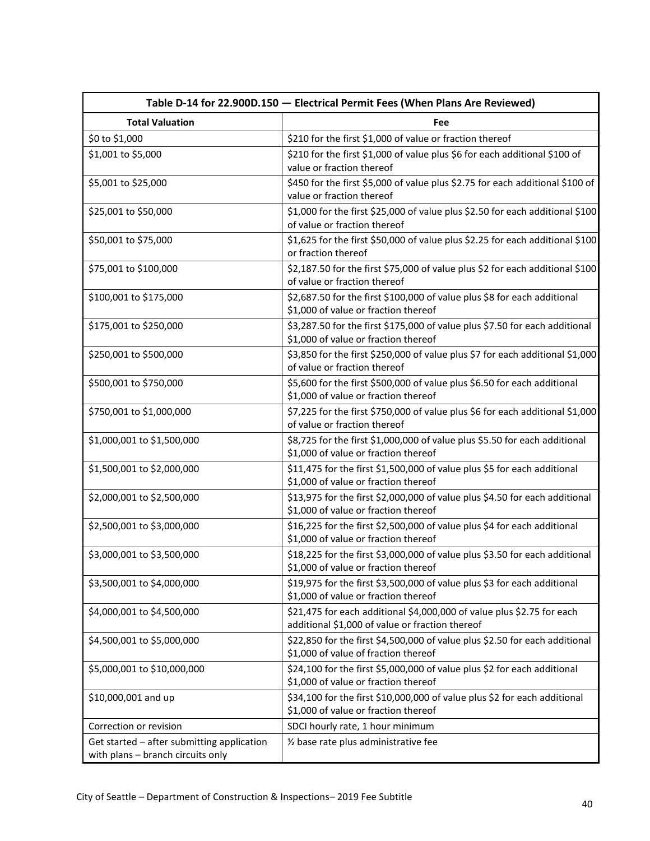<span id="page-39-0"></span>

|                                                                                 | Table D-14 for 22.900D.150 - Electrical Permit Fees (When Plans Are Reviewed)                                             |
|---------------------------------------------------------------------------------|---------------------------------------------------------------------------------------------------------------------------|
| <b>Total Valuation</b>                                                          | Fee                                                                                                                       |
| \$0 to \$1,000                                                                  | \$210 for the first \$1,000 of value or fraction thereof                                                                  |
| \$1,001 to \$5,000                                                              | \$210 for the first \$1,000 of value plus \$6 for each additional \$100 of<br>value or fraction thereof                   |
| \$5,001 to \$25,000                                                             | \$450 for the first \$5,000 of value plus \$2.75 for each additional \$100 of<br>value or fraction thereof                |
| \$25,001 to \$50,000                                                            | \$1,000 for the first \$25,000 of value plus \$2.50 for each additional \$100<br>of value or fraction thereof             |
| \$50,001 to \$75,000                                                            | \$1,625 for the first \$50,000 of value plus \$2.25 for each additional \$100<br>or fraction thereof                      |
| \$75,001 to \$100,000                                                           | \$2,187.50 for the first \$75,000 of value plus \$2 for each additional \$100<br>of value or fraction thereof             |
| \$100,001 to \$175,000                                                          | \$2,687.50 for the first \$100,000 of value plus \$8 for each additional<br>\$1,000 of value or fraction thereof          |
| \$175,001 to \$250,000                                                          | \$3,287.50 for the first \$175,000 of value plus \$7.50 for each additional<br>\$1,000 of value or fraction thereof       |
| \$250,001 to \$500,000                                                          | \$3,850 for the first \$250,000 of value plus \$7 for each additional \$1,000<br>of value or fraction thereof             |
| \$500,001 to \$750,000                                                          | \$5,600 for the first \$500,000 of value plus \$6.50 for each additional<br>\$1,000 of value or fraction thereof          |
| \$750,001 to \$1,000,000                                                        | \$7,225 for the first \$750,000 of value plus \$6 for each additional \$1,000<br>of value or fraction thereof             |
| \$1,000,001 to \$1,500,000                                                      | \$8,725 for the first \$1,000,000 of value plus \$5.50 for each additional<br>\$1,000 of value or fraction thereof        |
| \$1,500,001 to \$2,000,000                                                      | \$11,475 for the first \$1,500,000 of value plus \$5 for each additional<br>\$1,000 of value or fraction thereof          |
| \$2,000,001 to \$2,500,000                                                      | \$13,975 for the first \$2,000,000 of value plus \$4.50 for each additional<br>\$1,000 of value or fraction thereof       |
| \$2,500,001 to \$3,000,000                                                      | \$16,225 for the first \$2,500,000 of value plus \$4 for each additional<br>\$1,000 of value or fraction thereof          |
| \$3,000,001 to \$3,500,000                                                      | \$18,225 for the first \$3,000,000 of value plus \$3.50 for each additional<br>\$1,000 of value or fraction thereof       |
| \$3,500,001 to \$4,000,000                                                      | \$19,975 for the first \$3,500,000 of value plus \$3 for each additional<br>\$1,000 of value or fraction thereof          |
| \$4,000,001 to \$4,500,000                                                      | \$21,475 for each additional \$4,000,000 of value plus \$2.75 for each<br>additional \$1,000 of value or fraction thereof |
| \$4,500,001 to \$5,000,000                                                      | \$22,850 for the first \$4,500,000 of value plus \$2.50 for each additional<br>\$1,000 of value of fraction thereof       |
| \$5,000,001 to \$10,000,000                                                     | \$24,100 for the first \$5,000,000 of value plus \$2 for each additional<br>\$1,000 of value or fraction thereof          |
| \$10,000,001 and up                                                             | \$34,100 for the first \$10,000,000 of value plus \$2 for each additional<br>\$1,000 of value or fraction thereof         |
| Correction or revision                                                          | SDCI hourly rate, 1 hour minimum                                                                                          |
| Get started - after submitting application<br>with plans - branch circuits only | 1/2 base rate plus administrative fee                                                                                     |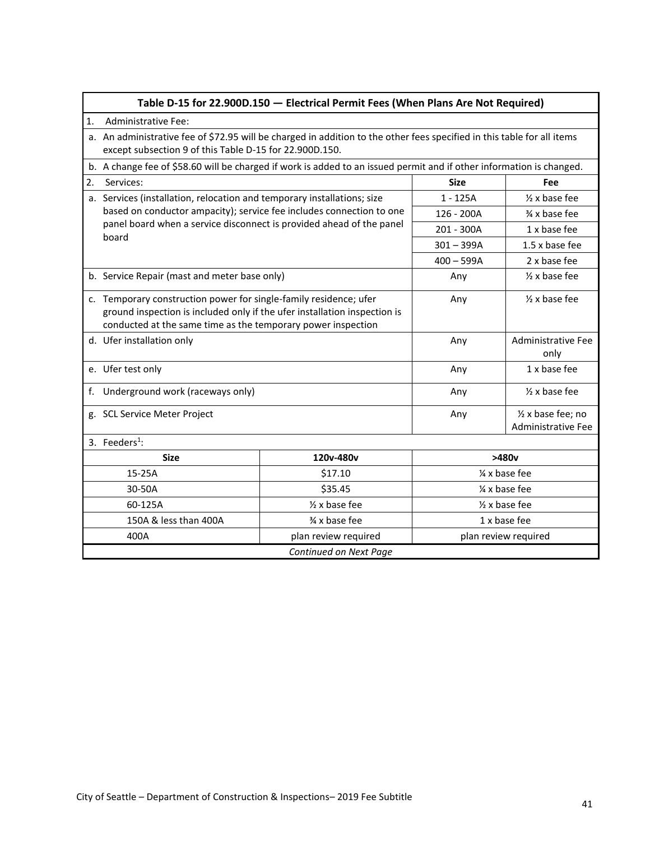<span id="page-40-0"></span>

|                                     | Table D-15 for 22.900D.150 - Electrical Permit Fees (When Plans Are Not Required)                                                                                                                              |                                                                         |                          |                                          |  |
|-------------------------------------|----------------------------------------------------------------------------------------------------------------------------------------------------------------------------------------------------------------|-------------------------------------------------------------------------|--------------------------|------------------------------------------|--|
| 1.                                  | Administrative Fee:                                                                                                                                                                                            |                                                                         |                          |                                          |  |
|                                     | a. An administrative fee of \$72.95 will be charged in addition to the other fees specified in this table for all items<br>except subsection 9 of this Table D-15 for 22.900D.150.                             |                                                                         |                          |                                          |  |
|                                     | b. A change fee of \$58.60 will be charged if work is added to an issued permit and if other information is changed.                                                                                           |                                                                         |                          |                                          |  |
| 2.                                  | Services:                                                                                                                                                                                                      |                                                                         | <b>Size</b>              | Fee                                      |  |
|                                     |                                                                                                                                                                                                                | a. Services (installation, relocation and temporary installations; size |                          | $\frac{1}{2}$ x base fee                 |  |
|                                     | based on conductor ampacity); service fee includes connection to one                                                                                                                                           |                                                                         | 126 - 200A               | % x base fee                             |  |
|                                     | panel board when a service disconnect is provided ahead of the panel<br>board                                                                                                                                  |                                                                         | 201 - 300A               | 1 x base fee                             |  |
|                                     |                                                                                                                                                                                                                |                                                                         | $301 - 399A$             | 1.5 x base fee                           |  |
|                                     |                                                                                                                                                                                                                |                                                                         | $400 - 599A$             | 2 x base fee                             |  |
|                                     | b. Service Repair (mast and meter base only)                                                                                                                                                                   | Any                                                                     | $\frac{1}{2}$ x base fee |                                          |  |
|                                     | c. Temporary construction power for single-family residence; ufer<br>ground inspection is included only if the ufer installation inspection is<br>conducted at the same time as the temporary power inspection |                                                                         | Any                      | $\frac{1}{2}$ x base fee                 |  |
|                                     | d. Ufer installation only                                                                                                                                                                                      |                                                                         | Any                      | <b>Administrative Fee</b><br>only        |  |
|                                     | e. Ufer test only                                                                                                                                                                                              |                                                                         | Any                      | 1 x base fee                             |  |
| f.                                  | Underground work (raceways only)                                                                                                                                                                               |                                                                         | Any                      | $\frac{1}{2}$ x base fee                 |  |
|                                     | g. SCL Service Meter Project                                                                                                                                                                                   |                                                                         | Any                      | 1/2 x base fee; no<br>Administrative Fee |  |
|                                     | 3. Feeders $1$ :                                                                                                                                                                                               |                                                                         |                          |                                          |  |
|                                     | <b>Size</b>                                                                                                                                                                                                    | 120v-480v                                                               |                          | >480v                                    |  |
|                                     | 15-25A                                                                                                                                                                                                         | \$17.10                                                                 | 1/4 x base fee           |                                          |  |
| 30-50A                              |                                                                                                                                                                                                                | \$35.45                                                                 | 1/4 x base fee           |                                          |  |
| 60-125A<br>$\frac{1}{2}$ x base fee |                                                                                                                                                                                                                |                                                                         | $\frac{1}{2}$ x base fee |                                          |  |
|                                     | 150A & less than 400A                                                                                                                                                                                          | % x base fee                                                            | 1 x base fee             |                                          |  |
|                                     | 400A                                                                                                                                                                                                           | plan review required                                                    |                          | plan review required                     |  |
|                                     | Continued on Next Page                                                                                                                                                                                         |                                                                         |                          |                                          |  |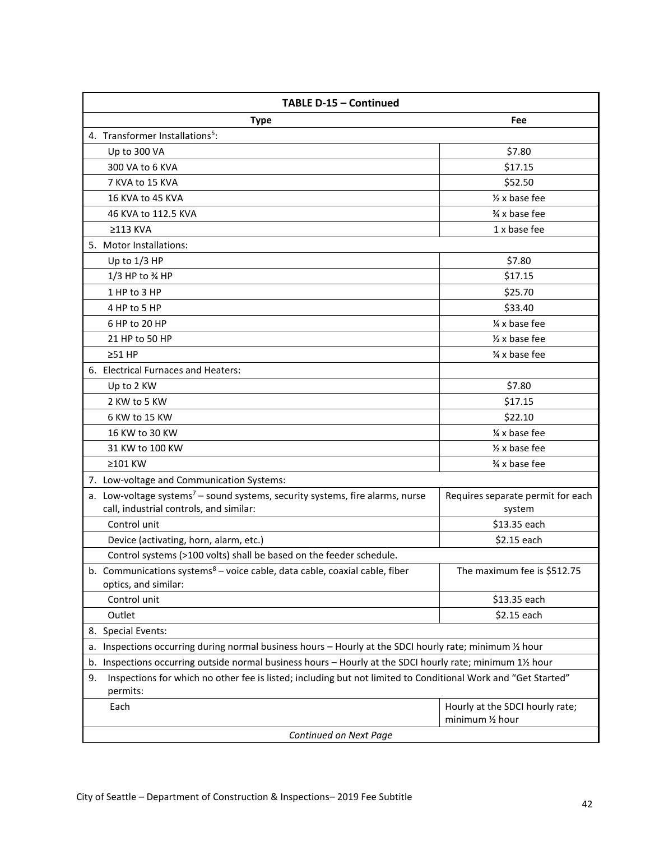| TABLE D-15 - Continued                                                                                                               |                                             |  |  |  |
|--------------------------------------------------------------------------------------------------------------------------------------|---------------------------------------------|--|--|--|
| <b>Type</b>                                                                                                                          | Fee                                         |  |  |  |
| 4. Transformer Installations <sup>5</sup> :                                                                                          |                                             |  |  |  |
| Up to 300 VA                                                                                                                         | \$7.80                                      |  |  |  |
| 300 VA to 6 KVA                                                                                                                      | \$17.15                                     |  |  |  |
| 7 KVA to 15 KVA                                                                                                                      | \$52.50                                     |  |  |  |
| 16 KVA to 45 KVA                                                                                                                     | $\frac{1}{2}$ x base fee                    |  |  |  |
| 46 KVA to 112.5 KVA                                                                                                                  | % x base fee                                |  |  |  |
| $\geq$ 113 KVA                                                                                                                       | 1 x base fee                                |  |  |  |
| 5. Motor Installations:                                                                                                              |                                             |  |  |  |
| Up to 1/3 HP                                                                                                                         | \$7.80                                      |  |  |  |
| 1/3 HP to % HP                                                                                                                       | \$17.15                                     |  |  |  |
| 1 HP to 3 HP                                                                                                                         | \$25.70                                     |  |  |  |
| 4 HP to 5 HP                                                                                                                         | \$33.40                                     |  |  |  |
| 6 HP to 20 HP                                                                                                                        | 1/4 x base fee                              |  |  |  |
| 21 HP to 50 HP                                                                                                                       | $\frac{1}{2}$ x base fee                    |  |  |  |
| $>51$ HP                                                                                                                             | % x base fee                                |  |  |  |
| 6. Electrical Furnaces and Heaters:                                                                                                  |                                             |  |  |  |
| Up to 2 KW                                                                                                                           | \$7.80                                      |  |  |  |
| 2 KW to 5 KW                                                                                                                         | \$17.15                                     |  |  |  |
| 6 KW to 15 KW                                                                                                                        | \$22.10                                     |  |  |  |
| 16 KW to 30 KW                                                                                                                       | 1/4 x base fee                              |  |  |  |
| 31 KW to 100 KW                                                                                                                      | $\frac{1}{2}$ x base fee                    |  |  |  |
| ≥101 KW                                                                                                                              | % x base fee                                |  |  |  |
| 7. Low-voltage and Communication Systems:                                                                                            |                                             |  |  |  |
| a. Low-voltage systems <sup>7</sup> - sound systems, security systems, fire alarms, nurse<br>call, industrial controls, and similar: | Requires separate permit for each<br>system |  |  |  |
| Control unit                                                                                                                         | \$13.35 each                                |  |  |  |
| Device (activating, horn, alarm, etc.)                                                                                               | \$2.15 each                                 |  |  |  |
| Control systems (>100 volts) shall be based on the feeder schedule.                                                                  |                                             |  |  |  |
| b. Communications systems $8 -$ voice cable, data cable, coaxial cable, fiber<br>optics, and similar:                                | The maximum fee is \$512.75                 |  |  |  |
| Control unit                                                                                                                         | \$13.35 each                                |  |  |  |
| Outlet                                                                                                                               | \$2.15 each                                 |  |  |  |
| 8. Special Events:                                                                                                                   |                                             |  |  |  |
| Inspections occurring during normal business hours - Hourly at the SDCI hourly rate; minimum 1/2 hour<br>a.                          |                                             |  |  |  |
| Inspections occurring outside normal business hours - Hourly at the SDCI hourly rate; minimum 11/2 hour<br>b.                        |                                             |  |  |  |
| Inspections for which no other fee is listed; including but not limited to Conditional Work and "Get Started"<br>9.<br>permits:      |                                             |  |  |  |
| Each                                                                                                                                 | Hourly at the SDCI hourly rate;             |  |  |  |
|                                                                                                                                      | minimum 1/2 hour                            |  |  |  |
| Continued on Next Page                                                                                                               |                                             |  |  |  |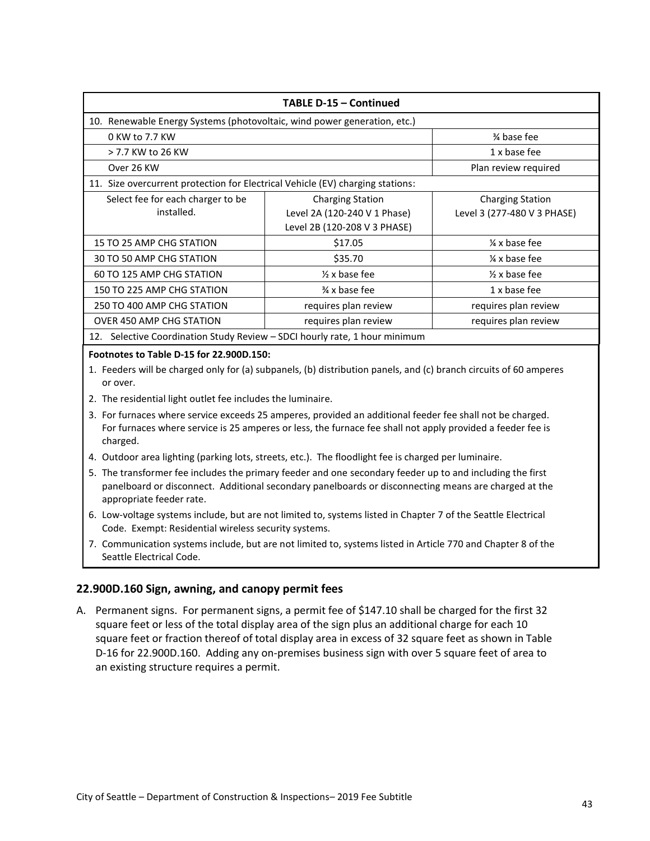| TABLE D-15 - Continued                                                         |                              |                             |  |  |
|--------------------------------------------------------------------------------|------------------------------|-----------------------------|--|--|
| 10. Renewable Energy Systems (photovoltaic, wind power generation, etc.)       |                              |                             |  |  |
| 0 KW to 7.7 KW                                                                 |                              | % base fee                  |  |  |
| > 7.7 KW to 26 KW                                                              |                              | 1 x base fee                |  |  |
| Over 26 KW                                                                     |                              | Plan review required        |  |  |
| 11. Size overcurrent protection for Electrical Vehicle (EV) charging stations: |                              |                             |  |  |
| Select fee for each charger to be                                              | <b>Charging Station</b>      | <b>Charging Station</b>     |  |  |
| installed.                                                                     | Level 2A (120-240 V 1 Phase) | Level 3 (277-480 V 3 PHASE) |  |  |
|                                                                                | Level 2B (120-208 V 3 PHASE) |                             |  |  |
| 15 TO 25 AMP CHG STATION                                                       | \$17.05                      | $\frac{1}{4}$ x base fee    |  |  |
| 30 TO 50 AMP CHG STATION                                                       | \$35.70                      | $\frac{1}{4}$ x base fee    |  |  |
| 60 TO 125 AMP CHG STATION                                                      | $\frac{1}{2}$ x base fee     | $\frac{1}{2}$ x base fee    |  |  |
| 150 TO 225 AMP CHG STATION                                                     | % x base fee                 | 1 x base fee                |  |  |
| 250 TO 400 AMP CHG STATION                                                     | requires plan review         | requires plan review        |  |  |
| <b>OVER 450 AMP CHG STATION</b>                                                | requires plan review         | requires plan review        |  |  |
| 12. Selective Coordination Study Review - SDCI hourly rate, 1 hour minimum     |                              |                             |  |  |

#### **Footnotes to Table D-15 for 22.900D.150:**

1. Feeders will be charged only for (a) subpanels, (b) distribution panels, and (c) branch circuits of 60 amperes or over.

- 2. The residential light outlet fee includes the luminaire.
- 3. For furnaces where service exceeds 25 amperes, provided an additional feeder fee shall not be charged. For furnaces where service is 25 amperes or less, the furnace fee shall not apply provided a feeder fee is charged.
- 4. Outdoor area lighting (parking lots, streets, etc.). The floodlight fee is charged per luminaire.
- 5. The transformer fee includes the primary feeder and one secondary feeder up to and including the first panelboard or disconnect. Additional secondary panelboards or disconnecting means are charged at the appropriate feeder rate.
- 6. Low-voltage systems include, but are not limited to, systems listed in Chapter 7 of the Seattle Electrical Code. Exempt: Residential wireless security systems.
- 7. Communication systems include, but are not limited to, systems listed in Article 770 and Chapter 8 of the Seattle Electrical Code.

#### <span id="page-42-0"></span>**22.900D.160 Sign, awning, and canopy permit fees**

A. Permanent signs. For permanent signs, a permit fee of \$147.10 shall be charged for the first 32 square feet or less of the total display area of the sign plus an additional charge for each 10 square feet or fraction thereof of total display area in excess of 32 square feet as shown in Table D-16 for 22.900D.160. Adding any on-premises business sign with over 5 square feet of area to an existing structure requires a permit.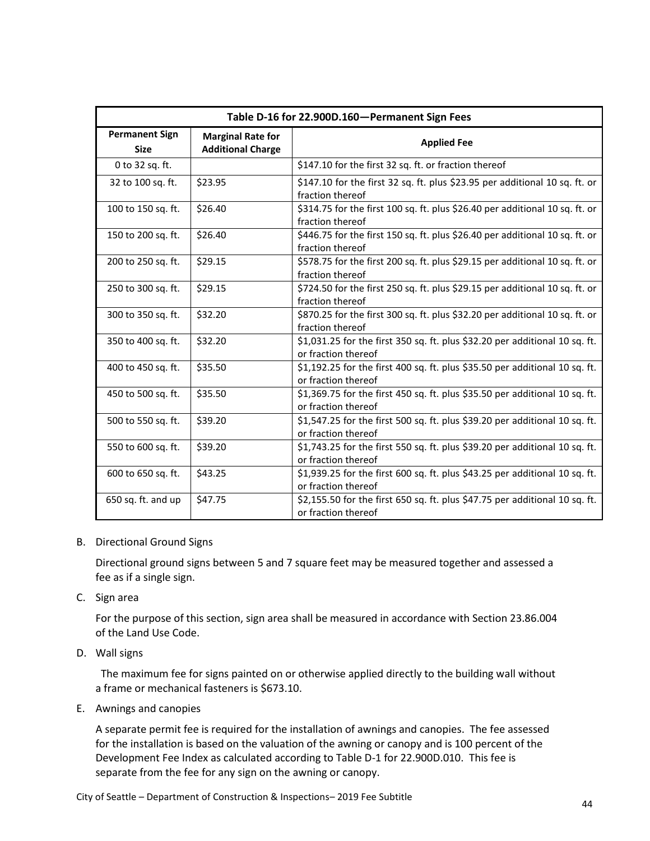<span id="page-43-0"></span>

| Table D-16 for 22.900D.160-Permanent Sign Fees |                                                      |                                                                                                    |  |
|------------------------------------------------|------------------------------------------------------|----------------------------------------------------------------------------------------------------|--|
| <b>Permanent Sign</b><br><b>Size</b>           | <b>Marginal Rate for</b><br><b>Additional Charge</b> | <b>Applied Fee</b>                                                                                 |  |
| 0 to 32 sq. ft.                                |                                                      | \$147.10 for the first 32 sq. ft. or fraction thereof                                              |  |
| 32 to 100 sq. ft.                              | \$23.95                                              | \$147.10 for the first 32 sq. ft. plus \$23.95 per additional 10 sq. ft. or<br>fraction thereof    |  |
| 100 to 150 sq. ft.                             | \$26.40                                              | \$314.75 for the first 100 sq. ft. plus \$26.40 per additional 10 sq. ft. or<br>fraction thereof   |  |
| 150 to 200 sq. ft.                             | \$26.40                                              | \$446.75 for the first 150 sq. ft. plus \$26.40 per additional 10 sq. ft. or<br>fraction thereof   |  |
| 200 to 250 sq. ft.                             | \$29.15                                              | \$578.75 for the first 200 sq. ft. plus \$29.15 per additional 10 sq. ft. or<br>fraction thereof   |  |
| 250 to 300 sq. ft.                             | \$29.15                                              | \$724.50 for the first 250 sq. ft. plus \$29.15 per additional 10 sq. ft. or<br>fraction thereof   |  |
| 300 to 350 sq. ft.                             | \$32.20                                              | \$870.25 for the first 300 sq. ft. plus \$32.20 per additional 10 sq. ft. or<br>fraction thereof   |  |
| 350 to 400 sq. ft.                             | \$32.20                                              | \$1,031.25 for the first 350 sq. ft. plus \$32.20 per additional 10 sq. ft.<br>or fraction thereof |  |
| 400 to 450 sq. ft.                             | \$35.50                                              | \$1,192.25 for the first 400 sq. ft. plus \$35.50 per additional 10 sq. ft.<br>or fraction thereof |  |
| 450 to 500 sq. ft.                             | \$35.50                                              | \$1,369.75 for the first 450 sq. ft. plus \$35.50 per additional 10 sq. ft.<br>or fraction thereof |  |
| 500 to 550 sq. ft.                             | \$39.20                                              | \$1,547.25 for the first 500 sq. ft. plus \$39.20 per additional 10 sq. ft.<br>or fraction thereof |  |
| 550 to 600 sq. ft.                             | \$39.20                                              | \$1,743.25 for the first 550 sq. ft. plus \$39.20 per additional 10 sq. ft.<br>or fraction thereof |  |
| 600 to 650 sq. ft.                             | \$43.25                                              | \$1,939.25 for the first 600 sq. ft. plus \$43.25 per additional 10 sq. ft.<br>or fraction thereof |  |
| 650 sq. ft. and up                             | \$47.75                                              | \$2,155.50 for the first 650 sq. ft. plus \$47.75 per additional 10 sq. ft.<br>or fraction thereof |  |

#### B. Directional Ground Signs

Directional ground signs between 5 and 7 square feet may be measured together and assessed a fee as if a single sign.

C. Sign area

For the purpose of this section, sign area shall be measured in accordance with Section 23.86.004 of the Land Use Code.

D. Wall signs

 The maximum fee for signs painted on or otherwise applied directly to the building wall without a frame or mechanical fasteners is \$673.10.

E. Awnings and canopies

A separate permit fee is required for the installation of awnings and canopies. The fee assessed for the installation is based on the valuation of the awning or canopy and is 100 percent of the Development Fee Index as calculated according to Table D-1 for 22.900D.010. This fee is separate from the fee for any sign on the awning or canopy.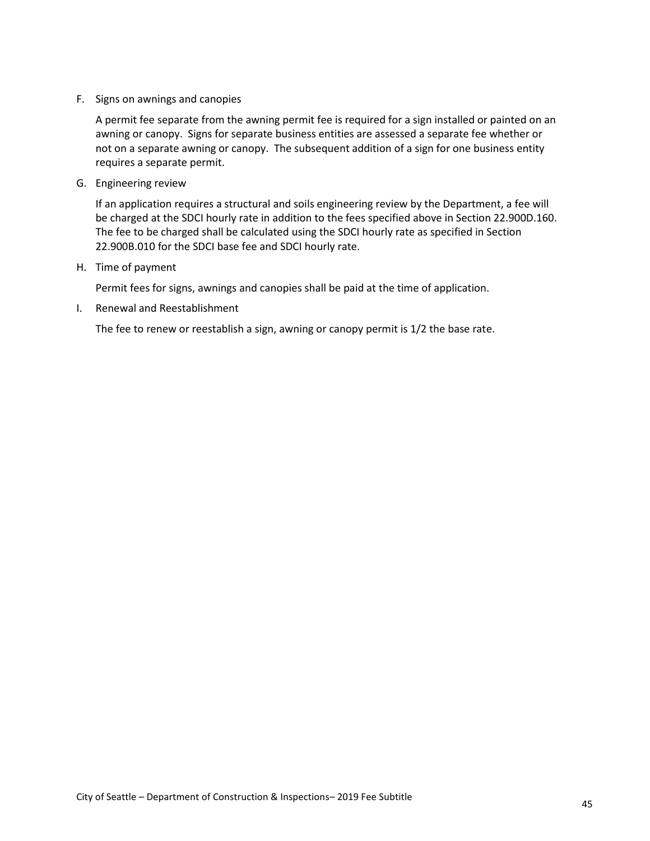F. Signs on awnings and canopies

A permit fee separate from the awning permit fee is required for a sign installed or painted on an awning or canopy. Signs for separate business entities are assessed a separate fee whether or not on a separate awning or canopy. The subsequent addition of a sign for one business entity requires a separate permit.

G. Engineering review

If an application requires a structural and soils engineering review by the Department, a fee will be charged at the SDCI hourly rate in addition to the fees specified above in Section 22.900D.160. The fee to be charged shall be calculated using the SDCI hourly rate as specified in Section 22.900B.010 for the SDCI base fee and SDCI hourly rate.

H. Time of payment

Permit fees for signs, awnings and canopies shall be paid at the time of application.

I. Renewal and Reestablishment

The fee to renew or reestablish a sign, awning or canopy permit is 1/2 the base rate.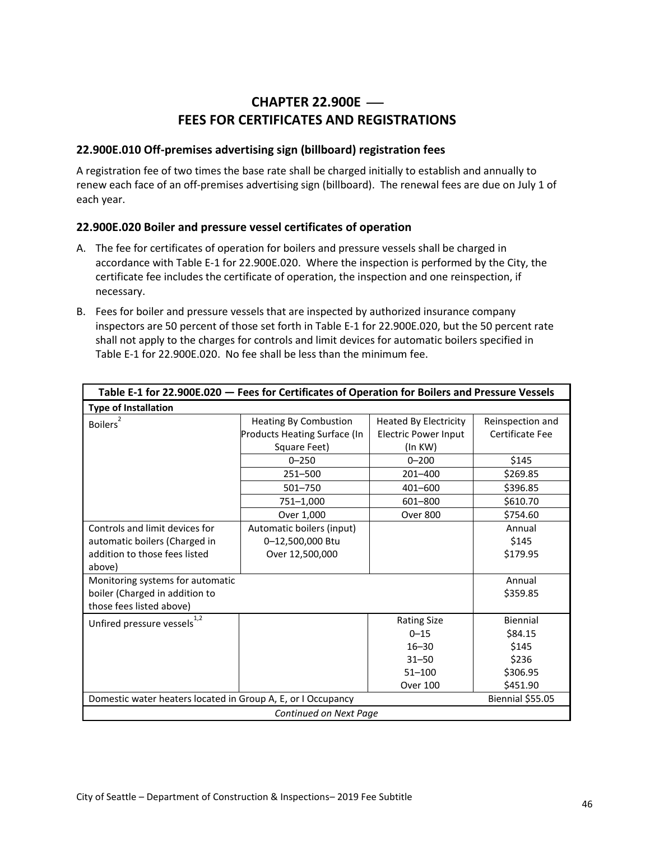# **CHAPTER 22.900E** ⎯ **FEES FOR CERTIFICATES AND REGISTRATIONS**

#### <span id="page-45-1"></span><span id="page-45-0"></span>**22.900E.010 Off-premises advertising sign (billboard) registration fees**

A registration fee of two times the base rate shall be charged initially to establish and annually to renew each face of an off-premises advertising sign (billboard). The renewal fees are due on July 1 of each year.

#### <span id="page-45-2"></span>**22.900E.020 Boiler and pressure vessel certificates of operation**

- A. The fee for certificates of operation for boilers and pressure vessels shall be charged in accordance with Table E-1 for 22.900E.020. Where the inspection is performed by the City, the certificate fee includes the certificate of operation, the inspection and one reinspection, if necessary.
- B. Fees for boiler and pressure vessels that are inspected by authorized insurance company inspectors are 50 percent of those set forth in Table E-1 for 22.900E.020, but the 50 percent rate shall not apply to the charges for controls and limit devices for automatic boilers specified in Table E-1 for 22.900E.020. No fee shall be less than the minimum fee.

<span id="page-45-3"></span>

| Table E-1 for 22.900E.020 - Fees for Certificates of Operation for Boilers and Pressure Vessels            |                                                                              |                                                                        |                                     |  |
|------------------------------------------------------------------------------------------------------------|------------------------------------------------------------------------------|------------------------------------------------------------------------|-------------------------------------|--|
| <b>Type of Installation</b>                                                                                |                                                                              |                                                                        |                                     |  |
| <b>Boilers</b>                                                                                             | <b>Heating By Combustion</b><br>Products Heating Surface (In<br>Square Feet) | <b>Heated By Electricity</b><br><b>Electric Power Input</b><br>(ln KW) | Reinspection and<br>Certificate Fee |  |
|                                                                                                            | $0 - 250$                                                                    | $0 - 200$                                                              | \$145                               |  |
|                                                                                                            | 251-500                                                                      | 201-400                                                                | \$269.85                            |  |
|                                                                                                            | $501 - 750$                                                                  | 401-600                                                                | \$396.85                            |  |
|                                                                                                            | 751-1,000                                                                    | 601-800                                                                | \$610.70                            |  |
|                                                                                                            | Over 1,000                                                                   | <b>Over 800</b>                                                        | \$754.60                            |  |
| Controls and limit devices for<br>automatic boilers (Charged in<br>addition to those fees listed<br>above) | Automatic boilers (input)<br>0-12,500,000 Btu<br>Over 12,500,000             |                                                                        | Annual<br>\$145<br>\$179.95         |  |
| Monitoring systems for automatic<br>boiler (Charged in addition to<br>those fees listed above)             |                                                                              | Annual<br>\$359.85                                                     |                                     |  |
| Unfired pressure vessels $^{1,2}$                                                                          |                                                                              | <b>Rating Size</b>                                                     | Biennial                            |  |
|                                                                                                            |                                                                              | $0 - 15$                                                               | \$84.15                             |  |
|                                                                                                            |                                                                              | $16 - 30$                                                              | \$145                               |  |
|                                                                                                            |                                                                              | $31 - 50$                                                              | \$236                               |  |
|                                                                                                            |                                                                              | $51 - 100$                                                             | \$306.95                            |  |
|                                                                                                            |                                                                              | <b>Over 100</b>                                                        | \$451.90                            |  |
| Domestic water heaters located in Group A, E, or I Occupancy                                               |                                                                              |                                                                        | Biennial \$55.05                    |  |
|                                                                                                            | Continued on Next Page                                                       |                                                                        |                                     |  |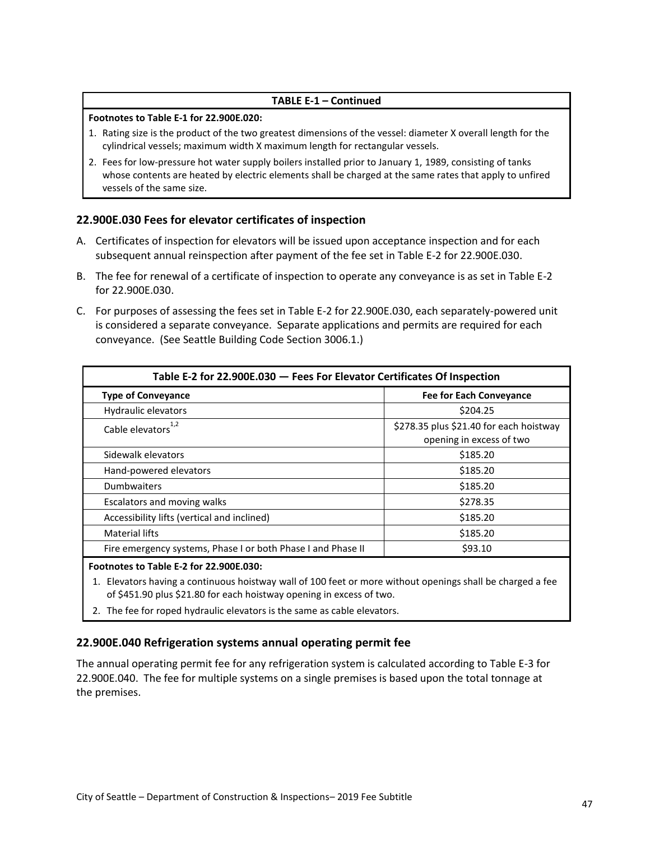#### **TABLE E-1 – Continued**

#### **Footnotes to Table E-1 for 22.900E.020:**

- 1. Rating size is the product of the two greatest dimensions of the vessel: diameter X overall length for the cylindrical vessels; maximum width X maximum length for rectangular vessels.
- 2. Fees for low-pressure hot water supply boilers installed prior to January 1, 1989, consisting of tanks whose contents are heated by electric elements shall be charged at the same rates that apply to unfired vessels of the same size.

#### <span id="page-46-0"></span>**22.900E.030 Fees for elevator certificates of inspection**

- A. Certificates of inspection for elevators will be issued upon acceptance inspection and for each subsequent annual reinspection after payment of the fee set in Table E-2 for 22.900E.030.
- B. The fee for renewal of a certificate of inspection to operate any conveyance is as set in Table E-2 for 22.900E.030.
- C. For purposes of assessing the fees set in Table E-2 for 22.900E.030, each separately-powered unit is considered a separate conveyance. Separate applications and permits are required for each conveyance. (See Seattle Building Code Section 3006.1.)

<span id="page-46-2"></span>

| Table E-2 for 22.900E.030 - Fees For Elevator Certificates Of Inspection |                                                                     |  |  |  |
|--------------------------------------------------------------------------|---------------------------------------------------------------------|--|--|--|
| <b>Type of Conveyance</b>                                                | <b>Fee for Each Conveyance</b>                                      |  |  |  |
| Hydraulic elevators                                                      | \$204.25                                                            |  |  |  |
| Cable elevators <sup>1,2</sup>                                           | \$278.35 plus \$21.40 for each hoistway<br>opening in excess of two |  |  |  |
| Sidewalk elevators                                                       | \$185.20                                                            |  |  |  |
| Hand-powered elevators                                                   | \$185.20                                                            |  |  |  |
| Dumbwaiters                                                              | \$185.20                                                            |  |  |  |
| Escalators and moving walks                                              | \$278.35                                                            |  |  |  |
| Accessibility lifts (vertical and inclined)                              | \$185.20                                                            |  |  |  |
| <b>Material lifts</b>                                                    | \$185.20                                                            |  |  |  |
| Fire emergency systems, Phase I or both Phase I and Phase II             | \$93.10                                                             |  |  |  |

#### **Footnotes to Table E-2 for 22.900E.030:**

- 1. Elevators having a continuous hoistway wall of 100 feet or more without openings shall be charged a fee of \$451.90 plus \$21.80 for each hoistway opening in excess of two.
- 2. The fee for roped hydraulic elevators is the same as cable elevators.

#### <span id="page-46-1"></span>**22.900E.040 Refrigeration systems annual operating permit fee**

The annual operating permit fee for any refrigeration system is calculated according to Table E-3 for 22.900E.040. The fee for multiple systems on a single premises is based upon the total tonnage at the premises.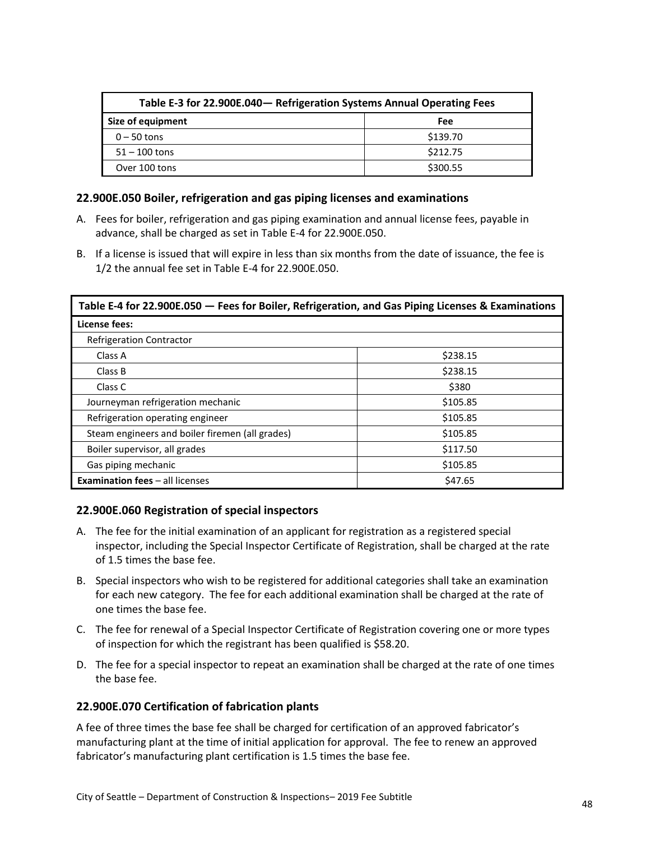<span id="page-47-3"></span>

| Table E-3 for 22.900E.040 - Refrigeration Systems Annual Operating Fees |          |  |  |
|-------------------------------------------------------------------------|----------|--|--|
| Size of equipment                                                       | Fee      |  |  |
| $0 - 50$ tons                                                           | \$139.70 |  |  |
| $51 - 100$ tons                                                         | \$212.75 |  |  |
| Over 100 tons                                                           | \$300.55 |  |  |

#### <span id="page-47-0"></span>**22.900E.050 Boiler, refrigeration and gas piping licenses and examinations**

- A. Fees for boiler, refrigeration and gas piping examination and annual license fees, payable in advance, shall be charged as set in Table E-4 for 22.900E.050.
- B. If a license is issued that will expire in less than six months from the date of issuance, the fee is 1/2 the annual fee set in Table E-4 for 22.900E.050.

<span id="page-47-4"></span>

| Table E-4 for 22.900E.050 - Fees for Boiler, Refrigeration, and Gas Piping Licenses & Examinations |          |  |
|----------------------------------------------------------------------------------------------------|----------|--|
| License fees:                                                                                      |          |  |
| <b>Refrigeration Contractor</b>                                                                    |          |  |
| Class A                                                                                            | \$238.15 |  |
| Class B                                                                                            | \$238.15 |  |
| Class C                                                                                            | \$380    |  |
| Journeyman refrigeration mechanic                                                                  | \$105.85 |  |
| Refrigeration operating engineer                                                                   | \$105.85 |  |
| Steam engineers and boiler firemen (all grades)                                                    | \$105.85 |  |
| Boiler supervisor, all grades                                                                      | \$117.50 |  |
| Gas piping mechanic                                                                                | \$105.85 |  |
| <b>Examination fees - all licenses</b>                                                             | \$47.65  |  |

#### <span id="page-47-1"></span>**22.900E.060 Registration of special inspectors**

- A. The fee for the initial examination of an applicant for registration as a registered special inspector, including the Special Inspector Certificate of Registration, shall be charged at the rate of 1.5 times the base fee.
- B. Special inspectors who wish to be registered for additional categories shall take an examination for each new category. The fee for each additional examination shall be charged at the rate of one times the base fee.
- C. The fee for renewal of a Special Inspector Certificate of Registration covering one or more types of inspection for which the registrant has been qualified is \$58.20.
- D. The fee for a special inspector to repeat an examination shall be charged at the rate of one times the base fee.

#### <span id="page-47-2"></span>**22.900E.070 Certification of fabrication plants**

A fee of three times the base fee shall be charged for certification of an approved fabricator's manufacturing plant at the time of initial application for approval. The fee to renew an approved fabricator's manufacturing plant certification is 1.5 times the base fee.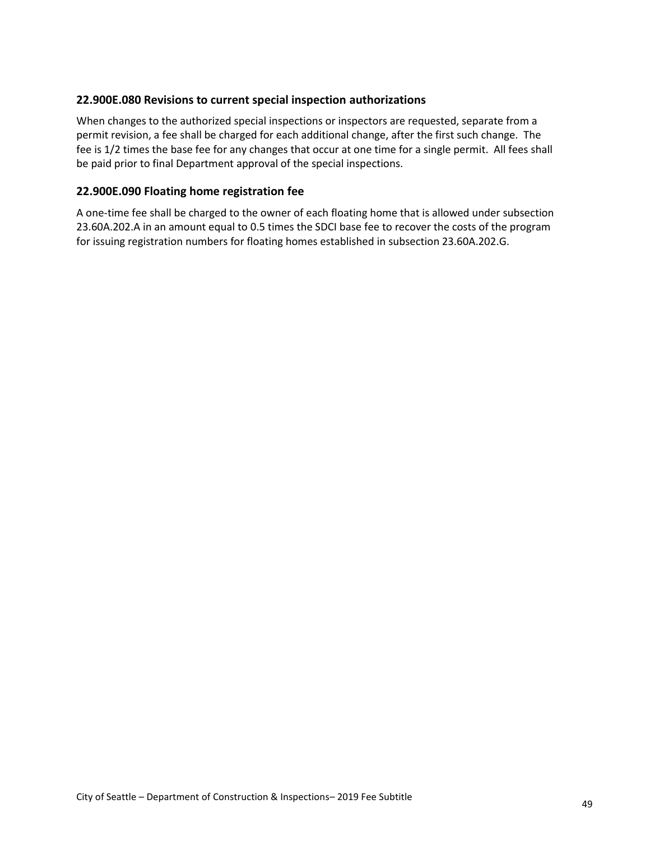#### <span id="page-48-0"></span>**22.900E.080 Revisions to current special inspection authorizations**

When changes to the authorized special inspections or inspectors are requested, separate from a permit revision, a fee shall be charged for each additional change, after the first such change. The fee is 1/2 times the base fee for any changes that occur at one time for a single permit. All fees shall be paid prior to final Department approval of the special inspections.

#### <span id="page-48-1"></span>**22.900E.090 Floating home registration fee**

A one-time fee shall be charged to the owner of each floating home that is allowed under subsection 23.60A.202.A in an amount equal to 0.5 times the SDCI base fee to recover the costs of the program for issuing registration numbers for floating homes established in subsection 23.60A.202.G.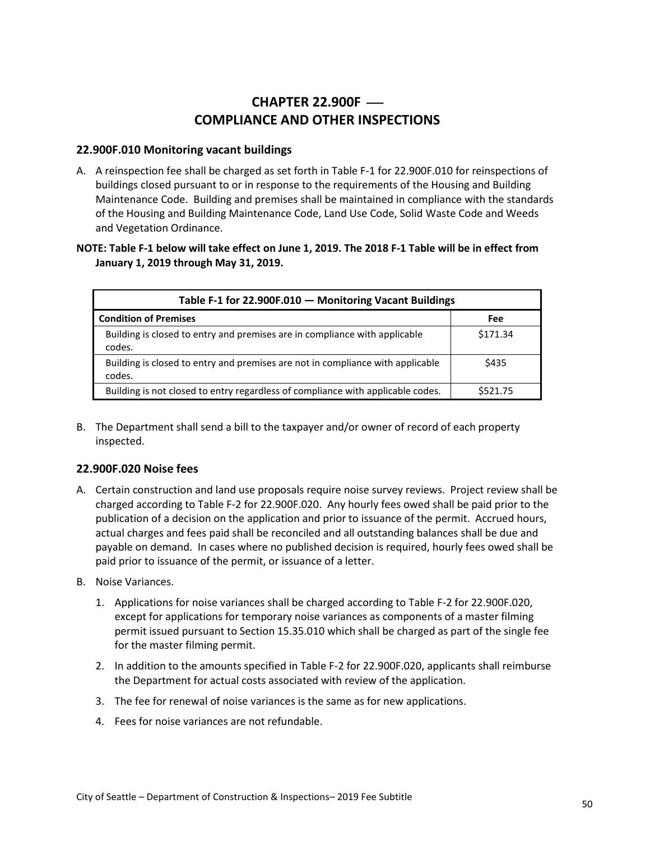# **CHAPTER 22.900F — COMPLIANCE AND OTHER INSPECTIONS**

#### <span id="page-49-1"></span><span id="page-49-0"></span>**22.900F.010 Monitoring vacant buildings**

A. A reinspection fee shall be charged as set forth in Table F-1 for 22.900F.010 for reinspections of buildings closed pursuant to or in response to the requirements of the Housing and Building Maintenance Code. Building and premises shall be maintained in compliance with the standards of the Housing and Building Maintenance Code, Land Use Code, Solid Waste Code and Weeds and Vegetation Ordinance.

#### **NOTE: Table F-1 below will take effect on June 1, 2019. The 2018 F-1 Table will be in effect from January 1, 2019 through May 31, 2019.**

<span id="page-49-3"></span>

| Table F-1 for 22.900F.010 - Monitoring Vacant Buildings                                  |          |  |
|------------------------------------------------------------------------------------------|----------|--|
| <b>Condition of Premises</b>                                                             | Fee      |  |
| Building is closed to entry and premises are in compliance with applicable<br>codes.     | \$171.34 |  |
| Building is closed to entry and premises are not in compliance with applicable<br>codes. | \$435    |  |
| Building is not closed to entry regardless of compliance with applicable codes.          | \$521.75 |  |

B. The Department shall send a bill to the taxpayer and/or owner of record of each property inspected.

#### <span id="page-49-2"></span>**22.900F.020 Noise fees**

- A. Certain construction and land use proposals require noise survey reviews. Project review shall be charged according to Table F-2 for 22.900F.020. Any hourly fees owed shall be paid prior to the publication of a decision on the application and prior to issuance of the permit. Accrued hours, actual charges and fees paid shall be reconciled and all outstanding balances shall be due and payable on demand. In cases where no published decision is required, hourly fees owed shall be paid prior to issuance of the permit, or issuance of a letter.
- B. Noise Variances.
	- 1. Applications for noise variances shall be charged according to Table F-2 for 22.900F.020, except for applications for temporary noise variances as components of a master filming permit issued pursuant to Section 15.35.010 which shall be charged as part of the single fee for the master filming permit.
	- 2. In addition to the amounts specified in Table F-2 for 22.900F.020, applicants shall reimburse the Department for actual costs associated with review of the application.
	- 3. The fee for renewal of noise variances is the same as for new applications.
	- 4. Fees for noise variances are not refundable.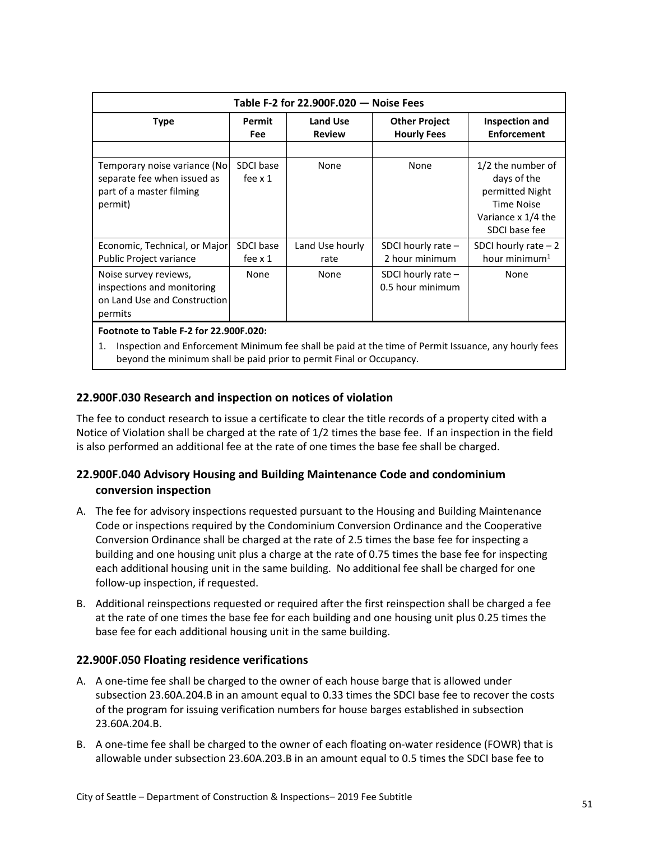<span id="page-50-3"></span>

| Table F-2 for 22.900F.020 - Noise Fees                                                              |                             |                           |                                            |                                                                                                          |
|-----------------------------------------------------------------------------------------------------|-----------------------------|---------------------------|--------------------------------------------|----------------------------------------------------------------------------------------------------------|
| <b>Type</b>                                                                                         | Permit<br><b>Fee</b>        | Land Use<br><b>Review</b> | <b>Other Project</b><br><b>Hourly Fees</b> | Inspection and<br><b>Enforcement</b>                                                                     |
|                                                                                                     |                             |                           |                                            |                                                                                                          |
| Temporary noise variance (No)<br>separate fee when issued as<br>part of a master filming<br>permit) | SDCI base<br>fee $\times$ 1 | None                      | None                                       | 1/2 the number of<br>days of the<br>permitted Night<br>Time Noise<br>Variance x 1/4 the<br>SDCI base fee |
| Economic, Technical, or Major<br>Public Project variance                                            | SDCI base<br>fee $\times$ 1 | Land Use hourly<br>rate   | SDCI hourly rate $-$<br>2 hour minimum     | SDCI hourly rate $-2$<br>hour minimum <sup>1</sup>                                                       |
| Noise survey reviews,<br>inspections and monitoring<br>on Land Use and Construction<br>permits      | <b>None</b>                 | None                      | SDCI hourly rate $-$<br>0.5 hour minimum   | None                                                                                                     |
| Footnote to Table F-2 for 22.900F.020:                                                              |                             |                           |                                            |                                                                                                          |

1. Inspection and Enforcement Minimum fee shall be paid at the time of Permit Issuance, any hourly fees beyond the minimum shall be paid prior to permit Final or Occupancy.

#### <span id="page-50-0"></span>**22.900F.030 Research and inspection on notices of violation**

The fee to conduct research to issue a certificate to clear the title records of a property cited with a Notice of Violation shall be charged at the rate of 1/2 times the base fee. If an inspection in the field is also performed an additional fee at the rate of one times the base fee shall be charged.

#### <span id="page-50-1"></span>**22.900F.040 Advisory Housing and Building Maintenance Code and condominium conversion inspection**

- A. The fee for advisory inspections requested pursuant to the Housing and Building Maintenance Code or inspections required by the Condominium Conversion Ordinance and the Cooperative Conversion Ordinance shall be charged at the rate of 2.5 times the base fee for inspecting a building and one housing unit plus a charge at the rate of 0.75 times the base fee for inspecting each additional housing unit in the same building. No additional fee shall be charged for one follow-up inspection, if requested.
- B. Additional reinspections requested or required after the first reinspection shall be charged a fee at the rate of one times the base fee for each building and one housing unit plus 0.25 times the base fee for each additional housing unit in the same building.

#### <span id="page-50-2"></span>**22.900F.050 Floating residence verifications**

- A. A one-time fee shall be charged to the owner of each house barge that is allowed under subsection 23.60A.204.B in an amount equal to 0.33 times the SDCI base fee to recover the costs of the program for issuing verification numbers for house barges established in subsection 23.60A.204.B.
- B. A one-time fee shall be charged to the owner of each floating on-water residence (FOWR) that is allowable under subsection 23.60A.203.B in an amount equal to 0.5 times the SDCI base fee to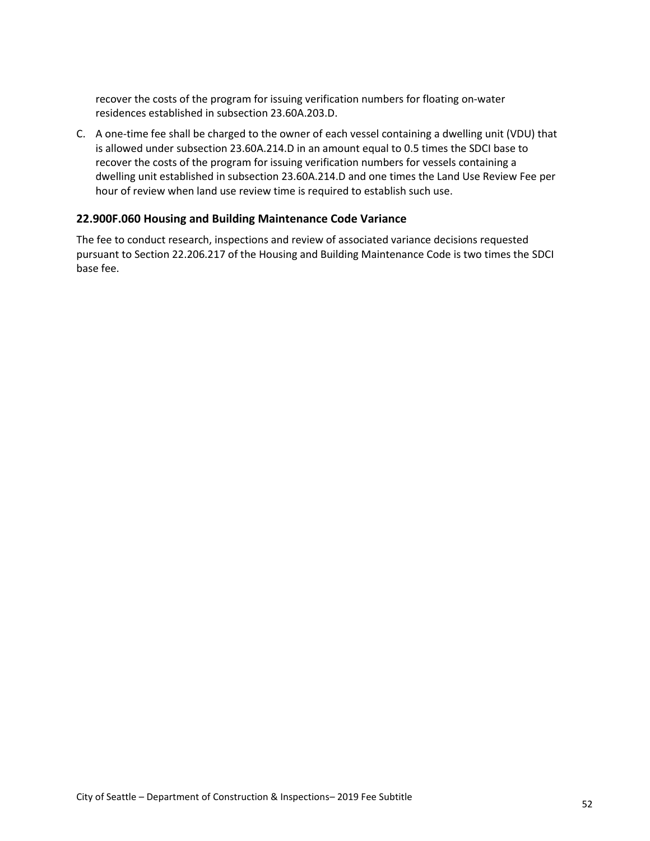recover the costs of the program for issuing verification numbers for floating on-water residences established in subsection 23.60A.203.D.

C. A one-time fee shall be charged to the owner of each vessel containing a dwelling unit (VDU) that is allowed under subsection 23.60A.214.D in an amount equal to 0.5 times the SDCI base to recover the costs of the program for issuing verification numbers for vessels containing a dwelling unit established in subsection 23.60A.214.D and one times the Land Use Review Fee per hour of review when land use review time is required to establish such use.

#### <span id="page-51-0"></span>**22.900F.060 Housing and Building Maintenance Code Variance**

The fee to conduct research, inspections and review of associated variance decisions requested pursuant to Section 22.206.217 of the Housing and Building Maintenance Code is two times the SDCI base fee.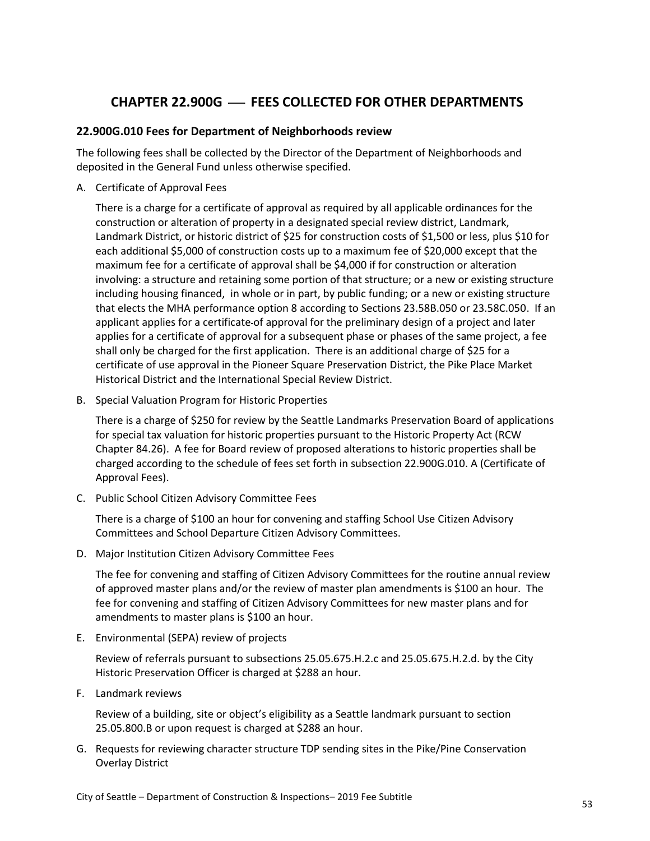# **CHAPTER 22.900G** ⎯ **FEES COLLECTED FOR OTHER DEPARTMENTS**

#### <span id="page-52-1"></span><span id="page-52-0"></span>**22.900G.010 Fees for Department of Neighborhoods review**

The following fees shall be collected by the Director of the Department of Neighborhoods and deposited in the General Fund unless otherwise specified.

A. Certificate of Approval Fees

There is a charge for a certificate of approval as required by all applicable ordinances for the construction or alteration of property in a designated special review district, Landmark, Landmark District, or historic district of \$25 for construction costs of \$1,500 or less, plus \$10 for each additional \$5,000 of construction costs up to a maximum fee of \$20,000 except that the maximum fee for a certificate of approval shall be \$4,000 if for construction or alteration involving: a structure and retaining some portion of that structure; or a new or existing structure including housing financed, in whole or in part, by public funding; or a new or existing structure that elects the MHA performance option 8 according to Sections 23.58B.050 or 23.58C.050. If an applicant applies for a certificate of approval for the preliminary design of a project and later applies for a certificate of approval for a subsequent phase or phases of the same project, a fee shall only be charged for the first application. There is an additional charge of \$25 for a certificate of use approval in the Pioneer Square Preservation District, the Pike Place Market Historical District and the International Special Review District.

B. Special Valuation Program for Historic Properties

There is a charge of \$250 for review by the Seattle Landmarks Preservation Board of applications for special tax valuation for historic properties pursuant to the Historic Property Act (RCW Chapter 84.26). A fee for Board review of proposed alterations to historic properties shall be charged according to the schedule of fees set forth in subsection 22.900G.010. A (Certificate of Approval Fees).

C. Public School Citizen Advisory Committee Fees

There is a charge of \$100 an hour for convening and staffing School Use Citizen Advisory Committees and School Departure Citizen Advisory Committees.

D. Major Institution Citizen Advisory Committee Fees

The fee for convening and staffing of Citizen Advisory Committees for the routine annual review of approved master plans and/or the review of master plan amendments is \$100 an hour. The fee for convening and staffing of Citizen Advisory Committees for new master plans and for amendments to master plans is \$100 an hour.

E. Environmental (SEPA) review of projects

Review of referrals pursuant to subsections 25.05.675.H.2.c and 25.05.675.H.2.d. by the City Historic Preservation Officer is charged at \$288 an hour.

F. Landmark reviews

Review of a building, site or object's eligibility as a Seattle landmark pursuant to section 25.05.800.B or upon request is charged at \$288 an hour.

G. Requests for reviewing character structure TDP sending sites in the Pike/Pine Conservation Overlay District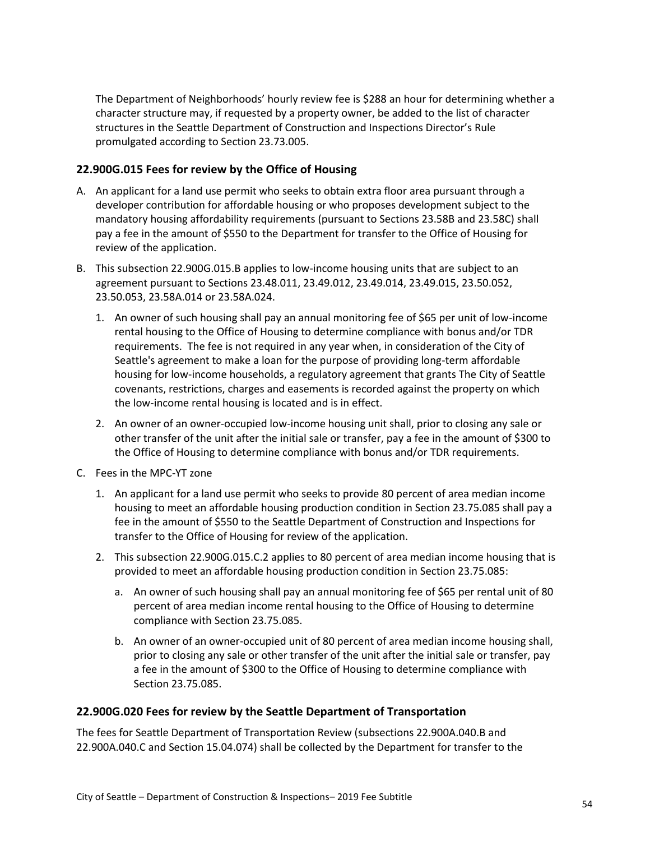The Department of Neighborhoods' hourly review fee is \$288 an hour for determining whether a character structure may, if requested by a property owner, be added to the list of character structures in the Seattle Department of Construction and Inspections Director's Rule promulgated according to Section 23.73.005.

#### <span id="page-53-0"></span>**22.900G.015 Fees for review by the Office of Housing**

- A. An applicant for a land use permit who seeks to obtain extra floor area pursuant through a developer contribution for affordable housing or who proposes development subject to the mandatory housing affordability requirements (pursuant to Sections 23.58B and 23.58C) shall pay a fee in the amount of \$550 to the Department for transfer to the Office of Housing for review of the application.
- B. This subsection 22.900G.015.B applies to low-income housing units that are subject to an agreement pursuant to Sections [23.48.011,](http://clerk.ci.seattle.wa.us/~scripts/nph-brs.exe?d=CODE&s1=23.48.011.snum.&Sect5=CODE1&Sect6=HITOFF&l=20&p=1&u=%2F%7Epublic%2Fcode1.htm&r=1&f=L3%3B1%3B23.48.011.SNUM.) [23.49.012,](http://clerk.ci.seattle.wa.us/~scripts/nph-brs.exe?d=CODE&s1=23.49.012.snum.&Sect5=CODE1&Sect6=HITOFF&l=20&p=1&u=%2F%7Epublic%2Fcode1.htm&r=1&f=L3%3B1%3B2) [23.49.014,](http://clerk.ci.seattle.wa.us/~scripts/nph-brs.exe?d=CODE&s1=23.49.014.snum.&Sect5=CODE1&Sect6=HITOFF&l=20&p=1&u=%2F%7Epublic%2Fcode1.htm&r=1&f=L3%3B1%3B23.49.014.SNUM.) [23.49.015,](http://clerk.ci.seattle.wa.us/~scripts/nph-brs.exe?d=CODE&s1=23.49.015.snum.&Sect5=CODE1&Sect6=HITOFF&l=20&p=1&u=%2F%7Epublic%2Fcode1.htm&r=1&f=L3%3B1%3B2) [23.50.052,](http://clerk.ci.seattle.wa.us/~scripts/nph-brs.exe?d=CODE&s1=23.50.052.snum.&Sect5=CODE1&Sect6=HITOFF&l=20&p=1&u=%2F%7Epublic%2Fcode1.htm&r=1&f=L3%3B1%3B2) [23.50.053,](http://clerk.ci.seattle.wa.us/~scripts/nph-brs.exe?d=CODE&s1=23.50.053.snum.&Sect5=CODE1&Sect6=HITOFF&l=20&p=1&u=%2F%7Epublic%2Fcode1.htm&r=1&f=L3%3B1%3B2) [23.58A.014](http://clerk.ci.seattle.wa.us/~scripts/nph-brs.exe?d=CODE&s1=23.58A.014.snum.&Sect5=CODE1&Sect6=HITOFF&l=20&p=1&u=%2F%7Epublic%2Fcode1.htm&r=1&f=L3%3B1%3B) o[r 23.58A.024.](http://clerk.ci.seattle.wa.us/~scripts/nph-brs.exe?d=CODE&s1=23.58A.024.snum.&Sect5=CODE1&Sect6=HITOFF&l=20&p=1&u=%2F%7Epublic%2Fcode1.htm&r=1&f=L3%3B1%3B)
	- 1. An owner of such housing shall pay an annual monitoring fee of \$65 per unit of low-income rental housing to the Office of Housing to determine compliance with bonus and/or TDR requirements. The fee is not required in any year when, in consideration of the City of Seattle's agreement to make a loan for the purpose of providing long-term affordable housing for low-income households, a regulatory agreement that grants The City of Seattle covenants, restrictions, charges and easements is recorded against the property on which the low-income rental housing is located and is in effect.
	- 2. An owner of an owner-occupied low-income housing unit shall, prior to closing any sale or other transfer of the unit after the initial sale or transfer, pay a fee in the amount of \$300 to the Office of Housing to determine compliance with bonus and/or TDR requirements.
- C. Fees in the MPC-YT zone
	- 1. An applicant for a land use permit who seeks to provide 80 percent of area median income housing to meet an affordable housing production condition in Section 23.75.085 shall pay a fee in the amount of \$550 to the Seattle Department of Construction and Inspections for transfer to the Office of Housing for review of the application.
	- 2. This subsection 22.900G.015.C.2 applies to 80 percent of area median income housing that is provided to meet an affordable housing production condition in Section 23.75.085:
		- a. An owner of such housing shall pay an annual monitoring fee of \$65 per rental unit of 80 percent of area median income rental housing to the Office of Housing to determine compliance with Section 23.75.085.
		- b. An owner of an owner-occupied unit of 80 percent of area median income housing shall, prior to closing any sale or other transfer of the unit after the initial sale or transfer, pay a fee in the amount of \$300 to the Office of Housing to determine compliance with Section 23.75.085.

#### <span id="page-53-1"></span>**22.900G.020 Fees for review by the Seattle Department of Transportation**

The fees for Seattle Department of Transportation Review (subsections 22.900A.040.B and 22.900A.040.C and Section 15.04.074) shall be collected by the Department for transfer to the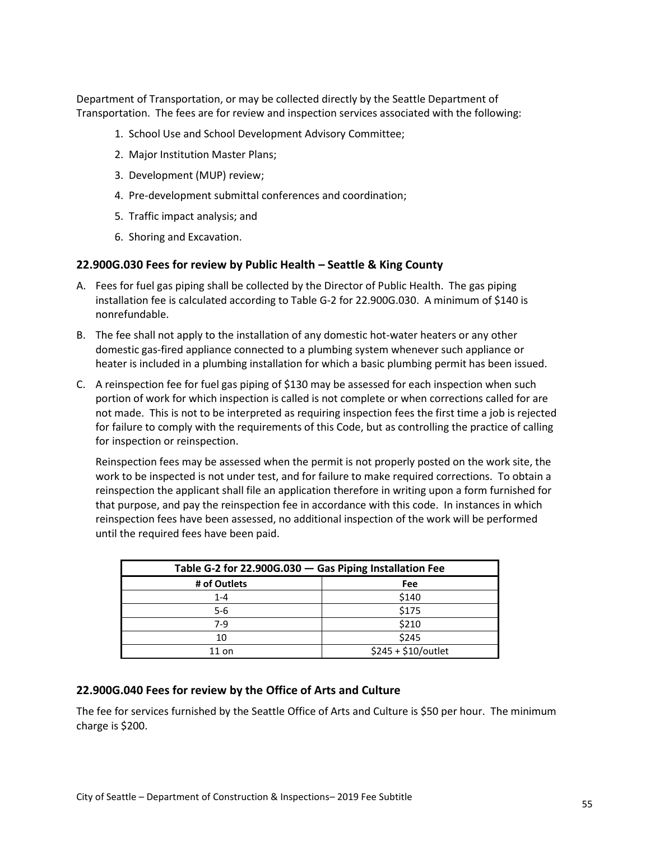Department of Transportation, or may be collected directly by the Seattle Department of Transportation. The fees are for review and inspection services associated with the following:

- 1. School Use and School Development Advisory Committee;
- 2. Major Institution Master Plans;
- 3. Development (MUP) review;
- 4. Pre-development submittal conferences and coordination;
- 5. Traffic impact analysis; and
- 6. Shoring and Excavation.

#### <span id="page-54-0"></span>**22.900G.030 Fees for review by Public Health – Seattle & King County**

- A. Fees for fuel gas piping shall be collected by the Director of Public Health. The gas piping installation fee is calculated according to Table G-2 for 22.900G.030. A minimum of \$140 is nonrefundable.
- B. The fee shall not apply to the installation of any domestic hot-water heaters or any other domestic gas-fired appliance connected to a plumbing system whenever such appliance or heater is included in a plumbing installation for which a basic plumbing permit has been issued.
- C. A reinspection fee for fuel gas piping of \$130 may be assessed for each inspection when such portion of work for which inspection is called is not complete or when corrections called for are not made. This is not to be interpreted as requiring inspection fees the first time a job is rejected for failure to comply with the requirements of this Code, but as controlling the practice of calling for inspection or reinspection.

Reinspection fees may be assessed when the permit is not properly posted on the work site, the work to be inspected is not under test, and for failure to make required corrections. To obtain a reinspection the applicant shall file an application therefore in writing upon a form furnished for that purpose, and pay the reinspection fee in accordance with this code. In instances in which reinspection fees have been assessed, no additional inspection of the work will be performed until the required fees have been paid.

<span id="page-54-2"></span>

| Table G-2 for 22.900G.030 - Gas Piping Installation Fee |                      |  |  |
|---------------------------------------------------------|----------------------|--|--|
| # of Outlets                                            | Fee                  |  |  |
| $1 - 4$                                                 | \$140                |  |  |
| $5-6$                                                   | \$175                |  |  |
| 7-9                                                     | \$210                |  |  |
| 10                                                      | \$245                |  |  |
| $11$ on                                                 | $$245 + $10/$ outlet |  |  |

#### <span id="page-54-1"></span>**22.900G.040 Fees for review by the Office of Arts and Culture**

The fee for services furnished by the Seattle Office of Arts and Culture is \$50 per hour. The minimum charge is \$200.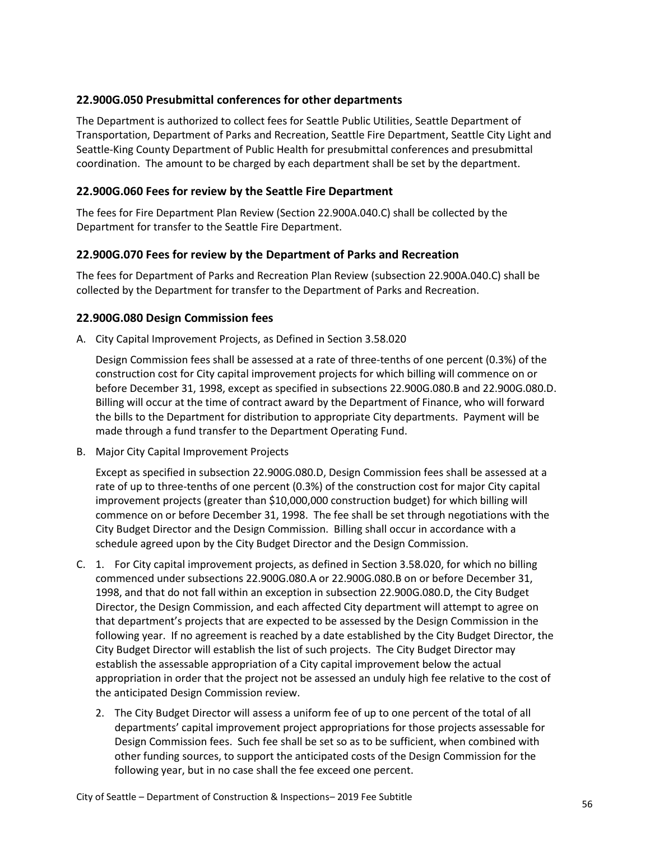#### <span id="page-55-0"></span>**22.900G.050 Presubmittal conferences for other departments**

The Department is authorized to collect fees for Seattle Public Utilities, Seattle Department of Transportation, Department of Parks and Recreation, Seattle Fire Department, Seattle City Light and Seattle-King County Department of Public Health for presubmittal conferences and presubmittal coordination. The amount to be charged by each department shall be set by the department.

#### <span id="page-55-1"></span>**22.900G.060 Fees for review by the Seattle Fire Department**

The fees for Fire Department Plan Review (Section 22.900A.040.C) shall be collected by the Department for transfer to the Seattle Fire Department.

#### <span id="page-55-2"></span>**22.900G.070 Fees for review by the Department of Parks and Recreation**

The fees for Department of Parks and Recreation Plan Review (subsection 22.900A.040.C) shall be collected by the Department for transfer to the Department of Parks and Recreation.

#### <span id="page-55-3"></span>**22.900G.080 Design Commission fees**

A. City Capital Improvement Projects, as Defined in Section 3.58.020

Design Commission fees shall be assessed at a rate of three-tenths of one percent (0.3%) of the construction cost for City capital improvement projects for which billing will commence on or before December 31, 1998, except as specified in subsections 22.900G.080.B and 22.900G.080.D. Billing will occur at the time of contract award by the Department of Finance, who will forward the bills to the Department for distribution to appropriate City departments. Payment will be made through a fund transfer to the Department Operating Fund.

B. Major City Capital Improvement Projects

Except as specified in subsection 22.900G.080.D, Design Commission fees shall be assessed at a rate of up to three-tenths of one percent (0.3%) of the construction cost for major City capital improvement projects (greater than \$10,000,000 construction budget) for which billing will commence on or before December 31, 1998. The fee shall be set through negotiations with the City Budget Director and the Design Commission. Billing shall occur in accordance with a schedule agreed upon by the City Budget Director and the Design Commission.

- C. 1. For City capital improvement projects, as defined in Section 3.58.020, for which no billing commenced under subsections 22.900G.080.A or 22.900G.080.B on or before December 31, 1998, and that do not fall within an exception in subsection 22.900G.080.D, the City Budget Director, the Design Commission, and each affected City department will attempt to agree on that department's projects that are expected to be assessed by the Design Commission in the following year. If no agreement is reached by a date established by the City Budget Director, the City Budget Director will establish the list of such projects. The City Budget Director may establish the assessable appropriation of a City capital improvement below the actual appropriation in order that the project not be assessed an unduly high fee relative to the cost of the anticipated Design Commission review.
	- 2. The City Budget Director will assess a uniform fee of up to one percent of the total of all departments' capital improvement project appropriations for those projects assessable for Design Commission fees. Such fee shall be set so as to be sufficient, when combined with other funding sources, to support the anticipated costs of the Design Commission for the following year, but in no case shall the fee exceed one percent.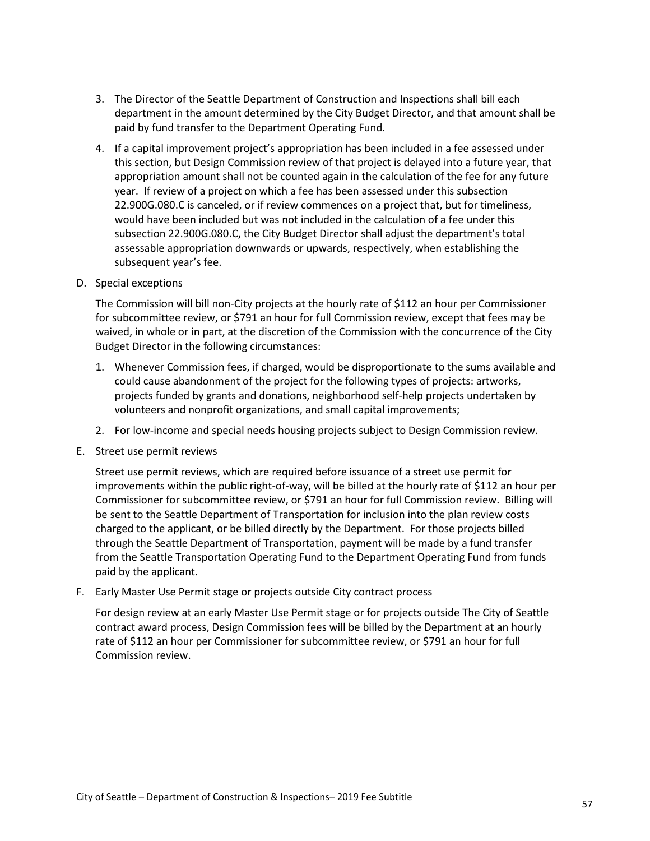- 3. The Director of the Seattle Department of Construction and Inspections shall bill each department in the amount determined by the City Budget Director, and that amount shall be paid by fund transfer to the Department Operating Fund.
- 4. If a capital improvement project's appropriation has been included in a fee assessed under this section, but Design Commission review of that project is delayed into a future year, that appropriation amount shall not be counted again in the calculation of the fee for any future year. If review of a project on which a fee has been assessed under this subsection 22.900G.080.C is canceled, or if review commences on a project that, but for timeliness, would have been included but was not included in the calculation of a fee under this subsection 22.900G.080.C, the City Budget Director shall adjust the department's total assessable appropriation downwards or upwards, respectively, when establishing the subsequent year's fee.
- D. Special exceptions

The Commission will bill non-City projects at the hourly rate of \$112 an hour per Commissioner for subcommittee review, or \$791 an hour for full Commission review, except that fees may be waived, in whole or in part, at the discretion of the Commission with the concurrence of the City Budget Director in the following circumstances:

- 1. Whenever Commission fees, if charged, would be disproportionate to the sums available and could cause abandonment of the project for the following types of projects: artworks, projects funded by grants and donations, neighborhood self-help projects undertaken by volunteers and nonprofit organizations, and small capital improvements;
- 2. For low-income and special needs housing projects subject to Design Commission review.
- E. Street use permit reviews

Street use permit reviews, which are required before issuance of a street use permit for improvements within the public right-of-way, will be billed at the hourly rate of \$112 an hour per Commissioner for subcommittee review, or \$791 an hour for full Commission review. Billing will be sent to the Seattle Department of Transportation for inclusion into the plan review costs charged to the applicant, or be billed directly by the Department. For those projects billed through the Seattle Department of Transportation, payment will be made by a fund transfer from the Seattle Transportation Operating Fund to the Department Operating Fund from funds paid by the applicant.

F. Early Master Use Permit stage or projects outside City contract process

For design review at an early Master Use Permit stage or for projects outside The City of Seattle contract award process, Design Commission fees will be billed by the Department at an hourly rate of \$112 an hour per Commissioner for subcommittee review, or \$791 an hour for full Commission review.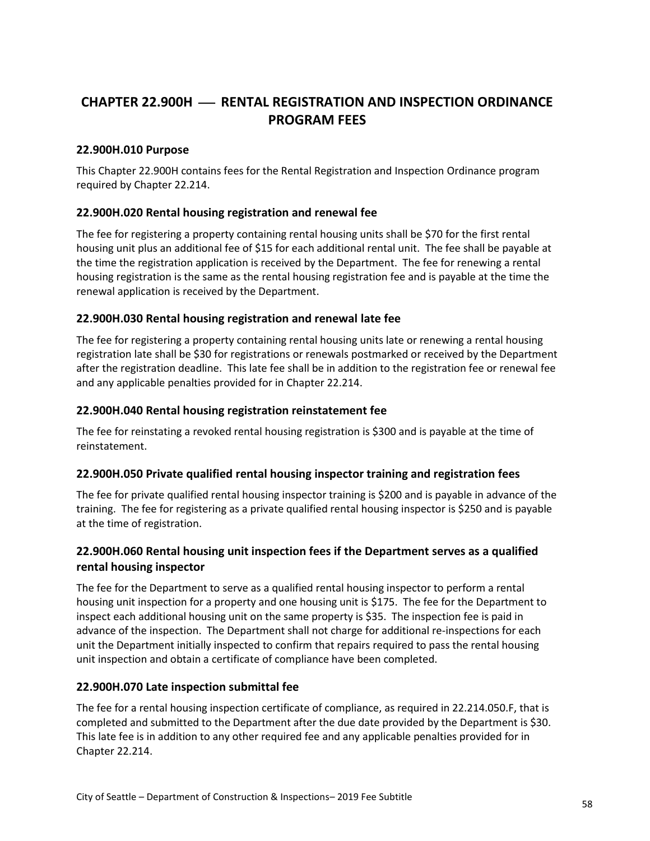# <span id="page-57-0"></span>**CHAPTER 22.900H** ⎯ **RENTAL REGISTRATION AND INSPECTION ORDINANCE PROGRAM FEES**

#### <span id="page-57-1"></span>**22.900H.010 Purpose**

This Chapter 22.900H contains fees for the Rental Registration and Inspection Ordinance program required by Chapter 22.214.

#### <span id="page-57-2"></span>**22.900H.020 Rental housing registration and renewal fee**

The fee for registering a property containing rental housing units shall be \$70 for the first rental housing unit plus an additional fee of \$15 for each additional rental unit. The fee shall be payable at the time the registration application is received by the Department. The fee for renewing a rental housing registration is the same as the rental housing registration fee and is payable at the time the renewal application is received by the Department.

#### <span id="page-57-3"></span>**22.900H.030 Rental housing registration and renewal late fee**

The fee for registering a property containing rental housing units late or renewing a rental housing registration late shall be \$30 for registrations or renewals postmarked or received by the Department after the registration deadline. This late fee shall be in addition to the registration fee or renewal fee and any applicable penalties provided for in Chapter 22.214.

#### <span id="page-57-4"></span>**22.900H.040 Rental housing registration reinstatement fee**

The fee for reinstating a revoked rental housing registration is \$300 and is payable at the time of reinstatement.

#### <span id="page-57-5"></span>**22.900H.050 Private qualified rental housing inspector training and registration fees**

The fee for private qualified rental housing inspector training is \$200 and is payable in advance of the training. The fee for registering as a private qualified rental housing inspector is \$250 and is payable at the time of registration.

#### <span id="page-57-6"></span>**22.900H.060 Rental housing unit inspection fees if the Department serves as a qualified rental housing inspector**

The fee for the Department to serve as a qualified rental housing inspector to perform a rental housing unit inspection for a property and one housing unit is \$175. The fee for the Department to inspect each additional housing unit on the same property is \$35. The inspection fee is paid in advance of the inspection. The Department shall not charge for additional re-inspections for each unit the Department initially inspected to confirm that repairs required to pass the rental housing unit inspection and obtain a certificate of compliance have been completed.

#### <span id="page-57-7"></span>**22.900H.070 Late inspection submittal fee**

The fee for a rental housing inspection certificate of compliance, as required in 22.214.050.F, that is completed and submitted to the Department after the due date provided by the Department is \$30. This late fee is in addition to any other required fee and any applicable penalties provided for in Chapter 22.214.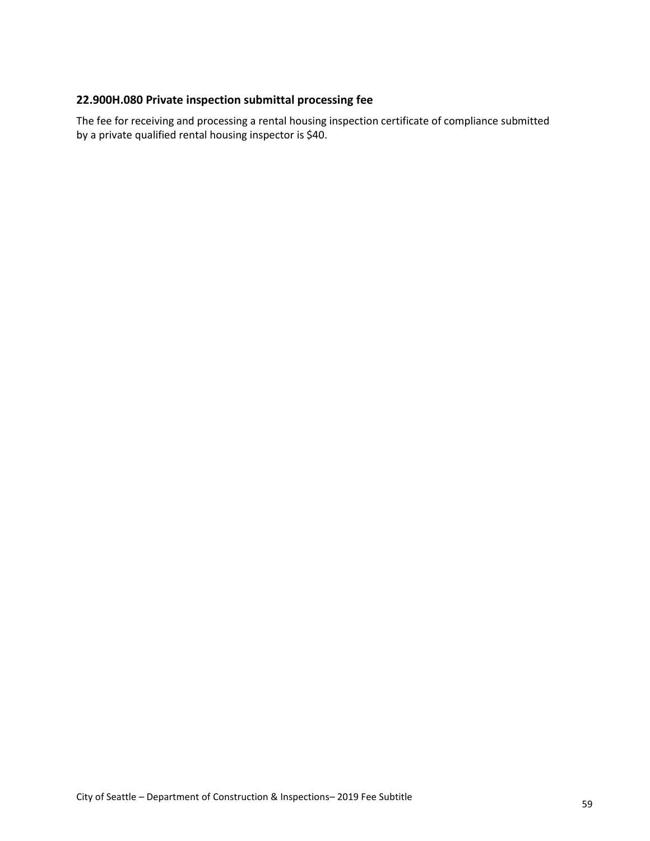#### <span id="page-58-0"></span>**22.900H.080 Private inspection submittal processing fee**

The fee for receiving and processing a rental housing inspection certificate of compliance submitted by a private qualified rental housing inspector is \$40.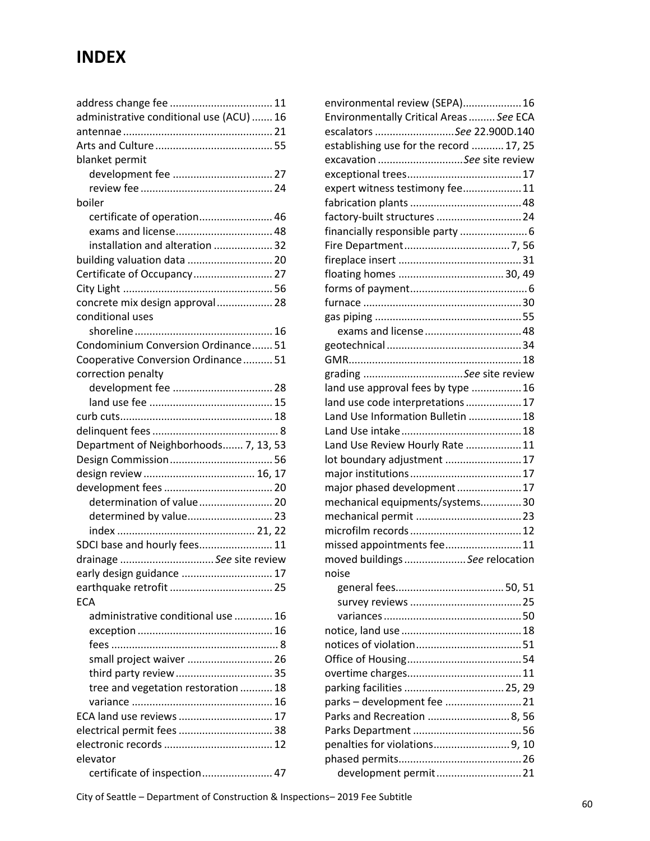# **INDEX**

| administrative conditional use (ACU)  16 |  |
|------------------------------------------|--|
|                                          |  |
|                                          |  |
| blanket permit                           |  |
|                                          |  |
|                                          |  |
| boiler                                   |  |
| certificate of operation 46              |  |
| exams and license 48                     |  |
| installation and alteration  32          |  |
| building valuation data  20              |  |
| Certificate of Occupancy 27              |  |
|                                          |  |
| concrete mix design approval 28          |  |
| conditional uses                         |  |
|                                          |  |
|                                          |  |
| Condominium Conversion Ordinance 51      |  |
| Cooperative Conversion Ordinance 51      |  |
| correction penalty                       |  |
|                                          |  |
|                                          |  |
|                                          |  |
|                                          |  |
| Department of Neighborhoods 7, 13, 53    |  |
|                                          |  |
|                                          |  |
|                                          |  |
| determination of value 20                |  |
| determined by value 23                   |  |
|                                          |  |
| SDCI base and hourly fees 11             |  |
| drainage See site review                 |  |
| early design guidance  17                |  |
|                                          |  |
| <b>ECA</b>                               |  |
| administrative conditional use  16       |  |
|                                          |  |
|                                          |  |
| small project waiver  26                 |  |
|                                          |  |
| tree and vegetation restoration  18      |  |
|                                          |  |
| ECA land use reviews  17                 |  |
|                                          |  |
|                                          |  |
| elevator                                 |  |
| certificate of inspection 47             |  |
|                                          |  |

| environmental review (SEPA) 16          |  |
|-----------------------------------------|--|
| Environmentally Critical Areas  See ECA |  |
| escalators See 22.900D.140              |  |
| establishing use for the record  17, 25 |  |
| excavation See site review              |  |
|                                         |  |
| expert witness testimony fee11          |  |
|                                         |  |
| factory-built structures  24            |  |
| financially responsible party  6        |  |
|                                         |  |
|                                         |  |
|                                         |  |
|                                         |  |
|                                         |  |
|                                         |  |
|                                         |  |
|                                         |  |
|                                         |  |
| grading See site review                 |  |
| land use approval fees by type 16       |  |
| land use code interpretations17         |  |
| Land Use Information Bulletin  18       |  |
|                                         |  |
| Land Use Review Hourly Rate  11         |  |
| lot boundary adjustment  17             |  |
|                                         |  |
| major phased development17              |  |
| mechanical equipments/systems30         |  |
|                                         |  |
|                                         |  |
| missed appointments fee11               |  |
| moved buildings See relocation          |  |
| noise                                   |  |
|                                         |  |
|                                         |  |
|                                         |  |
|                                         |  |
|                                         |  |
|                                         |  |
|                                         |  |
| parking facilities  25, 29              |  |
| parks - development fee 21              |  |
| Parks and Recreation  8, 56             |  |
|                                         |  |
| penalties for violations9, 10           |  |
|                                         |  |
| development permit 21                   |  |
|                                         |  |

City of Seattle – Department of Construction & Inspections– 2019 Fee Subtitle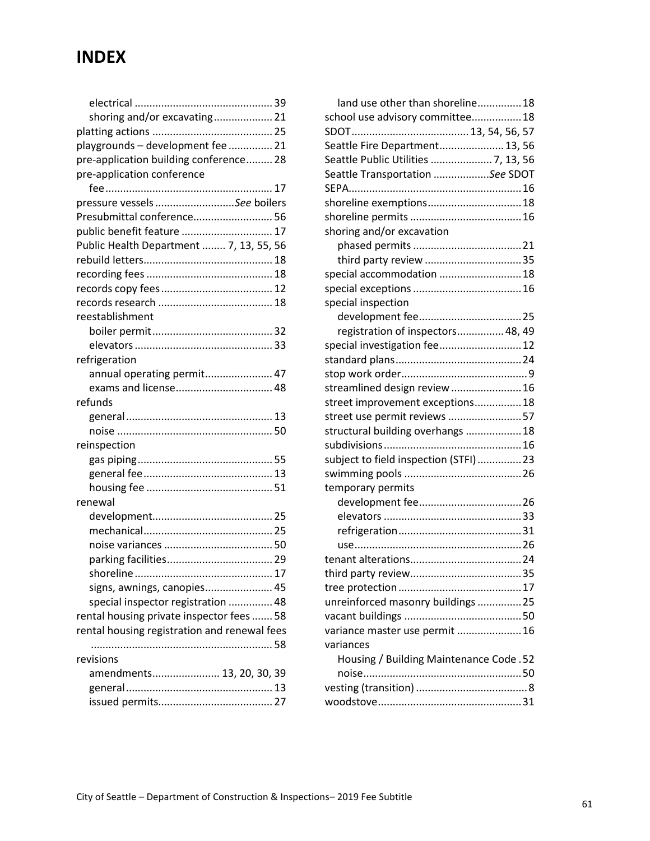# **INDEX**

| shoring and/or excavating 21                 |  |
|----------------------------------------------|--|
|                                              |  |
| playgrounds - development fee  21            |  |
| pre-application building conference 28       |  |
| pre-application conference                   |  |
|                                              |  |
| pressure vessels See boilers                 |  |
| Presubmittal conference 56                   |  |
| public benefit feature  17                   |  |
| Public Health Department  7, 13, 55, 56      |  |
|                                              |  |
|                                              |  |
|                                              |  |
|                                              |  |
| reestablishment                              |  |
|                                              |  |
|                                              |  |
| refrigeration                                |  |
| annual operating permit 47                   |  |
| exams and license 48                         |  |
| refunds                                      |  |
|                                              |  |
|                                              |  |
| reinspection                                 |  |
|                                              |  |
|                                              |  |
|                                              |  |
| renewal                                      |  |
|                                              |  |
|                                              |  |
|                                              |  |
|                                              |  |
| shoreline                                    |  |
| signs, awnings, canopies 45                  |  |
| special inspector registration  48           |  |
| rental housing private inspector fees  58    |  |
| rental housing registration and renewal fees |  |
|                                              |  |
| revisions                                    |  |
| amendments 13, 20, 30, 39                    |  |
|                                              |  |
|                                              |  |
|                                              |  |

| land use other than shoreline 18        |  |
|-----------------------------------------|--|
| school use advisory committee 18        |  |
|                                         |  |
| Seattle Fire Department 13, 56          |  |
| Seattle Public Utilities  7, 13, 56     |  |
| Seattle Transportation See SDOT         |  |
|                                         |  |
| shoreline exemptions 18                 |  |
|                                         |  |
| shoring and/or excavation               |  |
|                                         |  |
|                                         |  |
| special accommodation  18               |  |
|                                         |  |
| special inspection                      |  |
|                                         |  |
| registration of inspectors 48, 49       |  |
| special investigation fee 12            |  |
|                                         |  |
|                                         |  |
| streamlined design review 16            |  |
| street improvement exceptions 18        |  |
| street use permit reviews 57            |  |
| structural building overhangs  18       |  |
|                                         |  |
| subject to field inspection (STFI)23    |  |
|                                         |  |
| temporary permits                       |  |
|                                         |  |
|                                         |  |
|                                         |  |
|                                         |  |
|                                         |  |
|                                         |  |
|                                         |  |
| unreinforced masonry buildings  25      |  |
|                                         |  |
| variance master use permit  16          |  |
| variances                               |  |
| Housing / Building Maintenance Code. 52 |  |
|                                         |  |
|                                         |  |
|                                         |  |
|                                         |  |